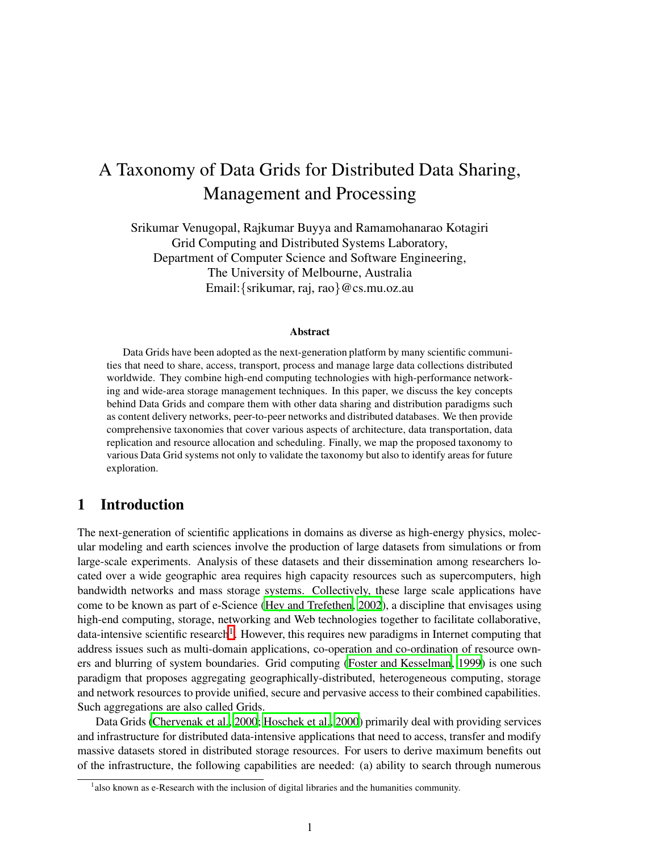# A Taxonomy of Data Grids for Distributed Data Sharing, Management and Processing

Srikumar Venugopal, Rajkumar Buyya and Ramamohanarao Kotagiri Grid Computing and Distributed Systems Laboratory, Department of Computer Science and Software Engineering, The University of Melbourne, Australia Email:{srikumar, raj, rao}@cs.mu.oz.au

#### **Abstract**

Data Grids have been adopted as the next-generation platform by many scientific communities that need to share, access, transport, process and manage large data collections distributed worldwide. They combine high-end computing technologies with high-performance networking and wide-area storage management techniques. In this paper, we discuss the key concepts behind Data Grids and compare them with other data sharing and distribution paradigms such as content delivery networks, peer-to-peer networks and distributed databases. We then provide comprehensive taxonomies that cover various aspects of architecture, data transportation, data replication and resource allocation and scheduling. Finally, we map the proposed taxonomy to various Data Grid systems not only to validate the taxonomy but also to identify areas for future exploration.

# **1 Introduction**

The next-generation of scientific applications in domains as diverse as high-energy physics, molecular modeling and earth sciences involve the production of large datasets from simulations or from large-scale experiments. Analysis of these datasets and their dissemination among researchers located over a wide geographic area requires high capacity resources such as supercomputers, high bandwidth networks and mass storage systems. Collectively, these large scale applications have come to be known as part of e-Science (Hey and [Trefethen](#page-52-0), [2002\)](#page-52-0), a discipline that envisages using high-end computing, storage, networking and Web technologies together to facilitate collaborative, data-intensive scientific research<sup>[1](#page-0-0)</sup>. However, this requires new paradigms in Internet computing that address issues such as multi-domain applications, co-operation and co-ordination of resource owners and blurring of system boundaries. Grid computing (Foster and [Kesselman,](#page-52-1) [1999](#page-52-1)) is one such paradigm that proposes aggregating geographically-distributed, heterogeneous computing, storage and network resources to provide unified, secure and pervasive access to their combined capabilities. Such aggregations are also called Grids.

Data Grids [\(Chervenak](#page-50-0) et al., [2000](#page-50-0); [Hoschek](#page-53-0) et al., [2000](#page-53-0)) primarily deal with providing services and infrastructure for distributed data-intensive applications that need to access, transfer and modify massive datasets stored in distributed storage resources. For users to derive maximum benefits out of the infrastructure, the following capabilities are needed: (a) ability to search through numerous

<span id="page-0-0"></span><sup>&</sup>lt;sup>1</sup> also known as e-Research with the inclusion of digital libraries and the humanities community.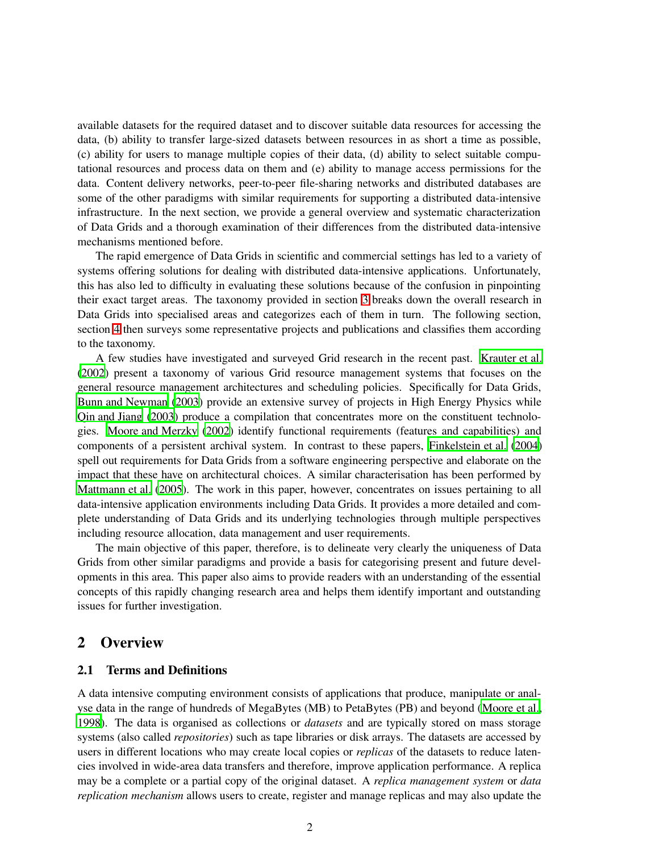available datasets for the required dataset and to discover suitable data resources for accessing the data, (b) ability to transfer large-sized datasets between resources in as short a time as possible, (c) ability for users to manage multiple copies of their data, (d) ability to select suitable computational resources and process data on them and (e) ability to manage access permissions for the data. Content delivery networks, peer-to-peer file-sharing networks and distributed databases are some of the other paradigms with similar requirements for supporting a distributed data-intensive infrastructure. In the next section, we provide a general overview and systematic characterization of Data Grids and a thorough examination of their differences from the distributed data-intensive mechanisms mentioned before.

The rapid emergence of Data Grids in scientific and commercial settings has led to a variety of systems offering solutions for dealing with distributed data-intensive applications. Unfortunately, this has also led to difficulty in evaluating these solutions because of the confusion in pinpointing their exact target areas. The taxonomy provided in section [3](#page-14-0) breaks down the overall research in Data Grids into specialised areas and categorizes each of them in turn. The following section, section [4](#page-26-0) then surveys some representative projects and publications and classifies them according to the taxonomy.

A few studies have investigated and surveyed Grid research in the recent past. [Krauter](#page-54-0) et al. [\(2002](#page-54-0)) present a taxonomy of various Grid resource management systems that focuses on the general resource management architectures and scheduling policies. Specifically for Data Grids, Bunn and [Newman](#page-49-0) [\(2003](#page-49-0)) provide an extensive survey of projects in High Energy Physics while Qin and [Jiang](#page-56-0) [\(2003](#page-56-0)) produce a compilation that concentrates more on the constituent technologies. Moore and [Merzky](#page-55-0) [\(2002](#page-55-0)) identify functional requirements (features and capabilities) and components of a persistent archival system. In contrast to these papers, [Finkelstein](#page-51-0) et al. [\(2004](#page-51-0)) spell out requirements for Data Grids from a software engineering perspective and elaborate on the impact that these have on architectural choices. A similar characterisation has been performed by [Mattmann](#page-55-1) et al. [\(2005](#page-55-1)). The work in this paper, however, concentrates on issues pertaining to all data-intensive application environments including Data Grids. It provides a more detailed and complete understanding of Data Grids and its underlying technologies through multiple perspectives including resource allocation, data management and user requirements.

The main objective of this paper, therefore, is to delineate very clearly the uniqueness of Data Grids from other similar paradigms and provide a basis for categorising present and future developments in this area. This paper also aims to provide readers with an understanding of the essential concepts of this rapidly changing research area and helps them identify important and outstanding issues for further investigation.

# <span id="page-1-0"></span>**2 Overview**

### **2.1 Terms and Definitions**

A data intensive computing environment consists of applications that produce, manipulate or analyse data in the range of hundreds of MegaBytes (MB) to PetaBytes (PB) and beyond [\(Moore](#page-55-2) et al., [1998\)](#page-55-2). The data is organised as collections or *datasets* and are typically stored on mass storage systems (also called *repositories*) such as tape libraries or disk arrays. The datasets are accessed by users in different locations who may create local copies or *replicas* of the datasets to reduce latencies involved in wide-area data transfers and therefore, improve application performance. A replica may be a complete or a partial copy of the original dataset. A *replica management system* or *data replication mechanism* allows users to create, register and manage replicas and may also update the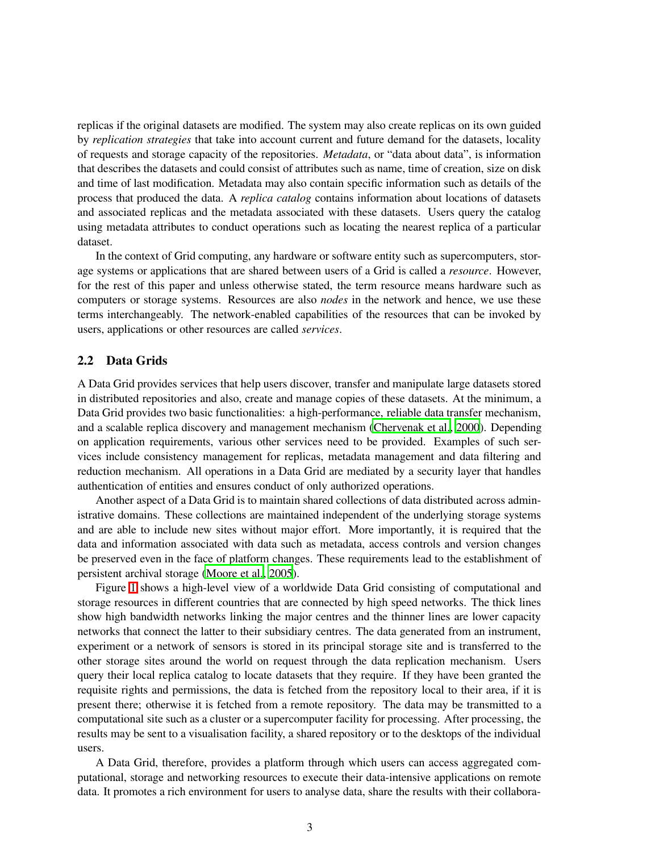replicas if the original datasets are modified. The system may also create replicas on its own guided by *replication strategies* that take into account current and future demand for the datasets, locality of requests and storage capacity of the repositories. *Metadata*, or "data about data", is information that describes the datasets and could consist of attributes such as name, time of creation, size on disk and time of last modification. Metadata may also contain specific information such as details of the process that produced the data. A *replica catalog* contains information about locations of datasets and associated replicas and the metadata associated with these datasets. Users query the catalog using metadata attributes to conduct operations such as locating the nearest replica of a particular dataset.

In the context of Grid computing, any hardware or software entity such as supercomputers, storage systems or applications that are shared between users of a Grid is called a *resource*. However, for the rest of this paper and unless otherwise stated, the term resource means hardware such as computers or storage systems. Resources are also *nodes* in the network and hence, we use these terms interchangeably. The network-enabled capabilities of the resources that can be invoked by users, applications or other resources are called *services*.

#### **2.2 Data Grids**

A Data Grid provides services that help users discover, transfer and manipulate large datasets stored in distributed repositories and also, create and manage copies of these datasets. At the minimum, a Data Grid provides two basic functionalities: a high-performance, reliable data transfer mechanism, and a scalable replica discovery and management mechanism [\(Chervenak](#page-50-0) et al., [2000\)](#page-50-0). Depending on application requirements, various other services need to be provided. Examples of such services include consistency management for replicas, metadata management and data filtering and reduction mechanism. All operations in a Data Grid are mediated by a security layer that handles authentication of entities and ensures conduct of only authorized operations.

Another aspect of a Data Grid is to maintain shared collections of data distributed across administrative domains. These collections are maintained independent of the underlying storage systems and are able to include new sites without major effort. More importantly, it is required that the data and information associated with data such as metadata, access controls and version changes be preserved even in the face of platform changes. These requirements lead to the establishment of persistent archival storage [\(Moore](#page-55-3) et al., [2005](#page-55-3)).

Figure [1](#page-3-0) shows a high-level view of a worldwide Data Grid consisting of computational and storage resources in different countries that are connected by high speed networks. The thick lines show high bandwidth networks linking the major centres and the thinner lines are lower capacity networks that connect the latter to their subsidiary centres. The data generated from an instrument, experiment or a network of sensors is stored in its principal storage site and is transferred to the other storage sites around the world on request through the data replication mechanism. Users query their local replica catalog to locate datasets that they require. If they have been granted the requisite rights and permissions, the data is fetched from the repository local to their area, if it is present there; otherwise it is fetched from a remote repository. The data may be transmitted to a computational site such as a cluster or a supercomputer facility for processing. After processing, the results may be sent to a visualisation facility, a shared repository or to the desktops of the individual users.

A Data Grid, therefore, provides a platform through which users can access aggregated computational, storage and networking resources to execute their data-intensive applications on remote data. It promotes a rich environment for users to analyse data, share the results with their collabora-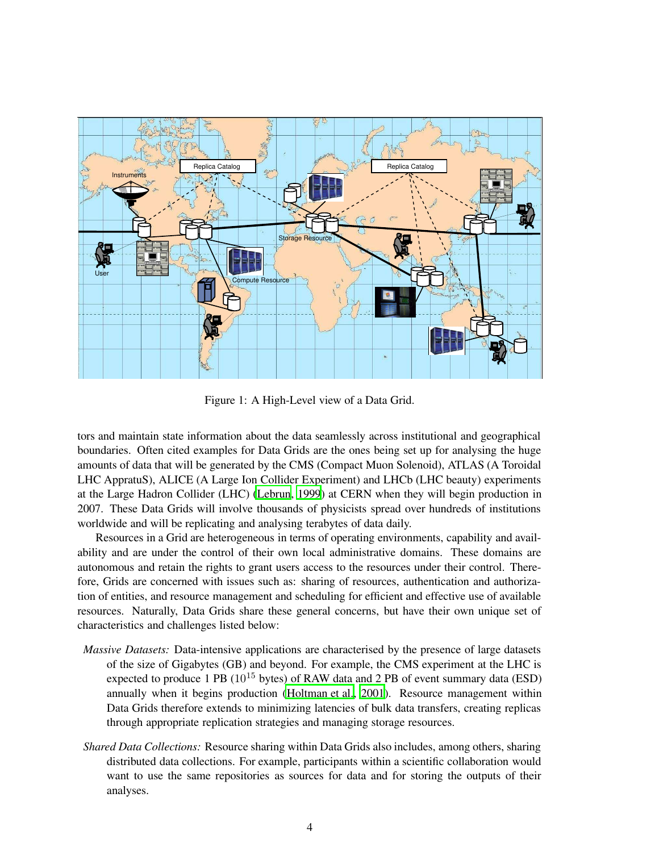

<span id="page-3-0"></span>Figure 1: A High-Level view of a Data Grid.

tors and maintain state information about the data seamlessly across institutional and geographical boundaries. Often cited examples for Data Grids are the ones being set up for analysing the huge amounts of data that will be generated by the CMS (Compact Muon Solenoid), ATLAS (A Toroidal LHC AppratuS), ALICE (A Large Ion Collider Experiment) and LHCb (LHC beauty) experiments at the Large Hadron Collider (LHC) [\(Lebrun](#page-54-1), [1999](#page-54-1)) at CERN when they will begin production in 2007. These Data Grids will involve thousands of physicists spread over hundreds of institutions worldwide and will be replicating and analysing terabytes of data daily.

Resources in a Grid are heterogeneous in terms of operating environments, capability and availability and are under the control of their own local administrative domains. These domains are autonomous and retain the rights to grant users access to the resources under their control. Therefore, Grids are concerned with issues such as: sharing of resources, authentication and authorization of entities, and resource management and scheduling for efficient and effective use of available resources. Naturally, Data Grids share these general concerns, but have their own unique set of characteristics and challenges listed below:

- *Massive Datasets:* Data-intensive applications are characterised by the presence of large datasets of the size of Gigabytes (GB) and beyond. For example, the CMS experiment at the LHC is expected to produce 1 PB  $(10^{15}$  bytes) of RAW data and 2 PB of event summary data (ESD) annually when it begins production [\(Holtman](#page-53-1) et al., [2001](#page-53-1)). Resource management within Data Grids therefore extends to minimizing latencies of bulk data transfers, creating replicas through appropriate replication strategies and managing storage resources.
- *Shared Data Collections:* Resource sharing within Data Grids also includes, among others, sharing distributed data collections. For example, participants within a scientific collaboration would want to use the same repositories as sources for data and for storing the outputs of their analyses.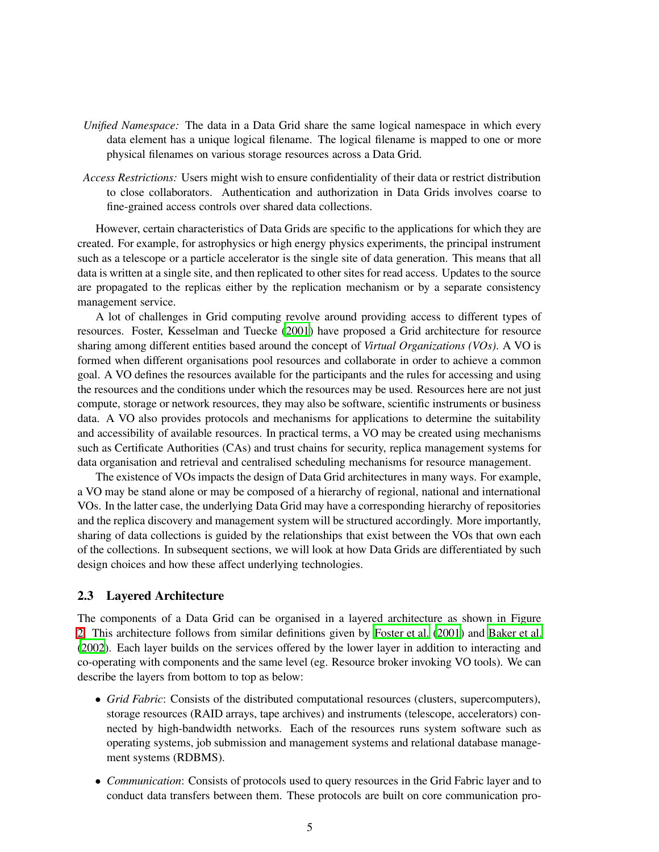- *Unified Namespace:* The data in a Data Grid share the same logical namespace in which every data element has a unique logical filename. The logical filename is mapped to one or more physical filenames on various storage resources across a Data Grid.
- *Access Restrictions:* Users might wish to ensure confidentiality of their data or restrict distribution to close collaborators. Authentication and authorization in Data Grids involves coarse to fine-grained access controls over shared data collections.

However, certain characteristics of Data Grids are specific to the applications for which they are created. For example, for astrophysics or high energy physics experiments, the principal instrument such as a telescope or a particle accelerator is the single site of data generation. This means that all data is written at a single site, and then replicated to other sites for read access. Updates to the source are propagated to the replicas either by the replication mechanism or by a separate consistency management service.

A lot of challenges in Grid computing revolve around providing access to different types of resources. Foster, Kesselman and Tuecke [\(2001](#page-52-2)) have proposed a Grid architecture for resource sharing among different entities based around the concept of *Virtual Organizations (VOs)*. A VO is formed when different organisations pool resources and collaborate in order to achieve a common goal. A VO defines the resources available for the participants and the rules for accessing and using the resources and the conditions under which the resources may be used. Resources here are not just compute, storage or network resources, they may also be software, scientific instruments or business data. A VO also provides protocols and mechanisms for applications to determine the suitability and accessibility of available resources. In practical terms, a VO may be created using mechanisms such as Certificate Authorities (CAs) and trust chains for security, replica management systems for data organisation and retrieval and centralised scheduling mechanisms for resource management.

The existence of VOs impacts the design of Data Grid architectures in many ways. For example, a VO may be stand alone or may be composed of a hierarchy of regional, national and international VOs. In the latter case, the underlying Data Grid may have a corresponding hierarchy of repositories and the replica discovery and management system will be structured accordingly. More importantly, sharing of data collections is guided by the relationships that exist between the VOs that own each of the collections. In subsequent sections, we will look at how Data Grids are differentiated by such design choices and how these affect underlying technologies.

### **2.3 Layered Architecture**

The components of a Data Grid can be organised in a layered architecture as shown in Figure [2.](#page-5-0) This architecture follows from similar definitions given by [Foster](#page-52-2) et al. [\(2001](#page-52-2)) and [Baker](#page-49-1) et al. [\(2002](#page-49-1)). Each layer builds on the services offered by the lower layer in addition to interacting and co-operating with components and the same level (eg. Resource broker invoking VO tools). We can describe the layers from bottom to top as below:

- *Grid Fabric*: Consists of the distributed computational resources (clusters, supercomputers), storage resources (RAID arrays, tape archives) and instruments (telescope, accelerators) connected by high-bandwidth networks. Each of the resources runs system software such as operating systems, job submission and management systems and relational database management systems (RDBMS).
- *Communication*: Consists of protocols used to query resources in the Grid Fabric layer and to conduct data transfers between them. These protocols are built on core communication pro-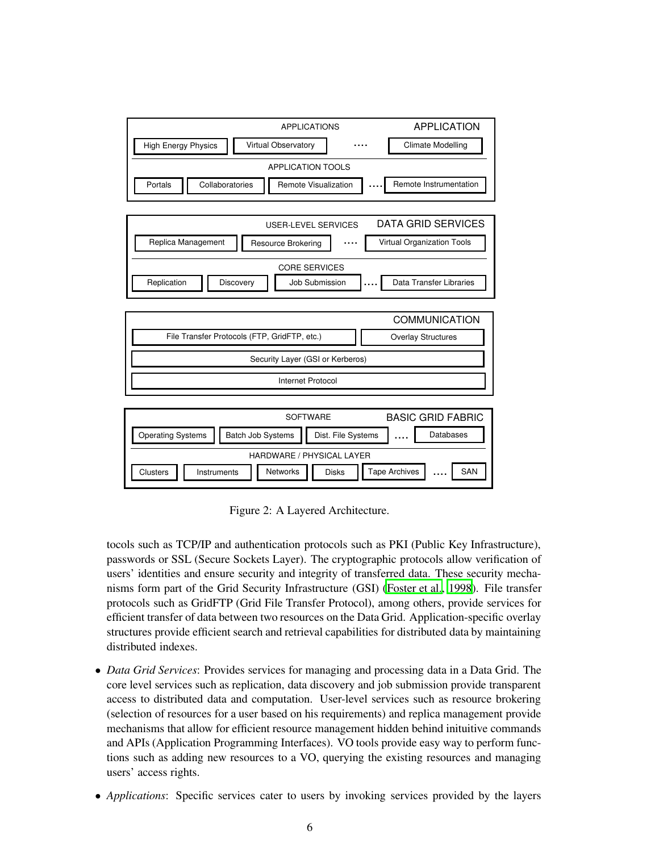

<span id="page-5-0"></span>Figure 2: A Layered Architecture.

tocols such as TCP/IP and authentication protocols such as PKI (Public Key Infrastructure), passwords or SSL (Secure Sockets Layer). The cryptographic protocols allow verification of users' identities and ensure security and integrity of transferred data. These security mechanisms form part of the Grid Security Infrastructure (GSI) [\(Foster](#page-52-3) et al., [1998](#page-52-3)). File transfer protocols such as GridFTP (Grid File Transfer Protocol), among others, provide services for efficient transfer of data between two resources on the Data Grid. Application-specific overlay structures provide efficient search and retrieval capabilities for distributed data by maintaining distributed indexes.

- *Data Grid Services*: Provides services for managing and processing data in a Data Grid. The core level services such as replication, data discovery and job submission provide transparent access to distributed data and computation. User-level services such as resource brokering (selection of resources for a user based on his requirements) and replica management provide mechanisms that allow for efficient resource management hidden behind inituitive commands and APIs (Application Programming Interfaces). VO tools provide easy way to perform functions such as adding new resources to a VO, querying the existing resources and managing users' access rights.
- *Applications*: Specific services cater to users by invoking services provided by the layers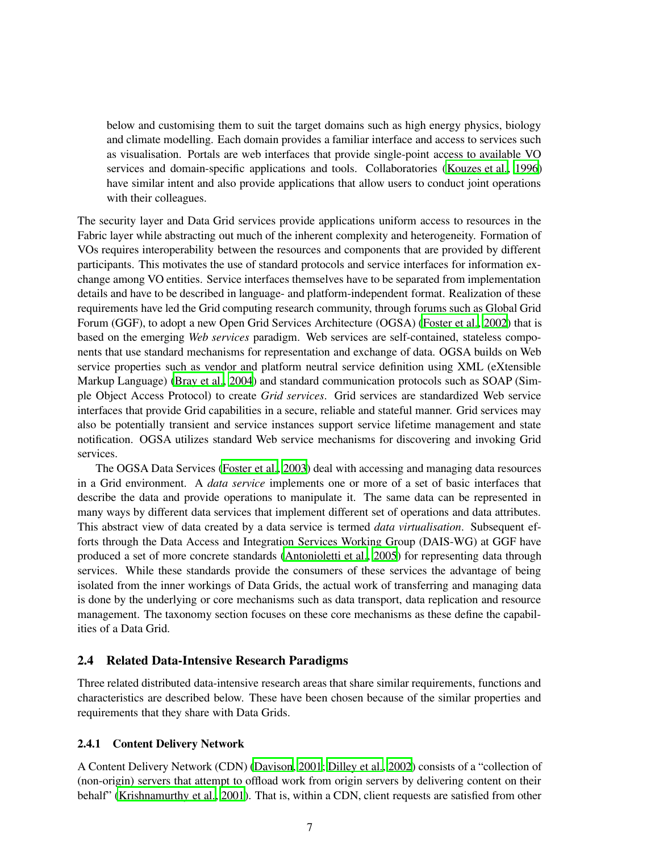below and customising them to suit the target domains such as high energy physics, biology and climate modelling. Each domain provides a familiar interface and access to services such as visualisation. Portals are web interfaces that provide single-point access to available VO services and domain-specific applications and tools. Collaboratories [\(Kouzes](#page-54-2) et al., [1996](#page-54-2)) have similar intent and also provide applications that allow users to conduct joint operations with their colleagues.

The security layer and Data Grid services provide applications uniform access to resources in the Fabric layer while abstracting out much of the inherent complexity and heterogeneity. Formation of VOs requires interoperability between the resources and components that are provided by different participants. This motivates the use of standard protocols and service interfaces for information exchange among VO entities. Service interfaces themselves have to be separated from implementation details and have to be described in language- and platform-independent format. Realization of these requirements have led the Grid computing research community, through forums such as Global Grid Forum (GGF), to adopt a new Open Grid Services Architecture (OGSA) [\(Foster](#page-52-4) et al., [2002](#page-52-4)) that is based on the emerging *Web services* paradigm. Web services are self-contained, stateless components that use standard mechanisms for representation and exchange of data. OGSA builds on Web service properties such as vendor and platform neutral service definition using XML (eXtensible Markup Language) [\(Bray](#page-49-2) et al., [2004](#page-49-2)) and standard communication protocols such as SOAP (Simple Object Access Protocol) to create *Grid services*. Grid services are standardized Web service interfaces that provide Grid capabilities in a secure, reliable and stateful manner. Grid services may also be potentially transient and service instances support service lifetime management and state notification. OGSA utilizes standard Web service mechanisms for discovering and invoking Grid services.

The OGSA Data Services [\(Foster](#page-52-5) et al., [2003](#page-52-5)) deal with accessing and managing data resources in a Grid environment. A *data service* implements one or more of a set of basic interfaces that describe the data and provide operations to manipulate it. The same data can be represented in many ways by different data services that implement different set of operations and data attributes. This abstract view of data created by a data service is termed *data virtualisation*. Subsequent efforts through the Data Access and Integration Services Working Group (DAIS-WG) at GGF have produced a set of more concrete standards [\(Antonioletti](#page-49-3) et al., [2005](#page-49-3)) for representing data through services. While these standards provide the consumers of these services the advantage of being isolated from the inner workings of Data Grids, the actual work of transferring and managing data is done by the underlying or core mechanisms such as data transport, data replication and resource management. The taxonomy section focuses on these core mechanisms as these define the capabilities of a Data Grid.

# **2.4 Related Data-Intensive Research Paradigms**

Three related distributed data-intensive research areas that share similar requirements, functions and characteristics are described below. These have been chosen because of the similar properties and requirements that they share with Data Grids.

### **2.4.1 Content Delivery Network**

A Content Delivery Network (CDN) [\(Davison](#page-51-1), [2001](#page-51-1); [Dilley](#page-51-2) et al., [2002\)](#page-51-2) consists of a "collection of (non-origin) servers that attempt to offload work from origin servers by delivering content on their behalf" [\(Krishnamurthy](#page-54-3) et al., [2001](#page-54-3)). That is, within a CDN, client requests are satisfied from other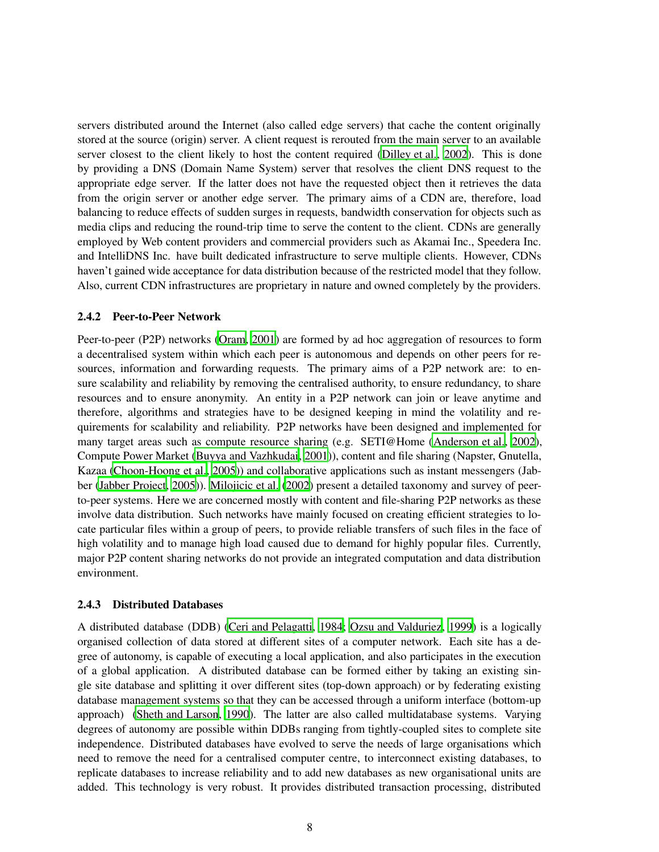servers distributed around the Internet (also called edge servers) that cache the content originally stored at the source (origin) server. A client request is rerouted from the main server to an available server closest to the client likely to host the content required [\(Dilley](#page-51-2) et al., [2002](#page-51-2)). This is done by providing a DNS (Domain Name System) server that resolves the client DNS request to the appropriate edge server. If the latter does not have the requested object then it retrieves the data from the origin server or another edge server. The primary aims of a CDN are, therefore, load balancing to reduce effects of sudden surges in requests, bandwidth conservation for objects such as media clips and reducing the round-trip time to serve the content to the client. CDNs are generally employed by Web content providers and commercial providers such as Akamai Inc., Speedera Inc. and IntelliDNS Inc. have built dedicated infrastructure to serve multiple clients. However, CDNs haven't gained wide acceptance for data distribution because of the restricted model that they follow. Also, current CDN infrastructures are proprietary in nature and owned completely by the providers.

### **2.4.2 Peer-to-Peer Network**

Peer-to-peer (P2P) networks [\(Oram](#page-55-4), [2001\)](#page-55-4) are formed by ad hoc aggregation of resources to form a decentralised system within which each peer is autonomous and depends on other peers for resources, information and forwarding requests. The primary aims of a P2P network are: to ensure scalability and reliability by removing the centralised authority, to ensure redundancy, to share resources and to ensure anonymity. An entity in a P2P network can join or leave anytime and therefore, algorithms and strategies have to be designed keeping in mind the volatility and requirements for scalability and reliability. P2P networks have been designed and implemented for many target areas such as compute resource sharing (e.g. SETI@Home [\(Anderson](#page-49-4) et al., [2002](#page-49-4)), Compute Power Market (Buyya and [Vazhkudai,](#page-49-5) [2001\)](#page-49-5)), content and file sharing (Napster, Gnutella, Kazaa [\(Choon-Hoong](#page-50-1) et al., [2005](#page-50-1))) and collaborative applications such as instant messengers (Jabber (Jabber [Project](#page-53-2), [2005\)](#page-53-2)). [Milojicic](#page-55-5) et al. [\(2002](#page-55-5)) present a detailed taxonomy and survey of peerto-peer systems. Here we are concerned mostly with content and file-sharing P2P networks as these involve data distribution. Such networks have mainly focused on creating efficient strategies to locate particular files within a group of peers, to provide reliable transfers of such files in the face of high volatility and to manage high load caused due to demand for highly popular files. Currently, major P2P content sharing networks do not provide an integrated computation and data distribution environment.

#### **2.4.3 Distributed Databases**

A distributed database (DDB) (Ceri and [Pelagatti](#page-50-2), [1984;](#page-50-2) Ozsu and [Valduriez,](#page-55-6) [1999](#page-55-6)) is a logically organised collection of data stored at different sites of a computer network. Each site has a degree of autonomy, is capable of executing a local application, and also participates in the execution of a global application. A distributed database can be formed either by taking an existing single site database and splitting it over different sites (top-down approach) or by federating existing database management systems so that they can be accessed through a uniform interface (bottom-up approach) (Sheth and [Larson](#page-57-0), [1990\)](#page-57-0). The latter are also called multidatabase systems. Varying degrees of autonomy are possible within DDBs ranging from tightly-coupled sites to complete site independence. Distributed databases have evolved to serve the needs of large organisations which need to remove the need for a centralised computer centre, to interconnect existing databases, to replicate databases to increase reliability and to add new databases as new organisational units are added. This technology is very robust. It provides distributed transaction processing, distributed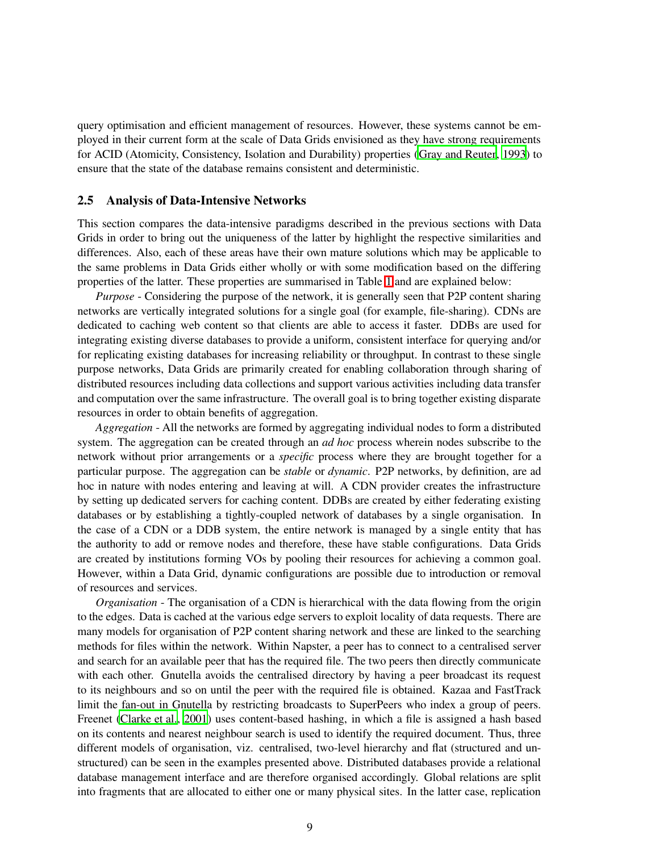query optimisation and efficient management of resources. However, these systems cannot be employed in their current form at the scale of Data Grids envisioned as they have strong requirements for ACID (Atomicity, Consistency, Isolation and Durability) properties (Gray and [Reuter](#page-52-6), [1993\)](#page-52-6) to ensure that the state of the database remains consistent and deterministic.

## **2.5 Analysis of Data-Intensive Networks**

This section compares the data-intensive paradigms described in the previous sections with Data Grids in order to bring out the uniqueness of the latter by highlight the respective similarities and differences. Also, each of these areas have their own mature solutions which may be applicable to the same problems in Data Grids either wholly or with some modification based on the differing properties of the latter. These properties are summarised in Table [1](#page-9-0) and are explained below:

*Purpose* - Considering the purpose of the network, it is generally seen that P2P content sharing networks are vertically integrated solutions for a single goal (for example, file-sharing). CDNs are dedicated to caching web content so that clients are able to access it faster. DDBs are used for integrating existing diverse databases to provide a uniform, consistent interface for querying and/or for replicating existing databases for increasing reliability or throughput. In contrast to these single purpose networks, Data Grids are primarily created for enabling collaboration through sharing of distributed resources including data collections and support various activities including data transfer and computation over the same infrastructure. The overall goal is to bring together existing disparate resources in order to obtain benefits of aggregation.

*Aggregation* - All the networks are formed by aggregating individual nodes to form a distributed system. The aggregation can be created through an *ad hoc* process wherein nodes subscribe to the network without prior arrangements or a *specific* process where they are brought together for a particular purpose. The aggregation can be *stable* or *dynamic*. P2P networks, by definition, are ad hoc in nature with nodes entering and leaving at will. A CDN provider creates the infrastructure by setting up dedicated servers for caching content. DDBs are created by either federating existing databases or by establishing a tightly-coupled network of databases by a single organisation. In the case of a CDN or a DDB system, the entire network is managed by a single entity that has the authority to add or remove nodes and therefore, these have stable configurations. Data Grids are created by institutions forming VOs by pooling their resources for achieving a common goal. However, within a Data Grid, dynamic configurations are possible due to introduction or removal of resources and services.

*Organisation* - The organisation of a CDN is hierarchical with the data flowing from the origin to the edges. Data is cached at the various edge servers to exploit locality of data requests. There are many models for organisation of P2P content sharing network and these are linked to the searching methods for files within the network. Within Napster, a peer has to connect to a centralised server and search for an available peer that has the required file. The two peers then directly communicate with each other. Gnutella avoids the centralised directory by having a peer broadcast its request to its neighbours and so on until the peer with the required file is obtained. Kazaa and FastTrack limit the fan-out in Gnutella by restricting broadcasts to SuperPeers who index a group of peers. Freenet [\(Clarke](#page-50-3) et al., [2001\)](#page-50-3) uses content-based hashing, in which a file is assigned a hash based on its contents and nearest neighbour search is used to identify the required document. Thus, three different models of organisation, viz. centralised, two-level hierarchy and flat (structured and unstructured) can be seen in the examples presented above. Distributed databases provide a relational database management interface and are therefore organised accordingly. Global relations are split into fragments that are allocated to either one or many physical sites. In the latter case, replication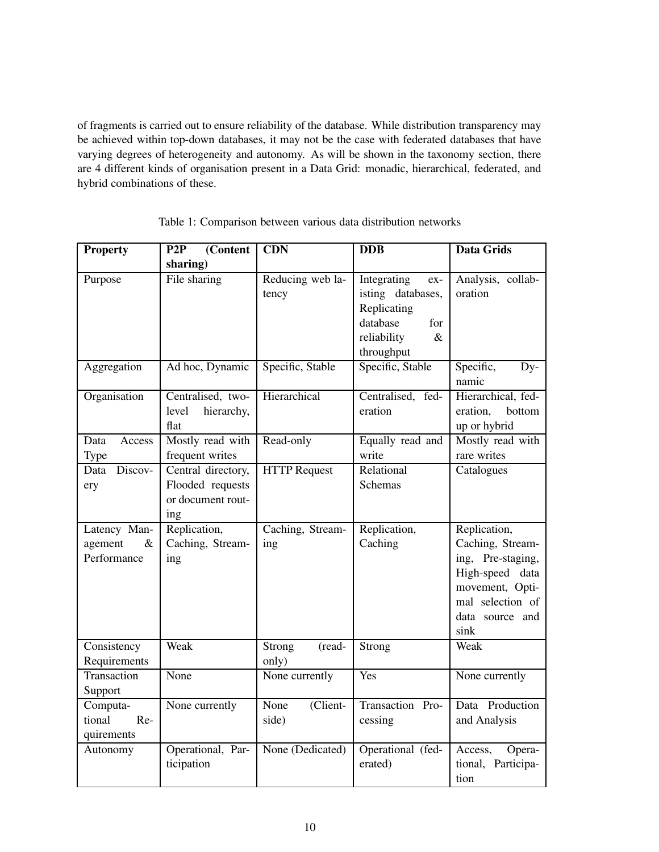of fragments is carried out to ensure reliability of the database. While distribution transparency may be achieved within top-down databases, it may not be the case with federated databases that have varying degrees of heterogeneity and autonomy. As will be shown in the taxonomy section, there are 4 different kinds of organisation present in a Data Grid: monadic, hierarchical, federated, and hybrid combinations of these.

<span id="page-9-0"></span>

| <b>Property</b>                             | P2P<br>(Content                                                    | <b>CDN</b>                | <b>DDB</b>                                                                                                       | <b>Data Grids</b>                                                                                                                          |
|---------------------------------------------|--------------------------------------------------------------------|---------------------------|------------------------------------------------------------------------------------------------------------------|--------------------------------------------------------------------------------------------------------------------------------------------|
|                                             | sharing)                                                           |                           |                                                                                                                  |                                                                                                                                            |
| Purpose                                     | File sharing                                                       | Reducing web la-<br>tency | Integrating<br>$ex-$<br>isting databases,<br>Replicating<br>database<br>for<br>reliability<br>$\&$<br>throughput | Analysis, collab-<br>oration                                                                                                               |
| Aggregation                                 | Ad hoc, Dynamic                                                    | Specific, Stable          | Specific, Stable                                                                                                 | Specific,<br>Dy-<br>namic                                                                                                                  |
| Organisation                                | Centralised, two-<br>level<br>hierarchy,<br>flat                   | Hierarchical              | Centralised, fed-<br>eration                                                                                     | Hierarchical, fed-<br>eration,<br>bottom<br>up or hybrid                                                                                   |
| Data<br>Access<br>Type                      | Mostly read with<br>frequent writes                                | Read-only                 | Equally read and<br>write                                                                                        | Mostly read with<br>rare writes                                                                                                            |
| Discov-<br>Data<br>ery                      | Central directory,<br>Flooded requests<br>or document rout-<br>ing | <b>HTTP Request</b>       | Relational<br>Schemas                                                                                            | Catalogues                                                                                                                                 |
| Latency Man-<br>agement<br>&<br>Performance | Replication,<br>Caching, Stream-<br>ing                            | Caching, Stream-<br>ing   | Replication,<br>Caching                                                                                          | Replication,<br>Caching, Stream-<br>ing, Pre-staging,<br>High-speed data<br>movement, Opti-<br>mal selection of<br>data source and<br>sink |
| Consistency<br>Requirements                 | Weak                                                               | (read-<br>Strong<br>only) | Strong                                                                                                           | Weak                                                                                                                                       |
| Transaction<br>Support                      | None                                                               | None currently            | Yes                                                                                                              | None currently                                                                                                                             |
| Computa-<br>tional<br>Re-<br>quirements     | None currently                                                     | None<br>(Client-<br>side) | Transaction Pro-<br>cessing                                                                                      | Data Production<br>and Analysis                                                                                                            |
| Autonomy                                    | Operational, Par-<br>ticipation                                    | None (Dedicated)          | Operational (fed-<br>erated)                                                                                     | Opera-<br>Access,<br>tional, Participa-<br>tion                                                                                            |

| Table 1: Comparison between various data distribution networks |  |  |  |
|----------------------------------------------------------------|--|--|--|
|                                                                |  |  |  |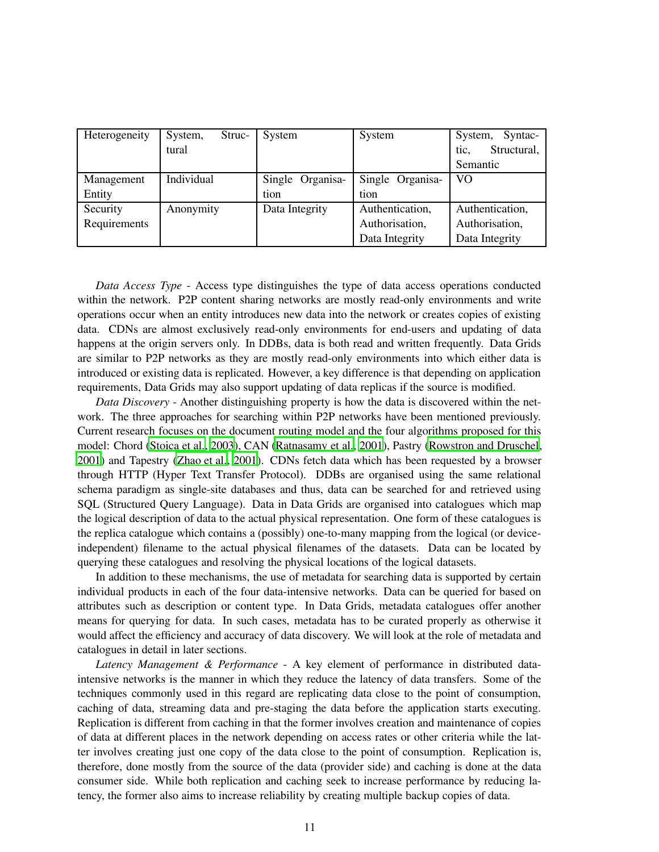| Heterogeneity | Struc-<br>System, | System           | System           | System,<br>Syntac-  |
|---------------|-------------------|------------------|------------------|---------------------|
|               | tural             |                  |                  | Structural,<br>tic. |
|               |                   |                  |                  | Semantic            |
| Management    | Individual        | Single Organisa- | Single Organisa- | VO                  |
| Entity        |                   | tion             | tion             |                     |
| Security      | Anonymity         | Data Integrity   | Authentication,  | Authentication,     |
| Requirements  |                   |                  | Authorisation,   | Authorisation,      |
|               |                   |                  | Data Integrity   | Data Integrity      |

*Data Access Type* - Access type distinguishes the type of data access operations conducted within the network. P2P content sharing networks are mostly read-only environments and write operations occur when an entity introduces new data into the network or creates copies of existing data. CDNs are almost exclusively read-only environments for end-users and updating of data happens at the origin servers only. In DDBs, data is both read and written frequently. Data Grids are similar to P2P networks as they are mostly read-only environments into which either data is introduced or existing data is replicated. However, a key difference is that depending on application requirements, Data Grids may also support updating of data replicas if the source is modified.

*Data Discovery* - Another distinguishing property is how the data is discovered within the network. The three approaches for searching within P2P networks have been mentioned previously. Current research focuses on the document routing model and the four algorithms proposed for this model: Chord [\(Stoica](#page-57-1) et al., [2003\)](#page-57-1), CAN [\(Ratnasamy](#page-57-2) et al., [2001\)](#page-57-2), Pastry [\(Rowstron](#page-57-3) and Druschel, [2001\)](#page-57-3) and Tapestry [\(Zhao](#page-59-0) et al., [2001](#page-59-0)). CDNs fetch data which has been requested by a browser through HTTP (Hyper Text Transfer Protocol). DDBs are organised using the same relational schema paradigm as single-site databases and thus, data can be searched for and retrieved using SQL (Structured Query Language). Data in Data Grids are organised into catalogues which map the logical description of data to the actual physical representation. One form of these catalogues is the replica catalogue which contains a (possibly) one-to-many mapping from the logical (or deviceindependent) filename to the actual physical filenames of the datasets. Data can be located by querying these catalogues and resolving the physical locations of the logical datasets.

In addition to these mechanisms, the use of metadata for searching data is supported by certain individual products in each of the four data-intensive networks. Data can be queried for based on attributes such as description or content type. In Data Grids, metadata catalogues offer another means for querying for data. In such cases, metadata has to be curated properly as otherwise it would affect the efficiency and accuracy of data discovery. We will look at the role of metadata and catalogues in detail in later sections.

*Latency Management & Performance* - A key element of performance in distributed dataintensive networks is the manner in which they reduce the latency of data transfers. Some of the techniques commonly used in this regard are replicating data close to the point of consumption, caching of data, streaming data and pre-staging the data before the application starts executing. Replication is different from caching in that the former involves creation and maintenance of copies of data at different places in the network depending on access rates or other criteria while the latter involves creating just one copy of the data close to the point of consumption. Replication is, therefore, done mostly from the source of the data (provider side) and caching is done at the data consumer side. While both replication and caching seek to increase performance by reducing latency, the former also aims to increase reliability by creating multiple backup copies of data.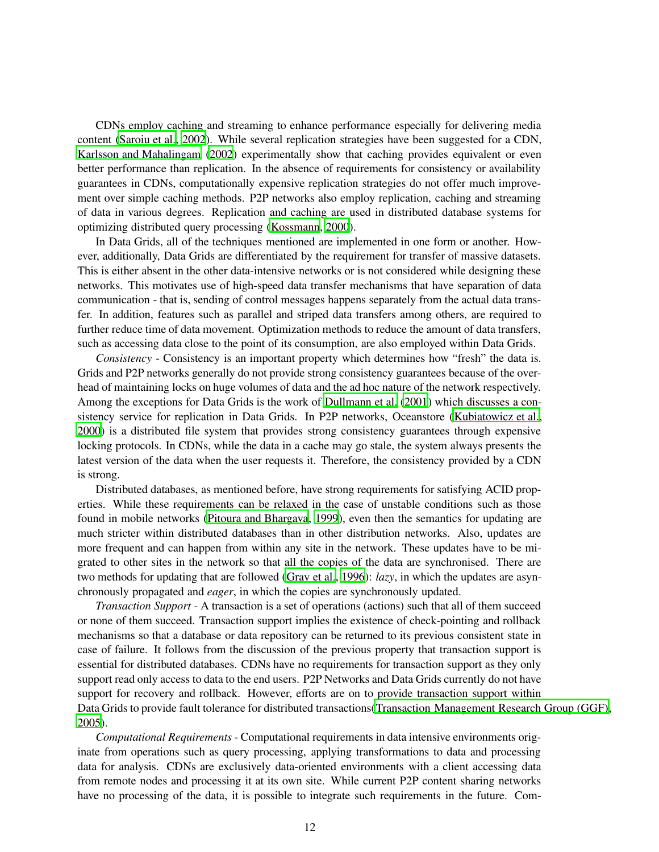CDNs employ caching and streaming to enhance performance especially for delivering media content [\(Saroiu](#page-57-4) et al., [2002](#page-57-4)). While several replication strategies have been suggested for a CDN, Karlsson and [Mahalingam](#page-53-3) [\(2002](#page-53-3)) experimentally show that caching provides equivalent or even better performance than replication. In the absence of requirements for consistency or availability guarantees in CDNs, computationally expensive replication strategies do not offer much improvement over simple caching methods. P2P networks also employ replication, caching and streaming of data in various degrees. Replication and caching are used in distributed database systems for optimizing distributed query processing [\(Kossmann](#page-53-4), [2000](#page-53-4)).

In Data Grids, all of the techniques mentioned are implemented in one form or another. However, additionally, Data Grids are differentiated by the requirement for transfer of massive datasets. This is either absent in the other data-intensive networks or is not considered while designing these networks. This motivates use of high-speed data transfer mechanisms that have separation of data communication - that is, sending of control messages happens separately from the actual data transfer. In addition, features such as parallel and striped data transfers among others, are required to further reduce time of data movement. Optimization methods to reduce the amount of data transfers, such as accessing data close to the point of its consumption, are also employed within Data Grids.

*Consistency* - Consistency is an important property which determines how "fresh" the data is. Grids and P2P networks generally do not provide strong consistency guarantees because of the overhead of maintaining locks on huge volumes of data and the ad hoc nature of the network respectively. Among the exceptions for Data Grids is the work of [Dullmann](#page-51-3) et al. [\(2001](#page-51-3)) which discusses a consistency service for replication in Data Grids. In P2P networks, Oceanstore [\(Kubiatowicz](#page-54-4) et al., [2000\)](#page-54-4) is a distributed file system that provides strong consistency guarantees through expensive locking protocols. In CDNs, while the data in a cache may go stale, the system always presents the latest version of the data when the user requests it. Therefore, the consistency provided by a CDN is strong.

Distributed databases, as mentioned before, have strong requirements for satisfying ACID properties. While these requirements can be relaxed in the case of unstable conditions such as those found in mobile networks (Pitoura and [Bhargava,](#page-56-1) [1999\)](#page-56-1), even then the semantics for updating are much stricter within distributed databases than in other distribution networks. Also, updates are more frequent and can happen from within any site in the network. These updates have to be migrated to other sites in the network so that all the copies of the data are synchronised. There are two methods for updating that are followed [\(Gray](#page-52-7) et al., [1996](#page-52-7)): *lazy*, in which the updates are asynchronously propagated and *eager*, in which the copies are synchronously updated.

*Transaction Support* - A transaction is a set of operations (actions) such that all of them succeed or none of them succeed. Transaction support implies the existence of check-pointing and rollback mechanisms so that a database or data repository can be returned to its previous consistent state in case of failure. It follows from the discussion of the previous property that transaction support is essential for distributed databases. CDNs have no requirements for transaction support as they only support read only access to data to the end users. P2P Networks and Data Grids currently do not have support for recovery and rollback. However, efforts are on to provide transaction support within Data Grids to provide fault tolerance for distributed transactions(Transaction [Management](#page-58-0) Research Group (GGF), [2005\)](#page-58-0).

*Computational Requirements* - Computational requirements in data intensive environments originate from operations such as query processing, applying transformations to data and processing data for analysis. CDNs are exclusively data-oriented environments with a client accessing data from remote nodes and processing it at its own site. While current P2P content sharing networks have no processing of the data, it is possible to integrate such requirements in the future. Com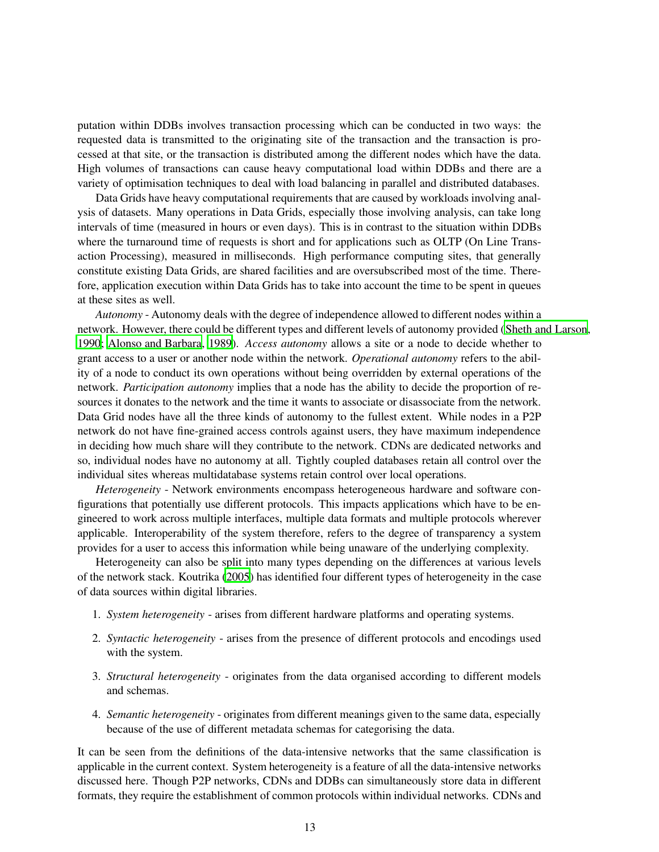putation within DDBs involves transaction processing which can be conducted in two ways: the requested data is transmitted to the originating site of the transaction and the transaction is processed at that site, or the transaction is distributed among the different nodes which have the data. High volumes of transactions can cause heavy computational load within DDBs and there are a variety of optimisation techniques to deal with load balancing in parallel and distributed databases.

Data Grids have heavy computational requirements that are caused by workloads involving analysis of datasets. Many operations in Data Grids, especially those involving analysis, can take long intervals of time (measured in hours or even days). This is in contrast to the situation within DDBs where the turnaround time of requests is short and for applications such as OLTP (On Line Transaction Processing), measured in milliseconds. High performance computing sites, that generally constitute existing Data Grids, are shared facilities and are oversubscribed most of the time. Therefore, application execution within Data Grids has to take into account the time to be spent in queues at these sites as well.

*Autonomy* - Autonomy deals with the degree of independence allowed to different nodes within a network. However, there could be different types and different levels of autonomy provided (Sheth and [Larson](#page-57-0), [1990;](#page-57-0) Alonso and [Barbara](#page-48-0), [1989\)](#page-48-0). *Access autonomy* allows a site or a node to decide whether to grant access to a user or another node within the network. *Operational autonomy* refers to the ability of a node to conduct its own operations without being overridden by external operations of the network. *Participation autonomy* implies that a node has the ability to decide the proportion of resources it donates to the network and the time it wants to associate or disassociate from the network. Data Grid nodes have all the three kinds of autonomy to the fullest extent. While nodes in a P2P network do not have fine-grained access controls against users, they have maximum independence in deciding how much share will they contribute to the network. CDNs are dedicated networks and so, individual nodes have no autonomy at all. Tightly coupled databases retain all control over the individual sites whereas multidatabase systems retain control over local operations.

*Heterogeneity* - Network environments encompass heterogeneous hardware and software configurations that potentially use different protocols. This impacts applications which have to be engineered to work across multiple interfaces, multiple data formats and multiple protocols wherever applicable. Interoperability of the system therefore, refers to the degree of transparency a system provides for a user to access this information while being unaware of the underlying complexity.

Heterogeneity can also be split into many types depending on the differences at various levels of the network stack. Koutrika [\(2005](#page-53-5)) has identified four different types of heterogeneity in the case of data sources within digital libraries.

- 1. *System heterogeneity* arises from different hardware platforms and operating systems.
- 2. *Syntactic heterogeneity* arises from the presence of different protocols and encodings used with the system.
- 3. *Structural heterogeneity* originates from the data organised according to different models and schemas.
- 4. *Semantic heterogeneity* originates from different meanings given to the same data, especially because of the use of different metadata schemas for categorising the data.

It can be seen from the definitions of the data-intensive networks that the same classification is applicable in the current context. System heterogeneity is a feature of all the data-intensive networks discussed here. Though P2P networks, CDNs and DDBs can simultaneously store data in different formats, they require the establishment of common protocols within individual networks. CDNs and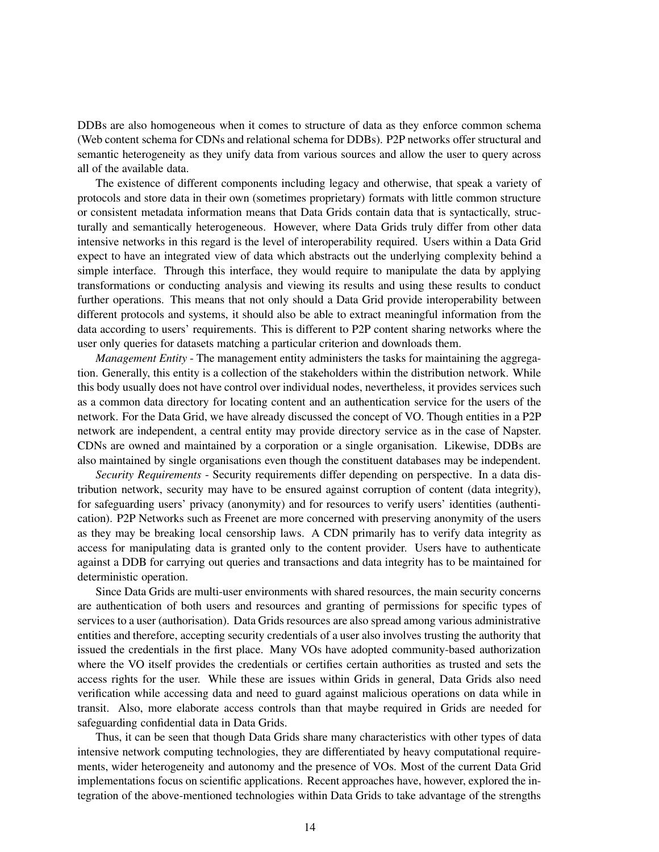DDBs are also homogeneous when it comes to structure of data as they enforce common schema (Web content schema for CDNs and relational schema for DDBs). P2P networks offer structural and semantic heterogeneity as they unify data from various sources and allow the user to query across all of the available data.

The existence of different components including legacy and otherwise, that speak a variety of protocols and store data in their own (sometimes proprietary) formats with little common structure or consistent metadata information means that Data Grids contain data that is syntactically, structurally and semantically heterogeneous. However, where Data Grids truly differ from other data intensive networks in this regard is the level of interoperability required. Users within a Data Grid expect to have an integrated view of data which abstracts out the underlying complexity behind a simple interface. Through this interface, they would require to manipulate the data by applying transformations or conducting analysis and viewing its results and using these results to conduct further operations. This means that not only should a Data Grid provide interoperability between different protocols and systems, it should also be able to extract meaningful information from the data according to users' requirements. This is different to P2P content sharing networks where the user only queries for datasets matching a particular criterion and downloads them.

*Management Entity* - The management entity administers the tasks for maintaining the aggregation. Generally, this entity is a collection of the stakeholders within the distribution network. While this body usually does not have control over individual nodes, nevertheless, it provides services such as a common data directory for locating content and an authentication service for the users of the network. For the Data Grid, we have already discussed the concept of VO. Though entities in a P2P network are independent, a central entity may provide directory service as in the case of Napster. CDNs are owned and maintained by a corporation or a single organisation. Likewise, DDBs are also maintained by single organisations even though the constituent databases may be independent.

*Security Requirements* - Security requirements differ depending on perspective. In a data distribution network, security may have to be ensured against corruption of content (data integrity), for safeguarding users' privacy (anonymity) and for resources to verify users' identities (authentication). P2P Networks such as Freenet are more concerned with preserving anonymity of the users as they may be breaking local censorship laws. A CDN primarily has to verify data integrity as access for manipulating data is granted only to the content provider. Users have to authenticate against a DDB for carrying out queries and transactions and data integrity has to be maintained for deterministic operation.

Since Data Grids are multi-user environments with shared resources, the main security concerns are authentication of both users and resources and granting of permissions for specific types of services to a user (authorisation). Data Grids resources are also spread among various administrative entities and therefore, accepting security credentials of a user also involves trusting the authority that issued the credentials in the first place. Many VOs have adopted community-based authorization where the VO itself provides the credentials or certifies certain authorities as trusted and sets the access rights for the user. While these are issues within Grids in general, Data Grids also need verification while accessing data and need to guard against malicious operations on data while in transit. Also, more elaborate access controls than that maybe required in Grids are needed for safeguarding confidential data in Data Grids.

Thus, it can be seen that though Data Grids share many characteristics with other types of data intensive network computing technologies, they are differentiated by heavy computational requirements, wider heterogeneity and autonomy and the presence of VOs. Most of the current Data Grid implementations focus on scientific applications. Recent approaches have, however, explored the integration of the above-mentioned technologies within Data Grids to take advantage of the strengths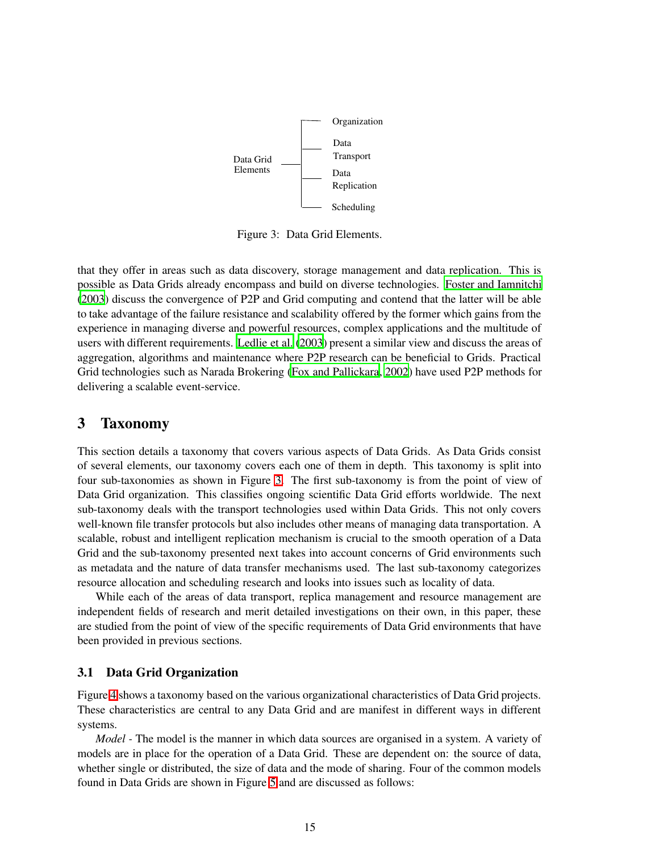

<span id="page-14-1"></span>Figure 3: Data Grid Elements.

that they offer in areas such as data discovery, storage management and data replication. This is possible as Data Grids already encompass and build on diverse technologies. Foster and [Iamnitchi](#page-51-4) [\(2003](#page-51-4)) discuss the convergence of P2P and Grid computing and contend that the latter will be able to take advantage of the failure resistance and scalability offered by the former which gains from the experience in managing diverse and powerful resources, complex applications and the multitude of users with different requirements. [Ledlie](#page-54-5) et al. [\(2003](#page-54-5)) present a similar view and discuss the areas of aggregation, algorithms and maintenance where P2P research can be beneficial to Grids. Practical Grid technologies such as Narada Brokering (Fox and [Pallickara](#page-52-8), [2002\)](#page-52-8) have used P2P methods for delivering a scalable event-service.

# <span id="page-14-0"></span>**3 Taxonomy**

This section details a taxonomy that covers various aspects of Data Grids. As Data Grids consist of several elements, our taxonomy covers each one of them in depth. This taxonomy is split into four sub-taxonomies as shown in Figure [3.](#page-14-1) The first sub-taxonomy is from the point of view of Data Grid organization. This classifies ongoing scientific Data Grid efforts worldwide. The next sub-taxonomy deals with the transport technologies used within Data Grids. This not only covers well-known file transfer protocols but also includes other means of managing data transportation. A scalable, robust and intelligent replication mechanism is crucial to the smooth operation of a Data Grid and the sub-taxonomy presented next takes into account concerns of Grid environments such as metadata and the nature of data transfer mechanisms used. The last sub-taxonomy categorizes resource allocation and scheduling research and looks into issues such as locality of data.

While each of the areas of data transport, replica management and resource management are independent fields of research and merit detailed investigations on their own, in this paper, these are studied from the point of view of the specific requirements of Data Grid environments that have been provided in previous sections.

### **3.1 Data Grid Organization**

Figure [4](#page-15-0) shows a taxonomy based on the various organizational characteristics of Data Grid projects. These characteristics are central to any Data Grid and are manifest in different ways in different systems.

*Model -* The model is the manner in which data sources are organised in a system. A variety of models are in place for the operation of a Data Grid. These are dependent on: the source of data, whether single or distributed, the size of data and the mode of sharing. Four of the common models found in Data Grids are shown in Figure [5](#page-16-0) and are discussed as follows: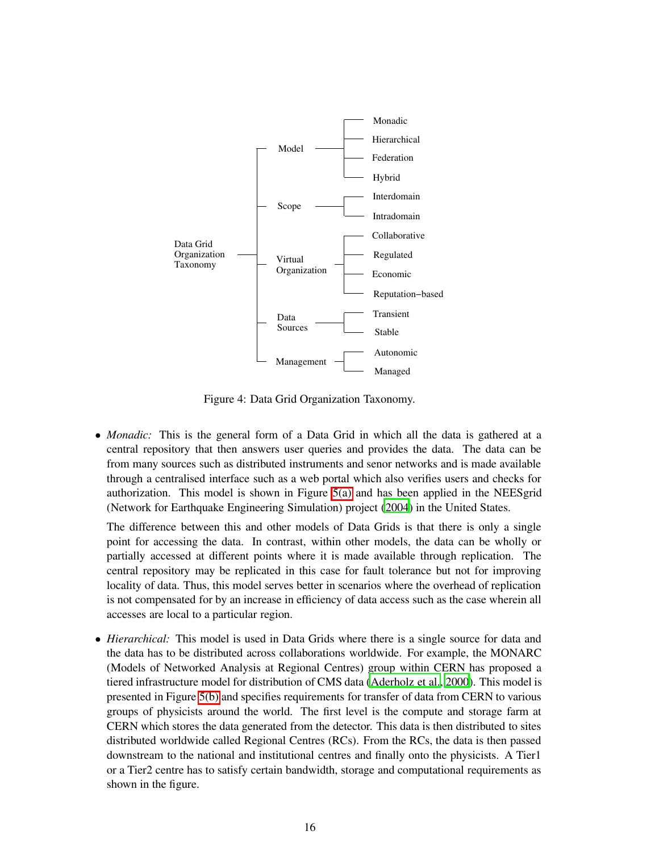

<span id="page-15-0"></span>Figure 4: Data Grid Organization Taxonomy.

• *Monadic:* This is the general form of a Data Grid in which all the data is gathered at a central repository that then answers user queries and provides the data. The data can be from many sources such as distributed instruments and senor networks and is made available through a centralised interface such as a web portal which also verifies users and checks for authorization. This model is shown in Figure [5\(a\)](#page-16-1) and has been applied in the NEESgrid (Network for Earthquake Engineering Simulation) project [\(2004](#page-56-2)) in the United States.

The difference between this and other models of Data Grids is that there is only a single point for accessing the data. In contrast, within other models, the data can be wholly or partially accessed at different points where it is made available through replication. The central repository may be replicated in this case for fault tolerance but not for improving locality of data. Thus, this model serves better in scenarios where the overhead of replication is not compensated for by an increase in efficiency of data access such as the case wherein all accesses are local to a particular region.

• *Hierarchical:* This model is used in Data Grids where there is a single source for data and the data has to be distributed across collaborations worldwide. For example, the MONARC (Models of Networked Analysis at Regional Centres) group within CERN has proposed a tiered infrastructure model for distribution of CMS data [\(Aderholz](#page-48-1) et al., [2000](#page-48-1)). This model is presented in Figure [5\(b\)](#page-16-2) and specifies requirements for transfer of data from CERN to various groups of physicists around the world. The first level is the compute and storage farm at CERN which stores the data generated from the detector. This data is then distributed to sites distributed worldwide called Regional Centres (RCs). From the RCs, the data is then passed downstream to the national and institutional centres and finally onto the physicists. A Tier1 or a Tier2 centre has to satisfy certain bandwidth, storage and computational requirements as shown in the figure.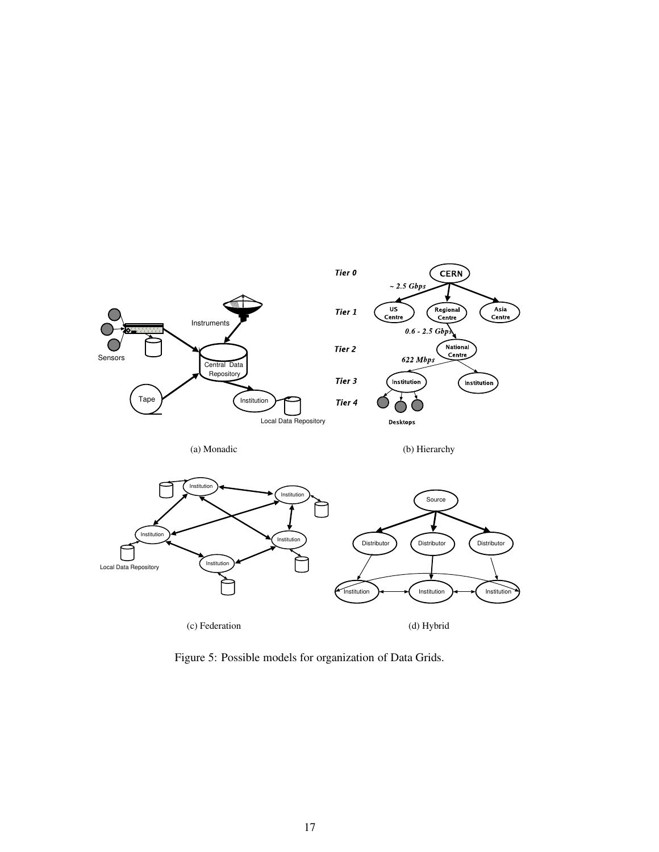<span id="page-16-2"></span><span id="page-16-1"></span>

<span id="page-16-4"></span><span id="page-16-3"></span><span id="page-16-0"></span>Figure 5: Possible models for organization of Data Grids.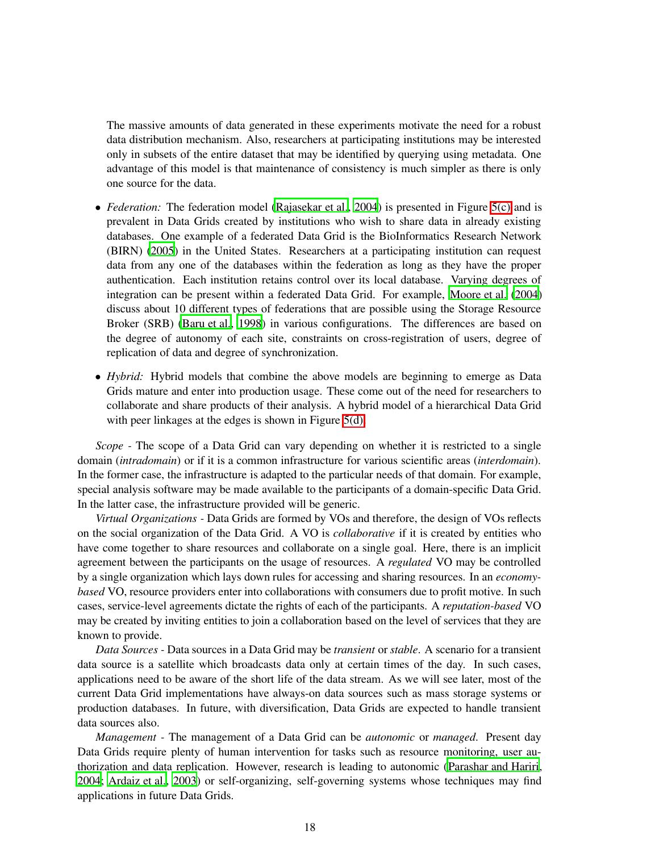The massive amounts of data generated in these experiments motivate the need for a robust data distribution mechanism. Also, researchers at participating institutions may be interested only in subsets of the entire dataset that may be identified by querying using metadata. One advantage of this model is that maintenance of consistency is much simpler as there is only one source for the data.

- *Federation:* The federation model [\(Rajasekar](#page-56-3) et al., [2004](#page-56-3)) is presented in Figure [5\(c\)](#page-16-3) and is prevalent in Data Grids created by institutions who wish to share data in already existing databases. One example of a federated Data Grid is the BioInformatics Research Network (BIRN) [\(2005](#page-49-6)) in the United States. Researchers at a participating institution can request data from any one of the databases within the federation as long as they have the proper authentication. Each institution retains control over its local database. Varying degrees of integration can be present within a federated Data Grid. For example, [Moore](#page-55-7) et al. [\(2004](#page-55-7)) discuss about 10 different types of federations that are possible using the Storage Resource Broker (SRB) [\(Baru](#page-49-7) et al., [1998](#page-49-7)) in various configurations. The differences are based on the degree of autonomy of each site, constraints on cross-registration of users, degree of replication of data and degree of synchronization.
- *Hybrid:* Hybrid models that combine the above models are beginning to emerge as Data Grids mature and enter into production usage. These come out of the need for researchers to collaborate and share products of their analysis. A hybrid model of a hierarchical Data Grid with peer linkages at the edges is shown in Figure [5\(d\).](#page-16-4)

*Scope -* The scope of a Data Grid can vary depending on whether it is restricted to a single domain (*intradomain*) or if it is a common infrastructure for various scientific areas (*interdomain*). In the former case, the infrastructure is adapted to the particular needs of that domain. For example, special analysis software may be made available to the participants of a domain-specific Data Grid. In the latter case, the infrastructure provided will be generic.

*Virtual Organizations -* Data Grids are formed by VOs and therefore, the design of VOs reflects on the social organization of the Data Grid. A VO is *collaborative* if it is created by entities who have come together to share resources and collaborate on a single goal. Here, there is an implicit agreement between the participants on the usage of resources. A *regulated* VO may be controlled by a single organization which lays down rules for accessing and sharing resources. In an *economybased* VO, resource providers enter into collaborations with consumers due to profit motive. In such cases, service-level agreements dictate the rights of each of the participants. A *reputation-based* VO may be created by inviting entities to join a collaboration based on the level of services that they are known to provide.

*Data Sources -* Data sources in a Data Grid may be *transient* or *stable*. A scenario for a transient data source is a satellite which broadcasts data only at certain times of the day. In such cases, applications need to be aware of the short life of the data stream. As we will see later, most of the current Data Grid implementations have always-on data sources such as mass storage systems or production databases. In future, with diversification, Data Grids are expected to handle transient data sources also.

*Management -* The management of a Data Grid can be *autonomic* or *managed*. Present day Data Grids require plenty of human intervention for tasks such as resource monitoring, user authorization and data replication. However, research is leading to autonomic ([Parashar](#page-55-8) and Hariri, [2004;](#page-55-8) [Ardaiz](#page-49-8) et al., [2003\)](#page-49-8) or self-organizing, self-governing systems whose techniques may find applications in future Data Grids.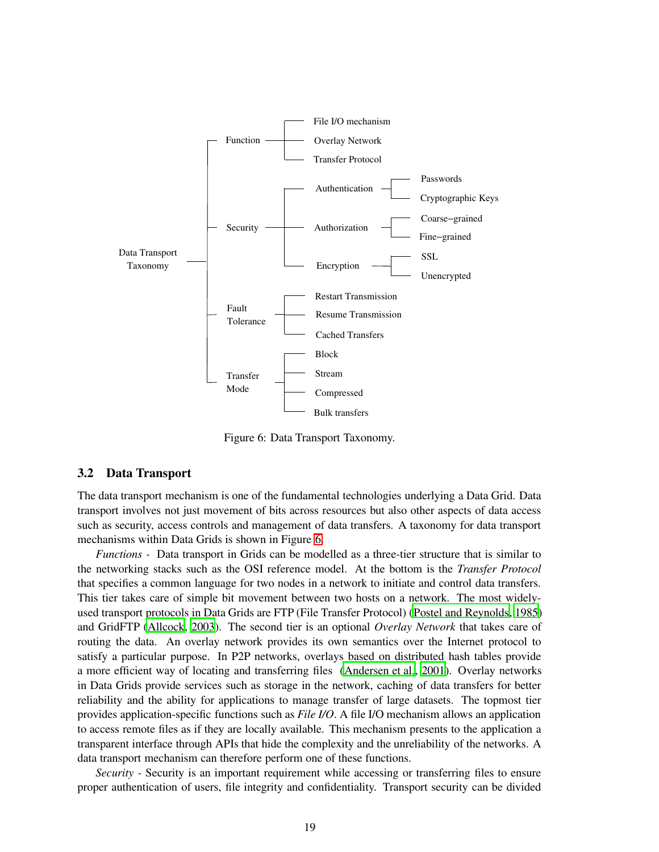

<span id="page-18-0"></span>Figure 6: Data Transport Taxonomy.

#### <span id="page-18-1"></span>**3.2 Data Transport**

The data transport mechanism is one of the fundamental technologies underlying a Data Grid. Data transport involves not just movement of bits across resources but also other aspects of data access such as security, access controls and management of data transfers. A taxonomy for data transport mechanisms within Data Grids is shown in Figure [6.](#page-18-0)

*Functions -* Data transport in Grids can be modelled as a three-tier structure that is similar to the networking stacks such as the OSI reference model. At the bottom is the *Transfer Protocol* that specifies a common language for two nodes in a network to initiate and control data transfers. This tier takes care of simple bit movement between two hosts on a network. The most widelyused transport protocols in Data Grids are FTP (File Transfer Protocol) (Postel and [Reynolds](#page-56-4), [1985](#page-56-4)) and GridFTP [\(Allcock](#page-48-2), [2003\)](#page-48-2). The second tier is an optional *Overlay Network* that takes care of routing the data. An overlay network provides its own semantics over the Internet protocol to satisfy a particular purpose. In P2P networks, overlays based on distributed hash tables provide a more efficient way of locating and transferring files [\(Andersen](#page-48-3) et al., [2001\)](#page-48-3). Overlay networks in Data Grids provide services such as storage in the network, caching of data transfers for better reliability and the ability for applications to manage transfer of large datasets. The topmost tier provides application-specific functions such as *File I/O*. A file I/O mechanism allows an application to access remote files as if they are locally available. This mechanism presents to the application a transparent interface through APIs that hide the complexity and the unreliability of the networks. A data transport mechanism can therefore perform one of these functions.

*Security -* Security is an important requirement while accessing or transferring files to ensure proper authentication of users, file integrity and confidentiality. Transport security can be divided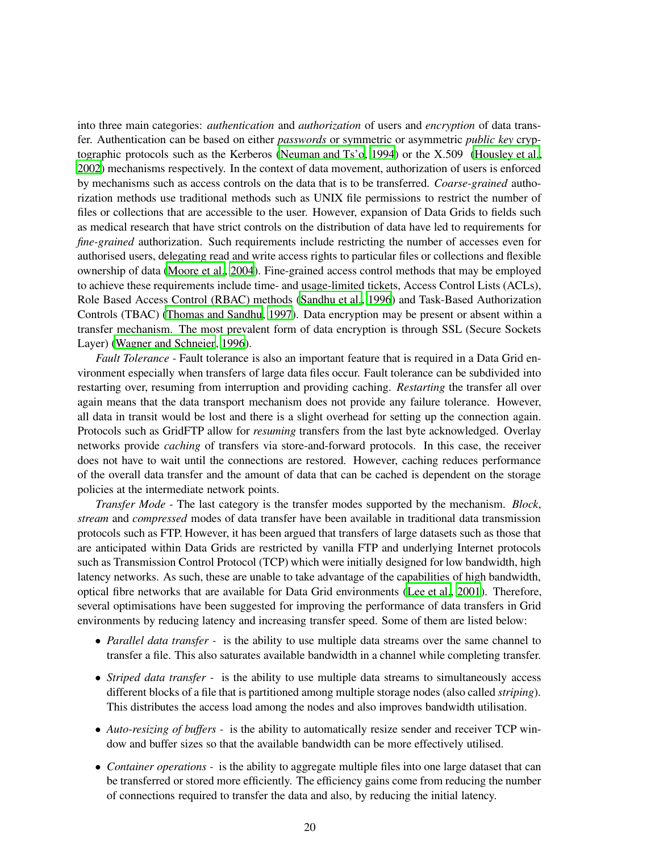into three main categories: *authentication* and *authorization* of users and *encryption* of data transfer. Authentication can be based on either *passwords* or symmetric or asymmetric *public key* cryptographic protocols such as the Kerberos [\(Neuman](#page-55-9) and Ts'o, [1994\)](#page-55-9) or the X.509 [\(Housley](#page-53-6) et al., [2002\)](#page-53-6) mechanisms respectively. In the context of data movement, authorization of users is enforced by mechanisms such as access controls on the data that is to be transferred. *Coarse-grained* authorization methods use traditional methods such as UNIX file permissions to restrict the number of files or collections that are accessible to the user. However, expansion of Data Grids to fields such as medical research that have strict controls on the distribution of data have led to requirements for *fine-grained* authorization. Such requirements include restricting the number of accesses even for authorised users, delegating read and write access rights to particular files or collections and flexible ownership of data [\(Moore](#page-55-7) et al., [2004](#page-55-7)). Fine-grained access control methods that may be employed to achieve these requirements include time- and usage-limited tickets, Access Control Lists (ACLs), Role Based Access Control (RBAC) methods [\(Sandhu](#page-57-5) et al., [1996\)](#page-57-5) and Task-Based Authorization Controls (TBAC) [\(Thomas](#page-58-1) and Sandhu, [1997](#page-58-1)). Data encryption may be present or absent within a transfer mechanism. The most prevalent form of data encryption is through SSL (Secure Sockets Layer) (Wagner and [Schneier](#page-59-1), [1996\)](#page-59-1).

*Fault Tolerance -* Fault tolerance is also an important feature that is required in a Data Grid environment especially when transfers of large data files occur. Fault tolerance can be subdivided into restarting over, resuming from interruption and providing caching. *Restarting* the transfer all over again means that the data transport mechanism does not provide any failure tolerance. However, all data in transit would be lost and there is a slight overhead for setting up the connection again. Protocols such as GridFTP allow for *resuming* transfers from the last byte acknowledged. Overlay networks provide *caching* of transfers via store-and-forward protocols. In this case, the receiver does not have to wait until the connections are restored. However, caching reduces performance of the overall data transfer and the amount of data that can be cached is dependent on the storage policies at the intermediate network points.

*Transfer Mode -* The last category is the transfer modes supported by the mechanism. *Block*, *stream* and *compressed* modes of data transfer have been available in traditional data transmission protocols such as FTP. However, it has been argued that transfers of large datasets such as those that are anticipated within Data Grids are restricted by vanilla FTP and underlying Internet protocols such as Transmission Control Protocol (TCP) which were initially designed for low bandwidth, high latency networks. As such, these are unable to take advantage of the capabilities of high bandwidth, optical fibre networks that are available for Data Grid environments [\(Lee](#page-54-6) et al., [2001\)](#page-54-6). Therefore, several optimisations have been suggested for improving the performance of data transfers in Grid environments by reducing latency and increasing transfer speed. Some of them are listed below:

- *Parallel data transfer* is the ability to use multiple data streams over the same channel to transfer a file. This also saturates available bandwidth in a channel while completing transfer.
- *Striped data transfer -* is the ability to use multiple data streams to simultaneously access different blocks of a file that is partitioned among multiple storage nodes (also called *striping*). This distributes the access load among the nodes and also improves bandwidth utilisation.
- *Auto-resizing of buffers -* is the ability to automatically resize sender and receiver TCP window and buffer sizes so that the available bandwidth can be more effectively utilised.
- *Container operations* is the ability to aggregate multiple files into one large dataset that can be transferred or stored more efficiently. The efficiency gains come from reducing the number of connections required to transfer the data and also, by reducing the initial latency.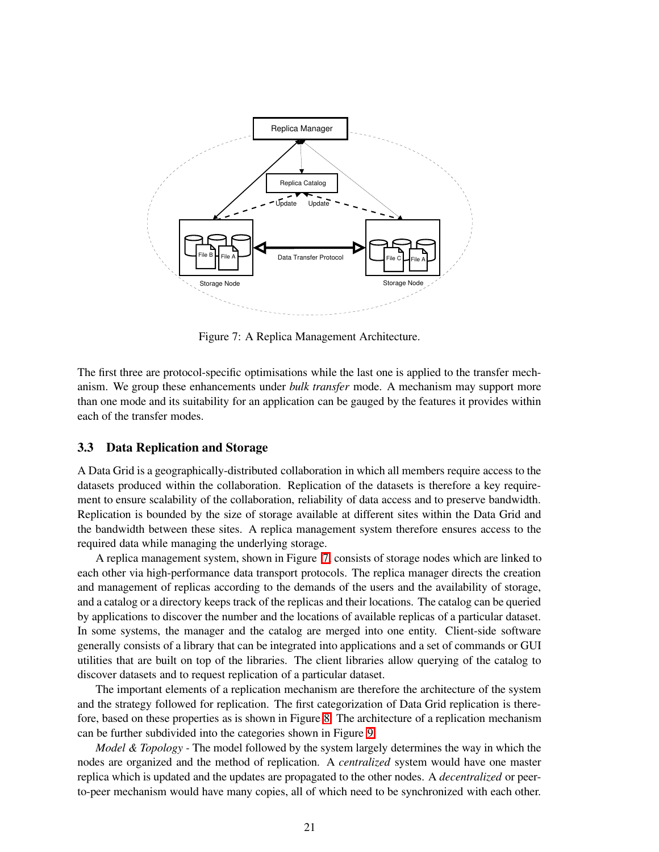

<span id="page-20-0"></span>Figure 7: A Replica Management Architecture.

The first three are protocol-specific optimisations while the last one is applied to the transfer mechanism. We group these enhancements under *bulk transfer* mode. A mechanism may support more than one mode and its suitability for an application can be gauged by the features it provides within each of the transfer modes.

#### <span id="page-20-1"></span>**3.3 Data Replication and Storage**

A Data Grid is a geographically-distributed collaboration in which all members require access to the datasets produced within the collaboration. Replication of the datasets is therefore a key requirement to ensure scalability of the collaboration, reliability of data access and to preserve bandwidth. Replication is bounded by the size of storage available at different sites within the Data Grid and the bandwidth between these sites. A replica management system therefore ensures access to the required data while managing the underlying storage.

A replica management system, shown in Figure [7,](#page-20-0) consists of storage nodes which are linked to each other via high-performance data transport protocols. The replica manager directs the creation and management of replicas according to the demands of the users and the availability of storage, and a catalog or a directory keeps track of the replicas and their locations. The catalog can be queried by applications to discover the number and the locations of available replicas of a particular dataset. In some systems, the manager and the catalog are merged into one entity. Client-side software generally consists of a library that can be integrated into applications and a set of commands or GUI utilities that are built on top of the libraries. The client libraries allow querying of the catalog to discover datasets and to request replication of a particular dataset.

The important elements of a replication mechanism are therefore the architecture of the system and the strategy followed for replication. The first categorization of Data Grid replication is therefore, based on these properties as is shown in Figure [8.](#page-21-0) The architecture of a replication mechanism can be further subdivided into the categories shown in Figure [9.](#page-21-1)

*Model & Topology -* The model followed by the system largely determines the way in which the nodes are organized and the method of replication. A *centralized* system would have one master replica which is updated and the updates are propagated to the other nodes. A *decentralized* or peerto-peer mechanism would have many copies, all of which need to be synchronized with each other.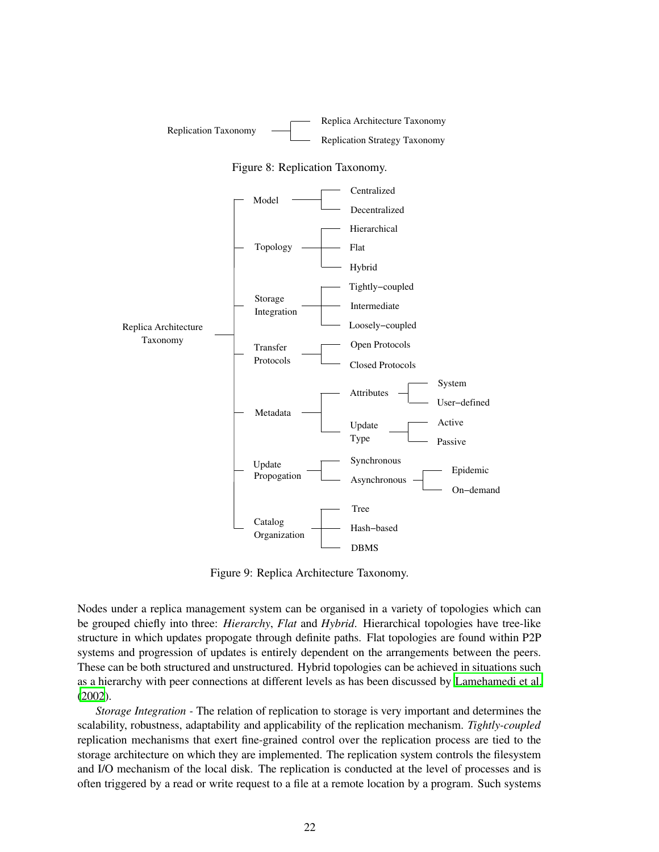

<span id="page-21-0"></span>Figure 8: Replication Taxonomy.



<span id="page-21-1"></span>Figure 9: Replica Architecture Taxonomy.

Nodes under a replica management system can be organised in a variety of topologies which can be grouped chiefly into three: *Hierarchy*, *Flat* and *Hybrid*. Hierarchical topologies have tree-like structure in which updates propogate through definite paths. Flat topologies are found within P2P systems and progression of updates is entirely dependent on the arrangements between the peers. These can be both structured and unstructured. Hybrid topologies can be achieved in situations such as a hierarchy with peer connections at different levels as has been discussed by [Lamehamedi](#page-54-7) et al. [\(2002](#page-54-7)).

*Storage Integration -* The relation of replication to storage is very important and determines the scalability, robustness, adaptability and applicability of the replication mechanism. *Tightly-coupled* replication mechanisms that exert fine-grained control over the replication process are tied to the storage architecture on which they are implemented. The replication system controls the filesystem and I/O mechanism of the local disk. The replication is conducted at the level of processes and is often triggered by a read or write request to a file at a remote location by a program. Such systems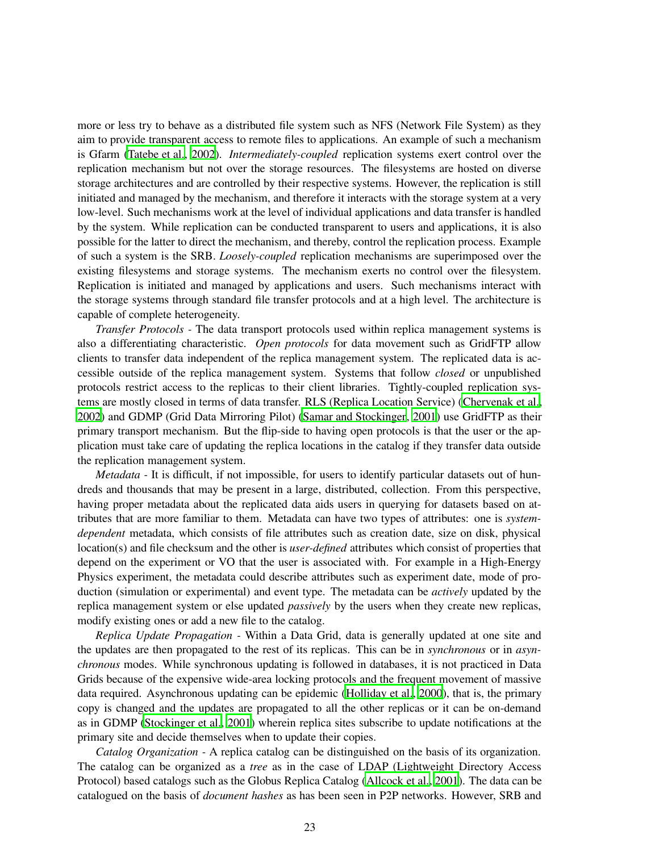more or less try to behave as a distributed file system such as NFS (Network File System) as they aim to provide transparent access to remote files to applications. An example of such a mechanism is Gfarm [\(Tatebe](#page-58-2) et al., [2002](#page-58-2)). *Intermediately-coupled* replication systems exert control over the replication mechanism but not over the storage resources. The filesystems are hosted on diverse storage architectures and are controlled by their respective systems. However, the replication is still initiated and managed by the mechanism, and therefore it interacts with the storage system at a very low-level. Such mechanisms work at the level of individual applications and data transfer is handled by the system. While replication can be conducted transparent to users and applications, it is also possible for the latter to direct the mechanism, and thereby, control the replication process. Example of such a system is the SRB. *Loosely-coupled* replication mechanisms are superimposed over the existing filesystems and storage systems. The mechanism exerts no control over the filesystem. Replication is initiated and managed by applications and users. Such mechanisms interact with the storage systems through standard file transfer protocols and at a high level. The architecture is capable of complete heterogeneity.

*Transfer Protocols -* The data transport protocols used within replica management systems is also a differentiating characteristic. *Open protocols* for data movement such as GridFTP allow clients to transfer data independent of the replica management system. The replicated data is accessible outside of the replica management system. Systems that follow *closed* or unpublished protocols restrict access to the replicas to their client libraries. Tightly-coupled replication systems are mostly closed in terms of data transfer. RLS (Replica Location Service) [\(Chervenak](#page-50-4) et al., [2002\)](#page-50-4) and GDMP (Grid Data Mirroring Pilot) (Samar and [Stockinger,](#page-57-6) [2001](#page-57-6)) use GridFTP as their primary transport mechanism. But the flip-side to having open protocols is that the user or the application must take care of updating the replica locations in the catalog if they transfer data outside the replication management system.

*Metadata -* It is difficult, if not impossible, for users to identify particular datasets out of hundreds and thousands that may be present in a large, distributed, collection. From this perspective, having proper metadata about the replicated data aids users in querying for datasets based on attributes that are more familiar to them. Metadata can have two types of attributes: one is *systemdependent* metadata, which consists of file attributes such as creation date, size on disk, physical location(s) and file checksum and the other is *user-defined* attributes which consist of properties that depend on the experiment or VO that the user is associated with. For example in a High-Energy Physics experiment, the metadata could describe attributes such as experiment date, mode of production (simulation or experimental) and event type. The metadata can be *actively* updated by the replica management system or else updated *passively* by the users when they create new replicas, modify existing ones or add a new file to the catalog.

*Replica Update Propagation -* Within a Data Grid, data is generally updated at one site and the updates are then propagated to the rest of its replicas. This can be in *synchronous* or in *asynchronous* modes. While synchronous updating is followed in databases, it is not practiced in Data Grids because of the expensive wide-area locking protocols and the frequent movement of massive data required. Asynchronous updating can be epidemic [\(Holliday](#page-53-7) et al., [2000](#page-53-7)), that is, the primary copy is changed and the updates are propagated to all the other replicas or it can be on-demand as in GDMP [\(Stockinger](#page-57-7) et al., [2001](#page-57-7)) wherein replica sites subscribe to update notifications at the primary site and decide themselves when to update their copies.

*Catalog Organization -* A replica catalog can be distinguished on the basis of its organization. The catalog can be organized as a *tree* as in the case of LDAP (Lightweight Directory Access Protocol) based catalogs such as the Globus Replica Catalog ([Allcock](#page-48-4) et al., [2001](#page-48-4)). The data can be catalogued on the basis of *document hashes* as has been seen in P2P networks. However, SRB and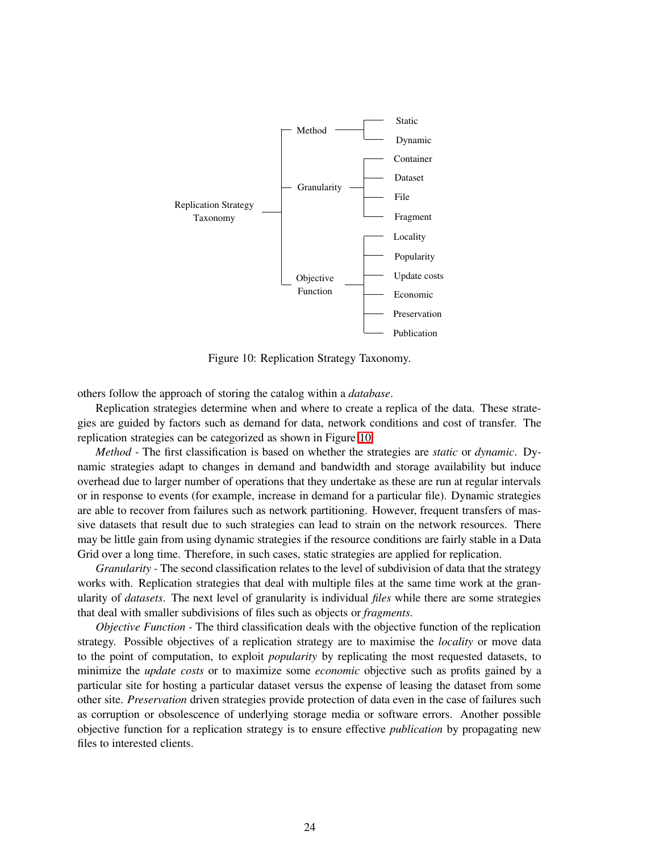

<span id="page-23-0"></span>Figure 10: Replication Strategy Taxonomy.

others follow the approach of storing the catalog within a *database*.

Replication strategies determine when and where to create a replica of the data. These strategies are guided by factors such as demand for data, network conditions and cost of transfer. The replication strategies can be categorized as shown in Figure [10.](#page-23-0)

*Method -* The first classification is based on whether the strategies are *static* or *dynamic*. Dynamic strategies adapt to changes in demand and bandwidth and storage availability but induce overhead due to larger number of operations that they undertake as these are run at regular intervals or in response to events (for example, increase in demand for a particular file). Dynamic strategies are able to recover from failures such as network partitioning. However, frequent transfers of massive datasets that result due to such strategies can lead to strain on the network resources. There may be little gain from using dynamic strategies if the resource conditions are fairly stable in a Data Grid over a long time. Therefore, in such cases, static strategies are applied for replication.

*Granularity -* The second classification relates to the level of subdivision of data that the strategy works with. Replication strategies that deal with multiple files at the same time work at the granularity of *datasets*. The next level of granularity is individual *files* while there are some strategies that deal with smaller subdivisions of files such as objects or *fragments*.

*Objective Function -* The third classification deals with the objective function of the replication strategy. Possible objectives of a replication strategy are to maximise the *locality* or move data to the point of computation, to exploit *popularity* by replicating the most requested datasets, to minimize the *update costs* or to maximize some *economic* objective such as profits gained by a particular site for hosting a particular dataset versus the expense of leasing the dataset from some other site. *Preservation* driven strategies provide protection of data even in the case of failures such as corruption or obsolescence of underlying storage media or software errors. Another possible objective function for a replication strategy is to ensure effective *publication* by propagating new files to interested clients.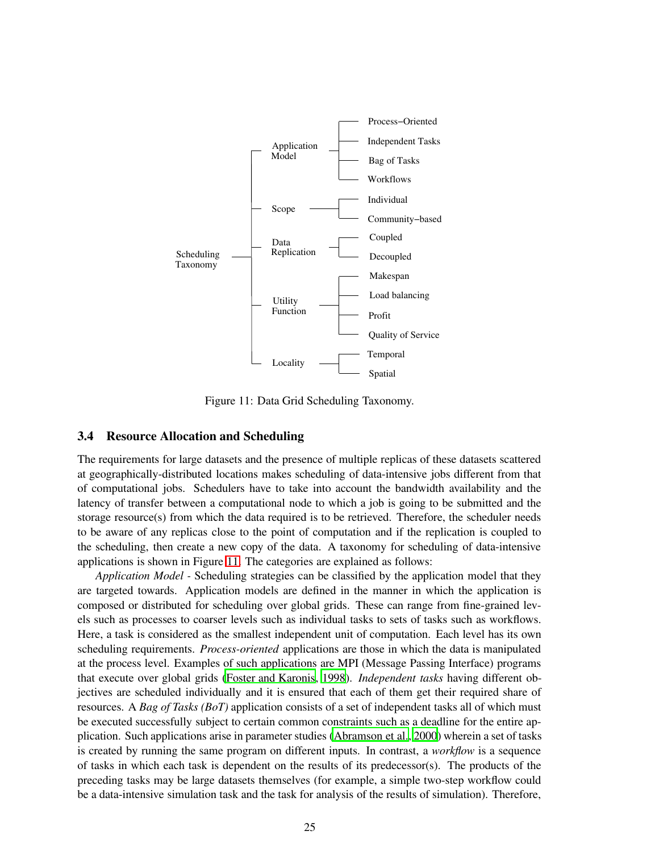

<span id="page-24-0"></span>Figure 11: Data Grid Scheduling Taxonomy.

#### <span id="page-24-1"></span>**3.4 Resource Allocation and Scheduling**

The requirements for large datasets and the presence of multiple replicas of these datasets scattered at geographically-distributed locations makes scheduling of data-intensive jobs different from that of computational jobs. Schedulers have to take into account the bandwidth availability and the latency of transfer between a computational node to which a job is going to be submitted and the storage resource(s) from which the data required is to be retrieved. Therefore, the scheduler needs to be aware of any replicas close to the point of computation and if the replication is coupled to the scheduling, then create a new copy of the data. A taxonomy for scheduling of data-intensive applications is shown in Figure [11.](#page-24-0) The categories are explained as follows:

*Application Model -* Scheduling strategies can be classified by the application model that they are targeted towards. Application models are defined in the manner in which the application is composed or distributed for scheduling over global grids. These can range from fine-grained levels such as processes to coarser levels such as individual tasks to sets of tasks such as workflows. Here, a task is considered as the smallest independent unit of computation. Each level has its own scheduling requirements. *Process-oriented* applications are those in which the data is manipulated at the process level. Examples of such applications are MPI (Message Passing Interface) programs that execute over global grids (Foster and [Karonis](#page-52-9), [1998](#page-52-9)). *Independent tasks* having different objectives are scheduled individually and it is ensured that each of them get their required share of resources. A *Bag of Tasks (BoT)* application consists of a set of independent tasks all of which must be executed successfully subject to certain common constraints such as a deadline for the entire application. Such applications arise in parameter studies [\(Abramson](#page-48-5) et al., [2000](#page-48-5)) wherein a set of tasks is created by running the same program on different inputs. In contrast, a *workflow* is a sequence of tasks in which each task is dependent on the results of its predecessor(s). The products of the preceding tasks may be large datasets themselves (for example, a simple two-step workflow could be a data-intensive simulation task and the task for analysis of the results of simulation). Therefore,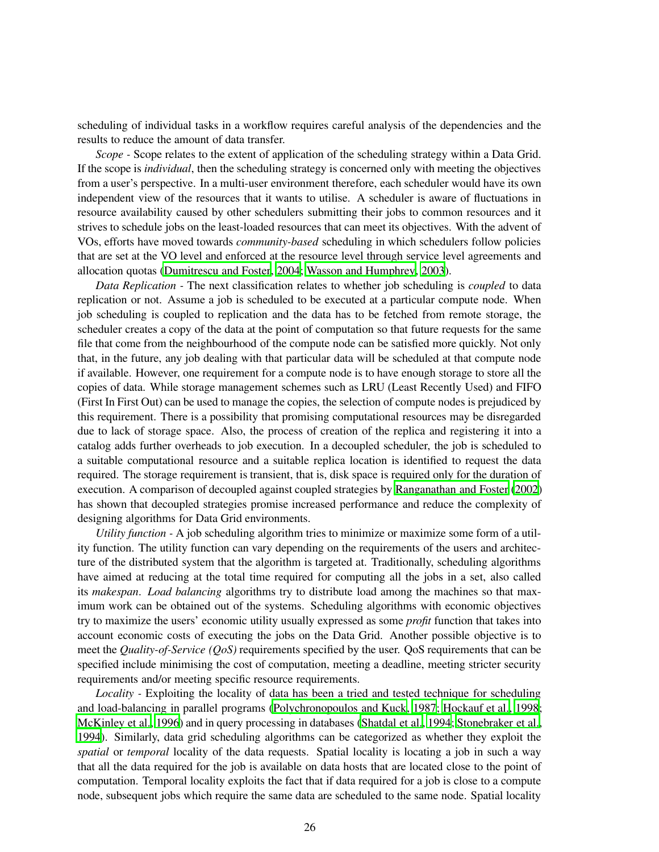scheduling of individual tasks in a workflow requires careful analysis of the dependencies and the results to reduce the amount of data transfer.

*Scope -* Scope relates to the extent of application of the scheduling strategy within a Data Grid. If the scope is *individual*, then the scheduling strategy is concerned only with meeting the objectives from a user's perspective. In a multi-user environment therefore, each scheduler would have its own independent view of the resources that it wants to utilise. A scheduler is aware of fluctuations in resource availability caused by other schedulers submitting their jobs to common resources and it strives to schedule jobs on the least-loaded resources that can meet its objectives. With the advent of VOs, efforts have moved towards *community-based* scheduling in which schedulers follow policies that are set at the VO level and enforced at the resource level through service level agreements and allocation quotas [\(Dumitrescu](#page-51-5) and Foster, [2004](#page-51-5); Wasson and [Humphrey](#page-59-2), [2003](#page-59-2)).

*Data Replication -* The next classification relates to whether job scheduling is *coupled* to data replication or not. Assume a job is scheduled to be executed at a particular compute node. When job scheduling is coupled to replication and the data has to be fetched from remote storage, the scheduler creates a copy of the data at the point of computation so that future requests for the same file that come from the neighbourhood of the compute node can be satisfied more quickly. Not only that, in the future, any job dealing with that particular data will be scheduled at that compute node if available. However, one requirement for a compute node is to have enough storage to store all the copies of data. While storage management schemes such as LRU (Least Recently Used) and FIFO (First In First Out) can be used to manage the copies, the selection of compute nodes is prejudiced by this requirement. There is a possibility that promising computational resources may be disregarded due to lack of storage space. Also, the process of creation of the replica and registering it into a catalog adds further overheads to job execution. In a decoupled scheduler, the job is scheduled to a suitable computational resource and a suitable replica location is identified to request the data required. The storage requirement is transient, that is, disk space is required only for the duration of execution. A comparison of decoupled against coupled strategies by [Ranganathan](#page-56-5) and Foster [\(2002](#page-56-5)) has shown that decoupled strategies promise increased performance and reduce the complexity of designing algorithms for Data Grid environments.

*Utility function -* A job scheduling algorithm tries to minimize or maximize some form of a utility function. The utility function can vary depending on the requirements of the users and architecture of the distributed system that the algorithm is targeted at. Traditionally, scheduling algorithms have aimed at reducing at the total time required for computing all the jobs in a set, also called its *makespan*. *Load balancing* algorithms try to distribute load among the machines so that maximum work can be obtained out of the systems. Scheduling algorithms with economic objectives try to maximize the users' economic utility usually expressed as some *profit* function that takes into account economic costs of executing the jobs on the Data Grid. Another possible objective is to meet the *Quality-of-Service (QoS)* requirements specified by the user. QoS requirements that can be specified include minimising the cost of computation, meeting a deadline, meeting stricter security requirements and/or meeting specific resource requirements.

*Locality -* Exploiting the locality of data has been a tried and tested technique for scheduling and load-balancing in parallel programs [\(Polychronopoulos](#page-56-6) and Kuck, [1987](#page-56-6); [Hockauf](#page-52-10) et al., [1998;](#page-52-10) [McKinley](#page-55-10) et al., [1996\)](#page-55-10) and in query processing in databases [\(Shatdal](#page-57-8) et al., [1994](#page-57-8); [Stonebraker](#page-57-9) et al., [1994\)](#page-57-9). Similarly, data grid scheduling algorithms can be categorized as whether they exploit the *spatial* or *temporal* locality of the data requests. Spatial locality is locating a job in such a way that all the data required for the job is available on data hosts that are located close to the point of computation. Temporal locality exploits the fact that if data required for a job is close to a compute node, subsequent jobs which require the same data are scheduled to the same node. Spatial locality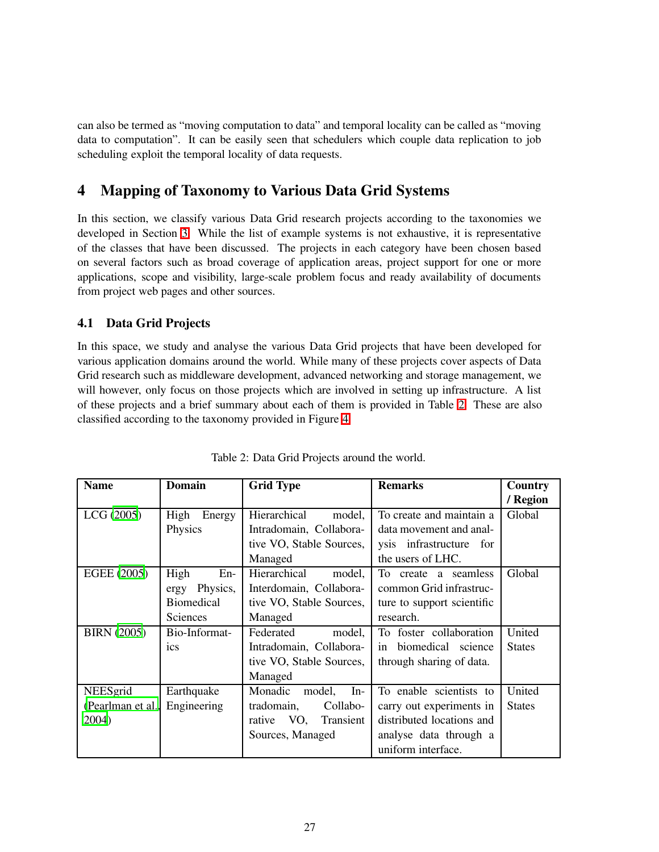can also be termed as "moving computation to data" and temporal locality can be called as "moving data to computation". It can be easily seen that schedulers which couple data replication to job scheduling exploit the temporal locality of data requests.

# <span id="page-26-0"></span>**4 Mapping of Taxonomy to Various Data Grid Systems**

In this section, we classify various Data Grid research projects according to the taxonomies we developed in Section [3.](#page-14-0) While the list of example systems is not exhaustive, it is representative of the classes that have been discussed. The projects in each category have been chosen based on several factors such as broad coverage of application areas, project support for one or more applications, scope and visibility, large-scale problem focus and ready availability of documents from project web pages and other sources.

# <span id="page-26-2"></span>**4.1 Data Grid Projects**

In this space, we study and analyse the various Data Grid projects that have been developed for various application domains around the world. While many of these projects cover aspects of Data Grid research such as middleware development, advanced networking and storage management, we will however, only focus on those projects which are involved in setting up infrastructure. A list of these projects and a brief summary about each of them is provided in Table [2.](#page-26-1) These are also classified according to the taxonomy provided in Figure [4](#page-15-0)

<span id="page-26-1"></span>

| <b>Name</b>        | Domain            | <b>Grid Type</b>           | <b>Remarks</b>             | Country       |
|--------------------|-------------------|----------------------------|----------------------------|---------------|
|                    |                   |                            |                            | / Region      |
| LCG(2005)          | Energy<br>High    | Hierarchical<br>model,     | To create and maintain a   | Global        |
|                    | Physics           | Intradomain, Collabora-    | data movement and anal-    |               |
|                    |                   | tive VO, Stable Sources,   | ysis infrastructure<br>for |               |
|                    |                   | Managed                    | the users of LHC.          |               |
| EGEE (2005)        | High<br>$En-$     | Hierarchical<br>model,     | To create a seamless       | Global        |
|                    | Physics,<br>ergy  | Interdomain, Collabora-    | common Grid infrastruc-    |               |
|                    | <b>Biomedical</b> | tive VO, Stable Sources,   | ture to support scientific |               |
|                    | <b>Sciences</b>   | Managed                    | research.                  |               |
| <b>BIRN</b> (2005) | Bio-Informat-     | Federated<br>model,        | To foster collaboration    | United        |
|                    | ics               | Intradomain, Collabora-    | biomedical science<br>in   | <b>States</b> |
|                    |                   | tive VO, Stable Sources,   | through sharing of data.   |               |
|                    |                   | Managed                    |                            |               |
| NEESgrid           | Earthquake        | Monadic<br>$In-$<br>model, | To enable scientists to    | United        |
| (Pearlman et al.)  | Engineering       | Collabo-<br>tradomain.     | carry out experiments in   | <b>States</b> |
| 2004)              |                   | VO.<br>Transient<br>rative | distributed locations and  |               |
|                    |                   | Sources, Managed           | analyse data through a     |               |
|                    |                   |                            | uniform interface.         |               |

Table 2: Data Grid Projects around the world.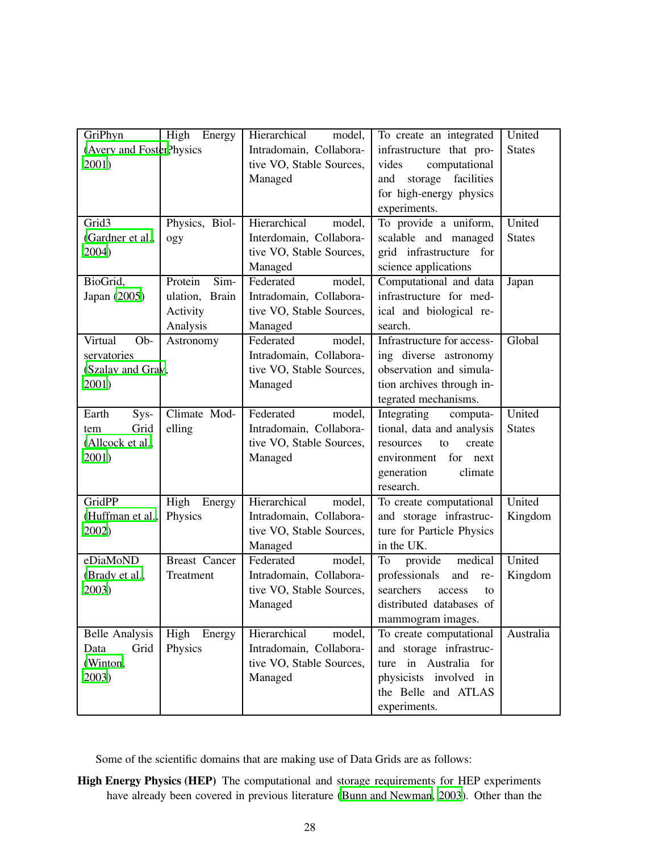| GriPhyn                  | High<br>Energy       | Hierarchical<br>model,   | To create an integrated      | United        |
|--------------------------|----------------------|--------------------------|------------------------------|---------------|
| (Avery and FosterPhysics |                      | Intradomain, Collabora-  | infrastructure that pro-     | <b>States</b> |
| 2001)                    |                      | tive VO, Stable Sources, | computational<br>vides       |               |
|                          |                      | Managed                  | storage<br>facilities<br>and |               |
|                          |                      |                          | for high-energy physics      |               |
|                          |                      |                          | experiments.                 |               |
| Grid <sub>3</sub>        |                      | Hierarchical             |                              | United        |
|                          | Physics, Biol-       | model,                   | To provide a uniform,        | <b>States</b> |
| (Gardner et al.,         | ogy                  | Interdomain, Collabora-  | scalable and managed         |               |
| 2004)                    |                      | tive VO, Stable Sources, | grid infrastructure for      |               |
|                          |                      | Managed                  | science applications         |               |
| BioGrid,                 | Protein<br>Sim-      | Federated<br>model,      | Computational and data       | Japan         |
| Japan (2005)             | ulation, Brain       | Intradomain, Collabora-  | infrastructure for med-      |               |
|                          | Activity             | tive VO, Stable Sources, | ical and biological re-      |               |
|                          | Analysis             | Managed                  | search.                      |               |
| Virtual<br>Ob-           | Astronomy            | Federated<br>model,      | Infrastructure for access-   | Global        |
| servatories              |                      | Intradomain, Collabora-  | ing diverse astronomy        |               |
| (Szalay and Gray,        |                      | tive VO, Stable Sources, | observation and simula-      |               |
| 2001)                    |                      | Managed                  | tion archives through in-    |               |
|                          |                      |                          | tegrated mechanisms.         |               |
| Earth<br>$Sys-$          | Climate Mod-         | Federated<br>model,      | Integrating<br>computa-      | United        |
| Grid<br>tem              | elling               | Intradomain, Collabora-  | tional, data and analysis    | <b>States</b> |
| (Allcock et al.,         |                      | tive VO, Stable Sources, | resources<br>to<br>create    |               |
| 2001)                    |                      | Managed                  | environment<br>for next      |               |
|                          |                      |                          | generation<br>climate        |               |
|                          |                      |                          | research.                    |               |
| GridPP                   | High<br>Energy       | Hierarchical<br>model,   | To create computational      | United        |
| (Huffman et al.,         | Physics              | Intradomain, Collabora-  | and storage infrastruc-      | Kingdom       |
| 2002)                    |                      | tive VO, Stable Sources, | ture for Particle Physics    |               |
|                          |                      | Managed                  | in the UK.                   |               |
| eDiaMoND                 | <b>Breast Cancer</b> | Federated<br>model,      | medical<br>To<br>provide     | United        |
| (Brady et al.,           | Treatment            | Intradomain, Collabora-  | professionals<br>and<br>re-  | Kingdom       |
| 2003)                    |                      | tive VO, Stable Sources, | searchers<br>access<br>to    |               |
|                          |                      | Managed                  | distributed databases of     |               |
|                          |                      |                          | mammogram images.            |               |
| <b>Belle Analysis</b>    | High Energy          | Hierarchical<br>model,   | To create computational      | Australia     |
| Grid<br>Data             | Physics              | Intradomain, Collabora-  | and storage infrastruc-      |               |
| (Winton,                 |                      | tive VO, Stable Sources, | in Australia for<br>ture     |               |
| 2003)                    |                      | Managed                  | physicists involved in       |               |
|                          |                      |                          | the Belle and ATLAS          |               |
|                          |                      |                          | experiments.                 |               |

Some of the scientific domains that are making use of Data Grids are as follows:

**High Energy Physics (HEP)** The computational and storage requirements for HEP experiments have already been covered in previous literature (Bunn and [Newman,](#page-49-0) [2003](#page-49-0)). Other than the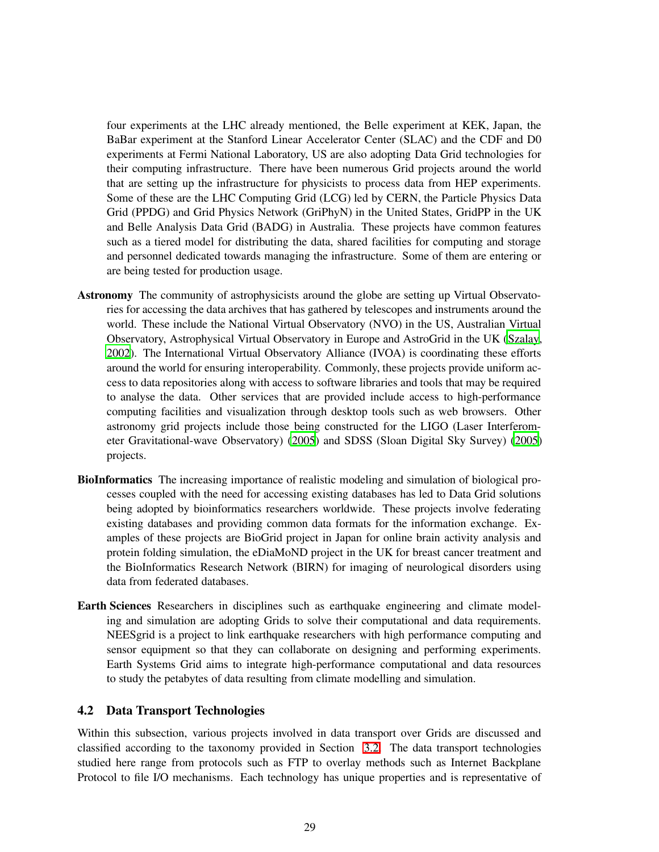four experiments at the LHC already mentioned, the Belle experiment at KEK, Japan, the BaBar experiment at the Stanford Linear Accelerator Center (SLAC) and the CDF and D0 experiments at Fermi National Laboratory, US are also adopting Data Grid technologies for their computing infrastructure. There have been numerous Grid projects around the world that are setting up the infrastructure for physicists to process data from HEP experiments. Some of these are the LHC Computing Grid (LCG) led by CERN, the Particle Physics Data Grid (PPDG) and Grid Physics Network (GriPhyN) in the United States, GridPP in the UK and Belle Analysis Data Grid (BADG) in Australia. These projects have common features such as a tiered model for distributing the data, shared facilities for computing and storage and personnel dedicated towards managing the infrastructure. Some of them are entering or are being tested for production usage.

- **Astronomy** The community of astrophysicists around the globe are setting up Virtual Observatories for accessing the data archives that has gathered by telescopes and instruments around the world. These include the National Virtual Observatory (NVO) in the US, Australian Virtual Observatory, Astrophysical Virtual Observatory in Europe and AstroGrid in the UK [\(Szalay](#page-58-4), [2002](#page-58-4)). The International Virtual Observatory Alliance (IVOA) is coordinating these efforts around the world for ensuring interoperability. Commonly, these projects provide uniform access to data repositories along with access to software libraries and tools that may be required to analyse the data. Other services that are provided include access to high-performance computing facilities and visualization through desktop tools such as web browsers. Other astronomy grid projects include those being constructed for the LIGO (Laser Interferometer Gravitational-wave Observatory) [\(2005](#page-54-9)) and SDSS (Sloan Digital Sky Survey) [\(2005](#page-57-10)) projects.
- **BioInformatics** The increasing importance of realistic modeling and simulation of biological processes coupled with the need for accessing existing databases has led to Data Grid solutions being adopted by bioinformatics researchers worldwide. These projects involve federating existing databases and providing common data formats for the information exchange. Examples of these projects are BioGrid project in Japan for online brain activity analysis and protein folding simulation, the eDiaMoND project in the UK for breast cancer treatment and the BioInformatics Research Network (BIRN) for imaging of neurological disorders using data from federated databases.
- **Earth Sciences** Researchers in disciplines such as earthquake engineering and climate modeling and simulation are adopting Grids to solve their computational and data requirements. NEESgrid is a project to link earthquake researchers with high performance computing and sensor equipment so that they can collaborate on designing and performing experiments. Earth Systems Grid aims to integrate high-performance computational and data resources to study the petabytes of data resulting from climate modelling and simulation.

# <span id="page-28-0"></span>**4.2 Data Transport Technologies**

Within this subsection, various projects involved in data transport over Grids are discussed and classified according to the taxonomy provided in Section [3.2.](#page-18-1) The data transport technologies studied here range from protocols such as FTP to overlay methods such as Internet Backplane Protocol to file I/O mechanisms. Each technology has unique properties and is representative of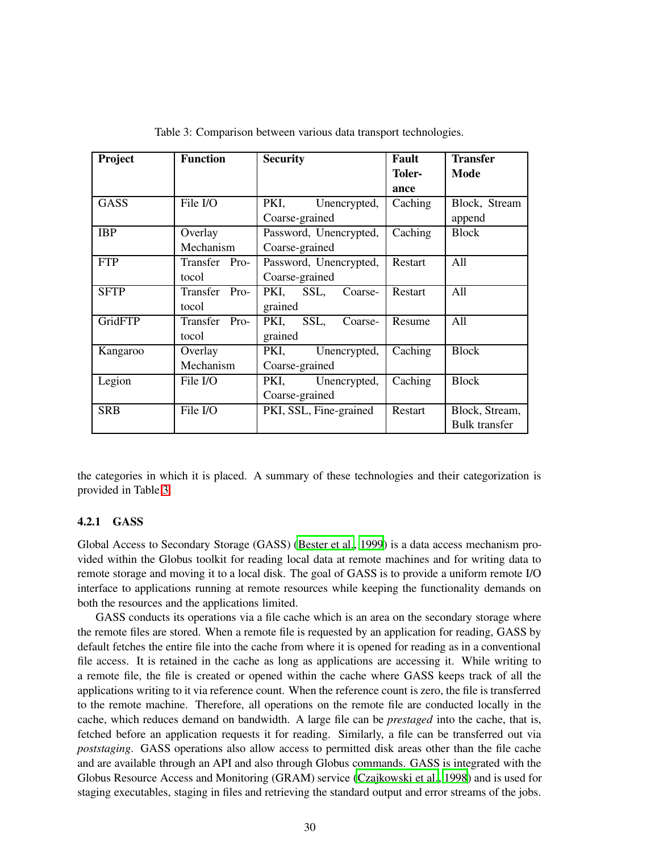| Project     | <b>Function</b> | <b>Security</b>         | Fault         | <b>Transfer</b> |
|-------------|-----------------|-------------------------|---------------|-----------------|
|             |                 |                         | <b>Toler-</b> | Mode            |
|             |                 |                         | ance          |                 |
| GASS        | File I/O        | PKI,<br>Unencrypted,    | Caching       | Block, Stream   |
|             |                 | Coarse-grained          |               | append          |
| <b>IBP</b>  | Overlay         | Password, Unencrypted,  | Caching       | <b>Block</b>    |
|             | Mechanism       | Coarse-grained          |               |                 |
| <b>FTP</b>  | Transfer Pro-   | Password, Unencrypted,  | Restart       | All             |
|             | tocol           | Coarse-grained          |               |                 |
| <b>SFTP</b> | Transfer Pro-   | PKI, SSL,<br>Coarse-    | Restart       | All             |
|             | tocol           | grained                 |               |                 |
| GridFTP     | Transfer Pro-   | SSL,<br>PKI.<br>Coarse- | Resume        | All             |
|             | tocol           | grained                 |               |                 |
| Kangaroo    | Overlay         | PKI,<br>Unencrypted,    | Caching       | <b>Block</b>    |
|             | Mechanism       | Coarse-grained          |               |                 |
| Legion      | File I/O        | PKI,<br>Unencrypted,    | Caching       | <b>Block</b>    |
|             |                 | Coarse-grained          |               |                 |
| <b>SRB</b>  | File I/O        | PKI, SSL, Fine-grained  | Restart       | Block, Stream,  |
|             |                 |                         |               | Bulk transfer   |

<span id="page-29-0"></span>Table 3: Comparison between various data transport technologies.

the categories in which it is placed. A summary of these technologies and their categorization is provided in Table [3.](#page-29-0)

### **4.2.1 GASS**

Global Access to Secondary Storage (GASS) [\(Bester](#page-49-12) et al., [1999](#page-49-12)) is a data access mechanism provided within the Globus toolkit for reading local data at remote machines and for writing data to remote storage and moving it to a local disk. The goal of GASS is to provide a uniform remote I/O interface to applications running at remote resources while keeping the functionality demands on both the resources and the applications limited.

GASS conducts its operations via a file cache which is an area on the secondary storage where the remote files are stored. When a remote file is requested by an application for reading, GASS by default fetches the entire file into the cache from where it is opened for reading as in a conventional file access. It is retained in the cache as long as applications are accessing it. While writing to a remote file, the file is created or opened within the cache where GASS keeps track of all the applications writing to it via reference count. When the reference count is zero, the file is transferred to the remote machine. Therefore, all operations on the remote file are conducted locally in the cache, which reduces demand on bandwidth. A large file can be *prestaged* into the cache, that is, fetched before an application requests it for reading. Similarly, a file can be transferred out via *poststaging*. GASS operations also allow access to permitted disk areas other than the file cache and are available through an API and also through Globus commands. GASS is integrated with the Globus Resource Access and Monitoring (GRAM) service [\(Czajkowski](#page-50-5) et al., [1998](#page-50-5)) and is used for staging executables, staging in files and retrieving the standard output and error streams of the jobs.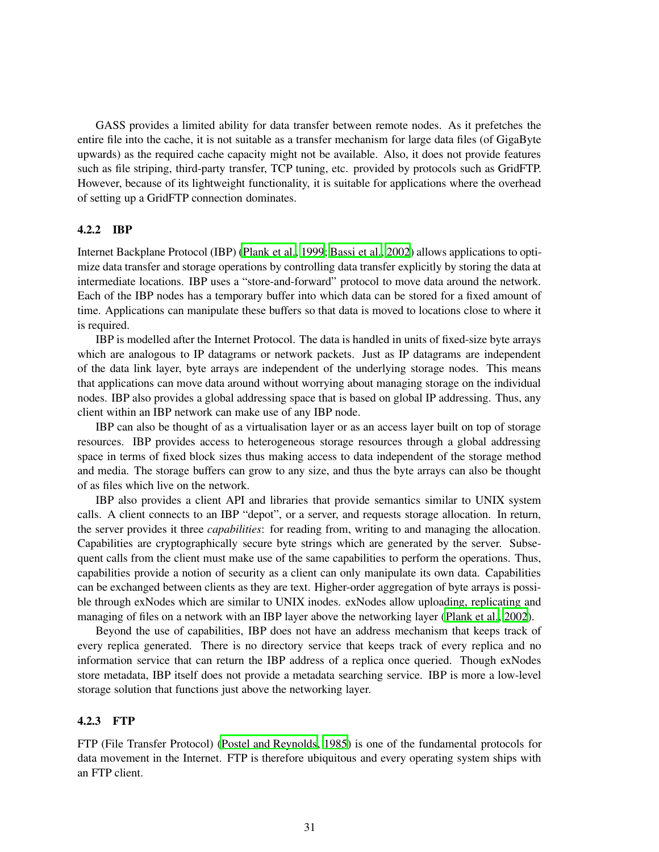GASS provides a limited ability for data transfer between remote nodes. As it prefetches the entire file into the cache, it is not suitable as a transfer mechanism for large data files (of GigaByte upwards) as the required cache capacity might not be available. Also, it does not provide features such as file striping, third-party transfer, TCP tuning, etc. provided by protocols such as GridFTP. However, because of its lightweight functionality, it is suitable for applications where the overhead of setting up a GridFTP connection dominates.

#### **4.2.2 IBP**

Internet Backplane Protocol (IBP) [\(Plank](#page-56-7) et al., [1999](#page-56-7); [Bassi](#page-49-13) et al., [2002](#page-49-13)) allows applications to optimize data transfer and storage operations by controlling data transfer explicitly by storing the data at intermediate locations. IBP uses a "store-and-forward" protocol to move data around the network. Each of the IBP nodes has a temporary buffer into which data can be stored for a fixed amount of time. Applications can manipulate these buffers so that data is moved to locations close to where it is required.

IBP is modelled after the Internet Protocol. The data is handled in units of fixed-size byte arrays which are analogous to IP datagrams or network packets. Just as IP datagrams are independent of the data link layer, byte arrays are independent of the underlying storage nodes. This means that applications can move data around without worrying about managing storage on the individual nodes. IBP also provides a global addressing space that is based on global IP addressing. Thus, any client within an IBP network can make use of any IBP node.

IBP can also be thought of as a virtualisation layer or as an access layer built on top of storage resources. IBP provides access to heterogeneous storage resources through a global addressing space in terms of fixed block sizes thus making access to data independent of the storage method and media. The storage buffers can grow to any size, and thus the byte arrays can also be thought of as files which live on the network.

IBP also provides a client API and libraries that provide semantics similar to UNIX system calls. A client connects to an IBP "depot", or a server, and requests storage allocation. In return, the server provides it three *capabilities*: for reading from, writing to and managing the allocation. Capabilities are cryptographically secure byte strings which are generated by the server. Subsequent calls from the client must make use of the same capabilities to perform the operations. Thus, capabilities provide a notion of security as a client can only manipulate its own data. Capabilities can be exchanged between clients as they are text. Higher-order aggregation of byte arrays is possible through exNodes which are similar to UNIX inodes. exNodes allow uploading, replicating and managing of files on a network with an IBP layer above the networking layer [\(Plank](#page-56-8) et al., [2002](#page-56-8)).

Beyond the use of capabilities, IBP does not have an address mechanism that keeps track of every replica generated. There is no directory service that keeps track of every replica and no information service that can return the IBP address of a replica once queried. Though exNodes store metadata, IBP itself does not provide a metadata searching service. IBP is more a low-level storage solution that functions just above the networking layer.

#### **4.2.3 FTP**

FTP (File Transfer Protocol) (Postel and [Reynolds,](#page-56-4) [1985\)](#page-56-4) is one of the fundamental protocols for data movement in the Internet. FTP is therefore ubiquitous and every operating system ships with an FTP client.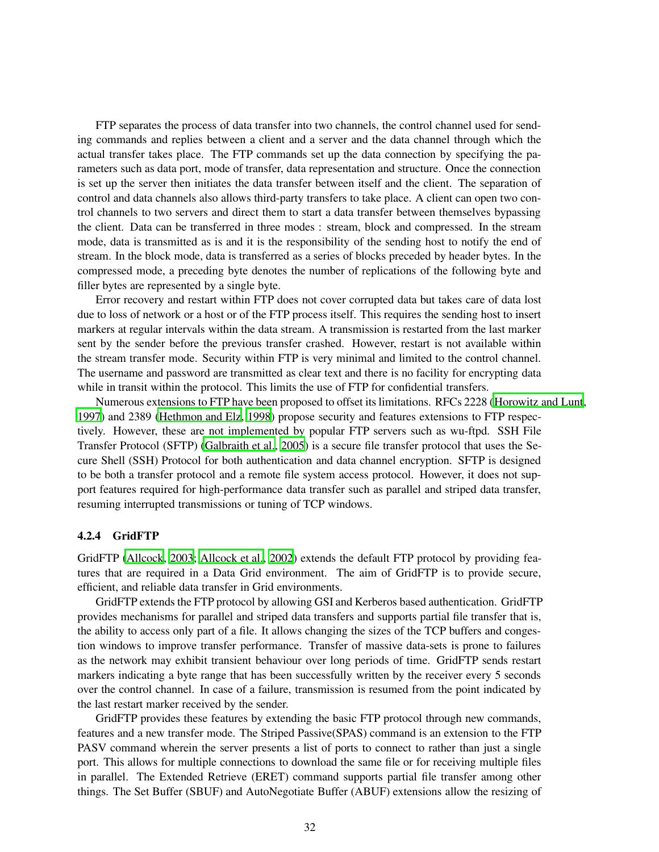FTP separates the process of data transfer into two channels, the control channel used for sending commands and replies between a client and a server and the data channel through which the actual transfer takes place. The FTP commands set up the data connection by specifying the parameters such as data port, mode of transfer, data representation and structure. Once the connection is set up the server then initiates the data transfer between itself and the client. The separation of control and data channels also allows third-party transfers to take place. A client can open two control channels to two servers and direct them to start a data transfer between themselves bypassing the client. Data can be transferred in three modes : stream, block and compressed. In the stream mode, data is transmitted as is and it is the responsibility of the sending host to notify the end of stream. In the block mode, data is transferred as a series of blocks preceded by header bytes. In the compressed mode, a preceding byte denotes the number of replications of the following byte and filler bytes are represented by a single byte.

Error recovery and restart within FTP does not cover corrupted data but takes care of data lost due to loss of network or a host or of the FTP process itself. This requires the sending host to insert markers at regular intervals within the data stream. A transmission is restarted from the last marker sent by the sender before the previous transfer crashed. However, restart is not available within the stream transfer mode. Security within FTP is very minimal and limited to the control channel. The username and password are transmitted as clear text and there is no facility for encrypting data while in transit within the protocol. This limits the use of FTP for confidential transfers.

Numerous extensions to FTP have been proposed to offset its limitations. RFCs 2228 [\(Horowitz](#page-53-9) and Lunt, [1997\)](#page-53-9) and 2389 [\(Hethmon](#page-52-12) and Elz, [1998\)](#page-52-12) propose security and features extensions to FTP respectively. However, these are not implemented by popular FTP servers such as wu-ftpd. SSH File Transfer Protocol (SFTP) [\(Galbraith](#page-52-13) et al., [2005](#page-52-13)) is a secure file transfer protocol that uses the Secure Shell (SSH) Protocol for both authentication and data channel encryption. SFTP is designed to be both a transfer protocol and a remote file system access protocol. However, it does not support features required for high-performance data transfer such as parallel and striped data transfer, resuming interrupted transmissions or tuning of TCP windows.

### **4.2.4 GridFTP**

GridFTP [\(Allcock](#page-48-2), [2003](#page-48-2); [Allcock](#page-48-7) et al., [2002](#page-48-7)) extends the default FTP protocol by providing features that are required in a Data Grid environment. The aim of GridFTP is to provide secure, efficient, and reliable data transfer in Grid environments.

GridFTP extends the FTP protocol by allowing GSI and Kerberos based authentication. GridFTP provides mechanisms for parallel and striped data transfers and supports partial file transfer that is, the ability to access only part of a file. It allows changing the sizes of the TCP buffers and congestion windows to improve transfer performance. Transfer of massive data-sets is prone to failures as the network may exhibit transient behaviour over long periods of time. GridFTP sends restart markers indicating a byte range that has been successfully written by the receiver every 5 seconds over the control channel. In case of a failure, transmission is resumed from the point indicated by the last restart marker received by the sender.

GridFTP provides these features by extending the basic FTP protocol through new commands, features and a new transfer mode. The Striped Passive(SPAS) command is an extension to the FTP PASV command wherein the server presents a list of ports to connect to rather than just a single port. This allows for multiple connections to download the same file or for receiving multiple files in parallel. The Extended Retrieve (ERET) command supports partial file transfer among other things. The Set Buffer (SBUF) and AutoNegotiate Buffer (ABUF) extensions allow the resizing of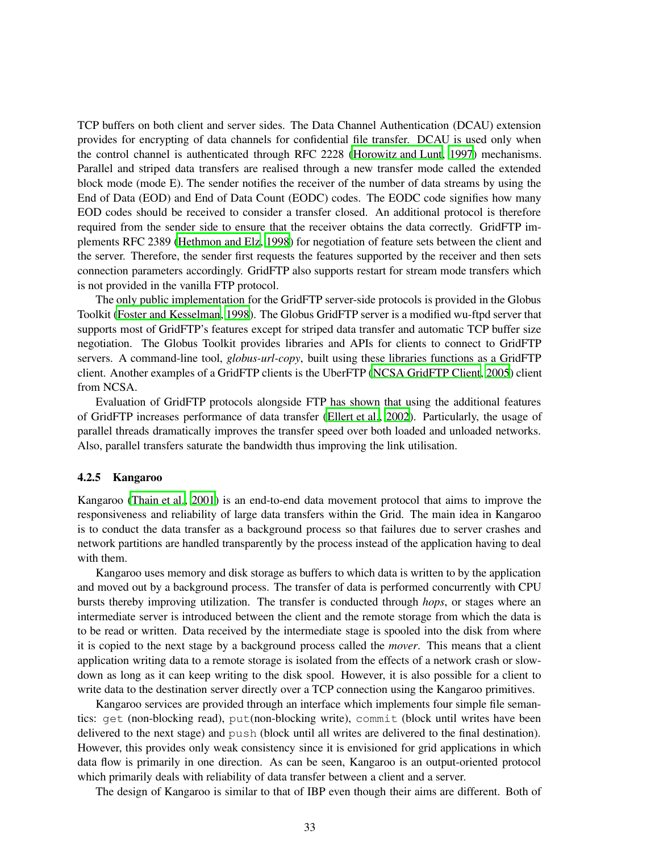TCP buffers on both client and server sides. The Data Channel Authentication (DCAU) extension provides for encrypting of data channels for confidential file transfer. DCAU is used only when the control channel is authenticated through RFC 2228 [\(Horowitz](#page-53-9) and Lunt, [1997](#page-53-9)) mechanisms. Parallel and striped data transfers are realised through a new transfer mode called the extended block mode (mode E). The sender notifies the receiver of the number of data streams by using the End of Data (EOD) and End of Data Count (EODC) codes. The EODC code signifies how many EOD codes should be received to consider a transfer closed. An additional protocol is therefore required from the sender side to ensure that the receiver obtains the data correctly. GridFTP implements RFC 2389 [\(Hethmon](#page-52-12) and Elz, [1998](#page-52-12)) for negotiation of feature sets between the client and the server. Therefore, the sender first requests the features supported by the receiver and then sets connection parameters accordingly. GridFTP also supports restart for stream mode transfers which is not provided in the vanilla FTP protocol.

The only public implementation for the GridFTP server-side protocols is provided in the Globus Toolkit (Foster and [Kesselman](#page-52-14), [1998\)](#page-52-14). The Globus GridFTP server is a modified wu-ftpd server that supports most of GridFTP's features except for striped data transfer and automatic TCP buffer size negotiation. The Globus Toolkit provides libraries and APIs for clients to connect to GridFTP servers. A command-line tool, *globus-url-copy*, built using these libraries functions as a GridFTP client. Another examples of a GridFTP clients is the UberFTP (NCSA [GridFTP](#page-55-11) Client, [2005\)](#page-55-11) client from NCSA.

Evaluation of GridFTP protocols alongside FTP has shown that using the additional features of GridFTP increases performance of data transfer [\(Ellert](#page-51-7) et al., [2002](#page-51-7)). Particularly, the usage of parallel threads dramatically improves the transfer speed over both loaded and unloaded networks. Also, parallel transfers saturate the bandwidth thus improving the link utilisation.

#### **4.2.5 Kangaroo**

Kangaroo [\(Thain](#page-58-5) et al., [2001\)](#page-58-5) is an end-to-end data movement protocol that aims to improve the responsiveness and reliability of large data transfers within the Grid. The main idea in Kangaroo is to conduct the data transfer as a background process so that failures due to server crashes and network partitions are handled transparently by the process instead of the application having to deal with them.

Kangaroo uses memory and disk storage as buffers to which data is written to by the application and moved out by a background process. The transfer of data is performed concurrently with CPU bursts thereby improving utilization. The transfer is conducted through *hops*, or stages where an intermediate server is introduced between the client and the remote storage from which the data is to be read or written. Data received by the intermediate stage is spooled into the disk from where it is copied to the next stage by a background process called the *mover*. This means that a client application writing data to a remote storage is isolated from the effects of a network crash or slowdown as long as it can keep writing to the disk spool. However, it is also possible for a client to write data to the destination server directly over a TCP connection using the Kangaroo primitives.

Kangaroo services are provided through an interface which implements four simple file semantics: get (non-blocking read), put(non-blocking write), commit (block until writes have been delivered to the next stage) and push (block until all writes are delivered to the final destination). However, this provides only weak consistency since it is envisioned for grid applications in which data flow is primarily in one direction. As can be seen, Kangaroo is an output-oriented protocol which primarily deals with reliability of data transfer between a client and a server.

The design of Kangaroo is similar to that of IBP even though their aims are different. Both of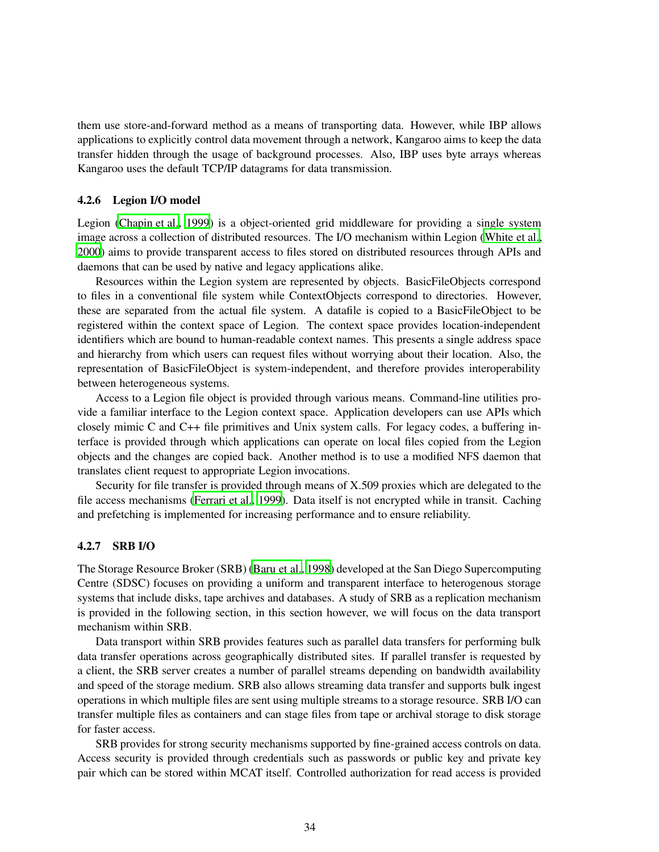them use store-and-forward method as a means of transporting data. However, while IBP allows applications to explicitly control data movement through a network, Kangaroo aims to keep the data transfer hidden through the usage of background processes. Also, IBP uses byte arrays whereas Kangaroo uses the default TCP/IP datagrams for data transmission.

#### **4.2.6 Legion I/O model**

Legion [\(Chapin](#page-50-6) et al., [1999\)](#page-50-6) is a object-oriented grid middleware for providing a single system image across a collection of distributed resources. The I/O mechanism within Legion ([White](#page-59-4) et al., [2000\)](#page-59-4) aims to provide transparent access to files stored on distributed resources through APIs and daemons that can be used by native and legacy applications alike.

Resources within the Legion system are represented by objects. BasicFileObjects correspond to files in a conventional file system while ContextObjects correspond to directories. However, these are separated from the actual file system. A datafile is copied to a BasicFileObject to be registered within the context space of Legion. The context space provides location-independent identifiers which are bound to human-readable context names. This presents a single address space and hierarchy from which users can request files without worrying about their location. Also, the representation of BasicFileObject is system-independent, and therefore provides interoperability between heterogeneous systems.

Access to a Legion file object is provided through various means. Command-line utilities provide a familiar interface to the Legion context space. Application developers can use APIs which closely mimic C and C++ file primitives and Unix system calls. For legacy codes, a buffering interface is provided through which applications can operate on local files copied from the Legion objects and the changes are copied back. Another method is to use a modified NFS daemon that translates client request to appropriate Legion invocations.

Security for file transfer is provided through means of X.509 proxies which are delegated to the file access mechanisms [\(Ferrari](#page-51-8) et al., [1999\)](#page-51-8). Data itself is not encrypted while in transit. Caching and prefetching is implemented for increasing performance and to ensure reliability.

#### **4.2.7 SRB I/O**

The Storage Resource Broker (SRB) [\(Baru](#page-49-7) et al., [1998](#page-49-7)) developed at the San Diego Supercomputing Centre (SDSC) focuses on providing a uniform and transparent interface to heterogenous storage systems that include disks, tape archives and databases. A study of SRB as a replication mechanism is provided in the following section, in this section however, we will focus on the data transport mechanism within SRB.

Data transport within SRB provides features such as parallel data transfers for performing bulk data transfer operations across geographically distributed sites. If parallel transfer is requested by a client, the SRB server creates a number of parallel streams depending on bandwidth availability and speed of the storage medium. SRB also allows streaming data transfer and supports bulk ingest operations in which multiple files are sent using multiple streams to a storage resource. SRB I/O can transfer multiple files as containers and can stage files from tape or archival storage to disk storage for faster access.

SRB provides for strong security mechanisms supported by fine-grained access controls on data. Access security is provided through credentials such as passwords or public key and private key pair which can be stored within MCAT itself. Controlled authorization for read access is provided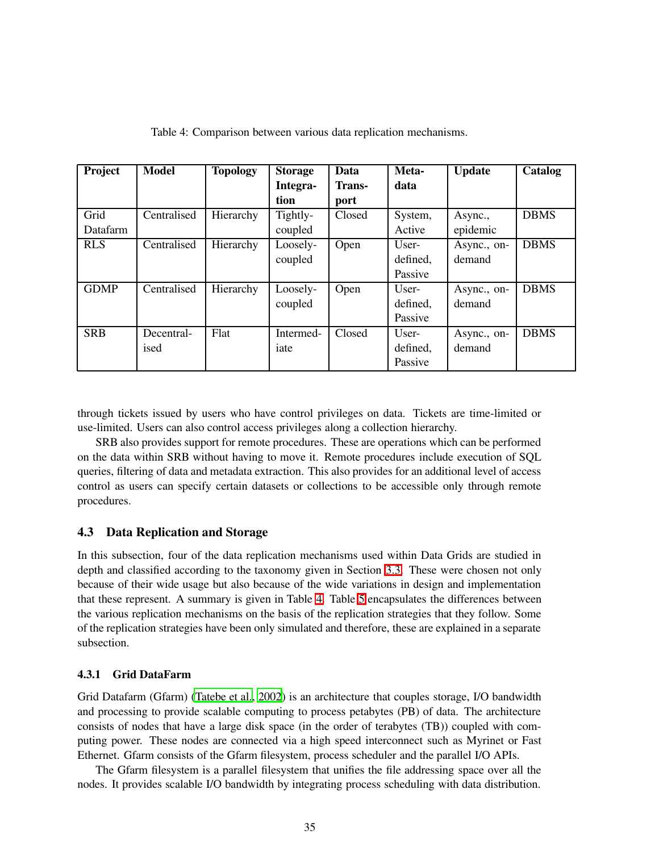| Project     | <b>Model</b> | <b>Topology</b> | <b>Storage</b> | Data   | Meta-    | <b>Update</b> | Catalog     |
|-------------|--------------|-----------------|----------------|--------|----------|---------------|-------------|
|             |              |                 | Integra-       | Trans- | data     |               |             |
|             |              |                 | tion           | port   |          |               |             |
| Grid        | Centralised  | Hierarchy       | Tightly-       | Closed | System,  | Async.,       | <b>DBMS</b> |
| Datafarm    |              |                 | coupled        |        | Active   | epidemic      |             |
| <b>RLS</b>  | Centralised  | Hierarchy       | Loosely-       | Open   | User-    | Async., on-   | <b>DBMS</b> |
|             |              |                 | coupled        |        | defined, | demand        |             |
|             |              |                 |                |        | Passive  |               |             |
| <b>GDMP</b> | Centralised  | Hierarchy       | Loosely-       | Open   | User-    | Async., on-   | <b>DBMS</b> |
|             |              |                 | coupled        |        | defined, | demand        |             |
|             |              |                 |                |        | Passive  |               |             |
| <b>SRB</b>  | Decentral-   | Flat            | Intermed-      | Closed | User-    | Async., on-   | <b>DBMS</b> |
|             | ised         |                 | iate           |        | defined, | demand        |             |
|             |              |                 |                |        | Passive  |               |             |

<span id="page-34-0"></span>Table 4: Comparison between various data replication mechanisms.

through tickets issued by users who have control privileges on data. Tickets are time-limited or use-limited. Users can also control access privileges along a collection hierarchy.

SRB also provides support for remote procedures. These are operations which can be performed on the data within SRB without having to move it. Remote procedures include execution of SQL queries, filtering of data and metadata extraction. This also provides for an additional level of access control as users can specify certain datasets or collections to be accessible only through remote procedures.

# <span id="page-34-1"></span>**4.3 Data Replication and Storage**

In this subsection, four of the data replication mechanisms used within Data Grids are studied in depth and classified according to the taxonomy given in Section [3.3.](#page-20-1) These were chosen not only because of their wide usage but also because of the wide variations in design and implementation that these represent. A summary is given in Table [4.](#page-34-0) Table [5](#page-35-0) encapsulates the differences between the various replication mechanisms on the basis of the replication strategies that they follow. Some of the replication strategies have been only simulated and therefore, these are explained in a separate subsection.

# **4.3.1 Grid DataFarm**

Grid Datafarm (Gfarm) [\(Tatebe](#page-58-2) et al., [2002\)](#page-58-2) is an architecture that couples storage, I/O bandwidth and processing to provide scalable computing to process petabytes (PB) of data. The architecture consists of nodes that have a large disk space (in the order of terabytes (TB)) coupled with computing power. These nodes are connected via a high speed interconnect such as Myrinet or Fast Ethernet. Gfarm consists of the Gfarm filesystem, process scheduler and the parallel I/O APIs.

The Gfarm filesystem is a parallel filesystem that unifies the file addressing space over all the nodes. It provides scalable I/O bandwidth by integrating process scheduling with data distribution.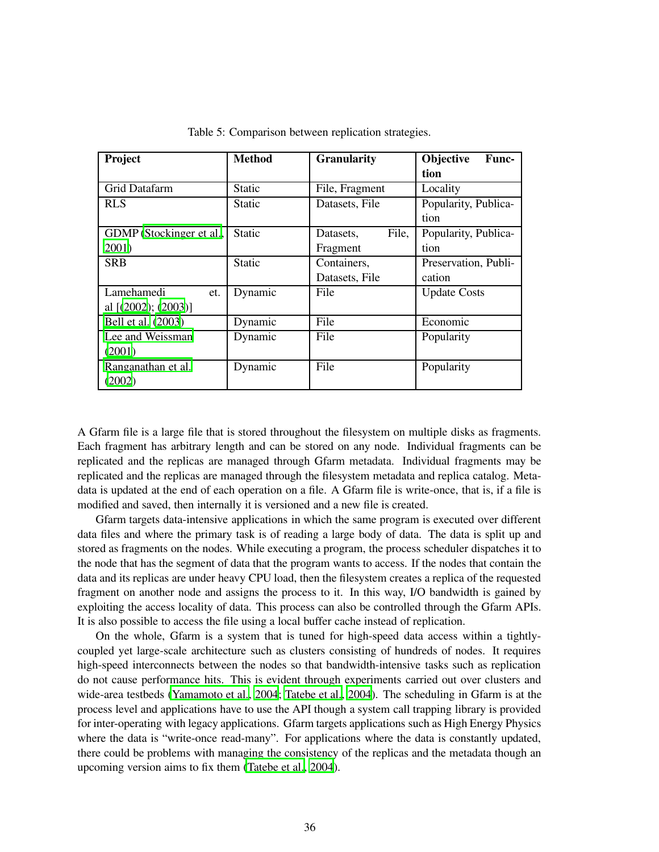| Project                  | <b>Method</b> | <b>Granularity</b> | Objective<br><b>Func-</b> |
|--------------------------|---------------|--------------------|---------------------------|
|                          |               |                    | tion                      |
| Grid Datafarm            | <b>Static</b> | File, Fragment     | Locality                  |
| <b>RLS</b>               | <b>Static</b> | Datasets, File     | Popularity, Publica-      |
|                          |               |                    | tion                      |
| GDMP (Stockinger et al., | <b>Static</b> | File.<br>Datasets, | Popularity, Publica-      |
| 2001)                    |               | Fragment           | tion                      |
| <b>SRB</b>               | <b>Static</b> | Containers,        | Preservation, Publi-      |
|                          |               | Datasets, File     | cation                    |
| Lamehamedi<br>et.        | Dynamic       | File               | <b>Update Costs</b>       |
| al $[(2002); (2003)]$    |               |                    |                           |
| Bell et al. (2003)       | Dynamic       | File               | Economic                  |
| Lee and Weissman         | Dynamic       | File               | Popularity                |
| (2001)                   |               |                    |                           |
| Ranganathan et al.       | Dynamic       | File               | Popularity                |
| (2002)                   |               |                    |                           |

<span id="page-35-0"></span>Table 5: Comparison between replication strategies.

A Gfarm file is a large file that is stored throughout the filesystem on multiple disks as fragments. Each fragment has arbitrary length and can be stored on any node. Individual fragments can be replicated and the replicas are managed through Gfarm metadata. Individual fragments may be replicated and the replicas are managed through the filesystem metadata and replica catalog. Metadata is updated at the end of each operation on a file. A Gfarm file is write-once, that is, if a file is modified and saved, then internally it is versioned and a new file is created.

Gfarm targets data-intensive applications in which the same program is executed over different data files and where the primary task is of reading a large body of data. The data is split up and stored as fragments on the nodes. While executing a program, the process scheduler dispatches it to the node that has the segment of data that the program wants to access. If the nodes that contain the data and its replicas are under heavy CPU load, then the filesystem creates a replica of the requested fragment on another node and assigns the process to it. In this way, I/O bandwidth is gained by exploiting the access locality of data. This process can also be controlled through the Gfarm APIs. It is also possible to access the file using a local buffer cache instead of replication.

On the whole, Gfarm is a system that is tuned for high-speed data access within a tightlycoupled yet large-scale architecture such as clusters consisting of hundreds of nodes. It requires high-speed interconnects between the nodes so that bandwidth-intensive tasks such as replication do not cause performance hits. This is evident through experiments carried out over clusters and wide-area testbeds [\(Yamamoto](#page-59-5) et al., [2004;](#page-59-5) [Tatebe](#page-58-6) et al., [2004](#page-58-6)). The scheduling in Gfarm is at the process level and applications have to use the API though a system call trapping library is provided for inter-operating with legacy applications. Gfarm targets applications such as High Energy Physics where the data is "write-once read-many". For applications where the data is constantly updated, there could be problems with managing the consistency of the replicas and the metadata though an upcoming version aims to fix them [\(Tatebe](#page-58-7) et al., [2004](#page-58-7)).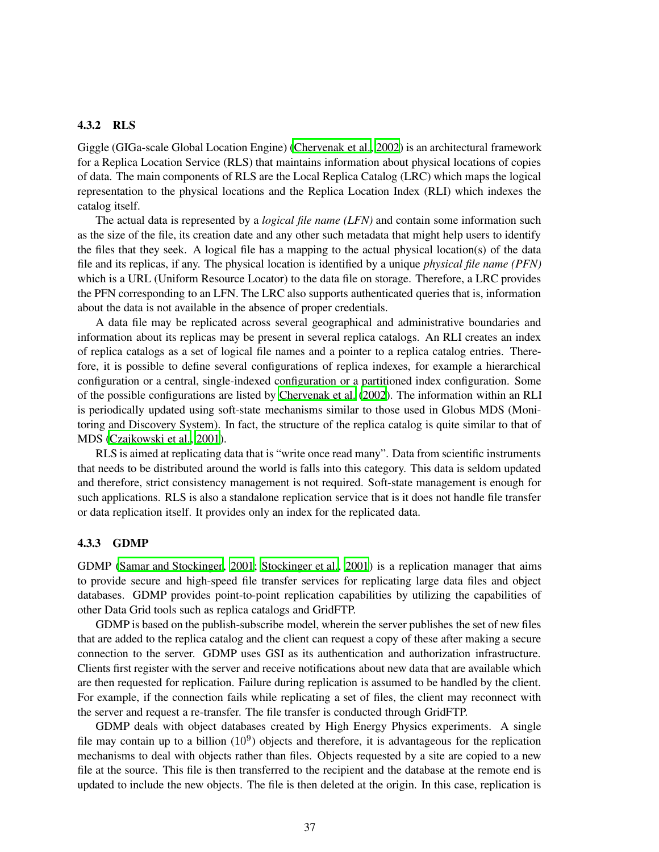### **4.3.2 RLS**

Giggle (GIGa-scale Global Location Engine) [\(Chervenak](#page-50-4) et al., [2002](#page-50-4)) is an architectural framework for a Replica Location Service (RLS) that maintains information about physical locations of copies of data. The main components of RLS are the Local Replica Catalog (LRC) which maps the logical representation to the physical locations and the Replica Location Index (RLI) which indexes the catalog itself.

The actual data is represented by a *logical file name (LFN)* and contain some information such as the size of the file, its creation date and any other such metadata that might help users to identify the files that they seek. A logical file has a mapping to the actual physical location(s) of the data file and its replicas, if any. The physical location is identified by a unique *physical file name (PFN)* which is a URL (Uniform Resource Locator) to the data file on storage. Therefore, a LRC provides the PFN corresponding to an LFN. The LRC also supports authenticated queries that is, information about the data is not available in the absence of proper credentials.

A data file may be replicated across several geographical and administrative boundaries and information about its replicas may be present in several replica catalogs. An RLI creates an index of replica catalogs as a set of logical file names and a pointer to a replica catalog entries. Therefore, it is possible to define several configurations of replica indexes, for example a hierarchical configuration or a central, single-indexed configuration or a partitioned index configuration. Some of the possible configurations are listed by [Chervenak](#page-50-4) et al. [\(2002\)](#page-50-4). The information within an RLI is periodically updated using soft-state mechanisms similar to those used in Globus MDS (Monitoring and Discovery System). In fact, the structure of the replica catalog is quite similar to that of MDS [\(Czajkowski](#page-50-7) et al., [2001](#page-50-7)).

RLS is aimed at replicating data that is "write once read many". Data from scientific instruments that needs to be distributed around the world is falls into this category. This data is seldom updated and therefore, strict consistency management is not required. Soft-state management is enough for such applications. RLS is also a standalone replication service that is it does not handle file transfer or data replication itself. It provides only an index for the replicated data.

#### **4.3.3 GDMP**

GDMP (Samar and [Stockinger](#page-57-6), [2001](#page-57-6); [Stockinger](#page-57-7) et al., [2001\)](#page-57-7) is a replication manager that aims to provide secure and high-speed file transfer services for replicating large data files and object databases. GDMP provides point-to-point replication capabilities by utilizing the capabilities of other Data Grid tools such as replica catalogs and GridFTP.

GDMP is based on the publish-subscribe model, wherein the server publishes the set of new files that are added to the replica catalog and the client can request a copy of these after making a secure connection to the server. GDMP uses GSI as its authentication and authorization infrastructure. Clients first register with the server and receive notifications about new data that are available which are then requested for replication. Failure during replication is assumed to be handled by the client. For example, if the connection fails while replicating a set of files, the client may reconnect with the server and request a re-transfer. The file transfer is conducted through GridFTP.

GDMP deals with object databases created by High Energy Physics experiments. A single file may contain up to a billion  $(10^9)$  objects and therefore, it is advantageous for the replication mechanisms to deal with objects rather than files. Objects requested by a site are copied to a new file at the source. This file is then transferred to the recipient and the database at the remote end is updated to include the new objects. The file is then deleted at the origin. In this case, replication is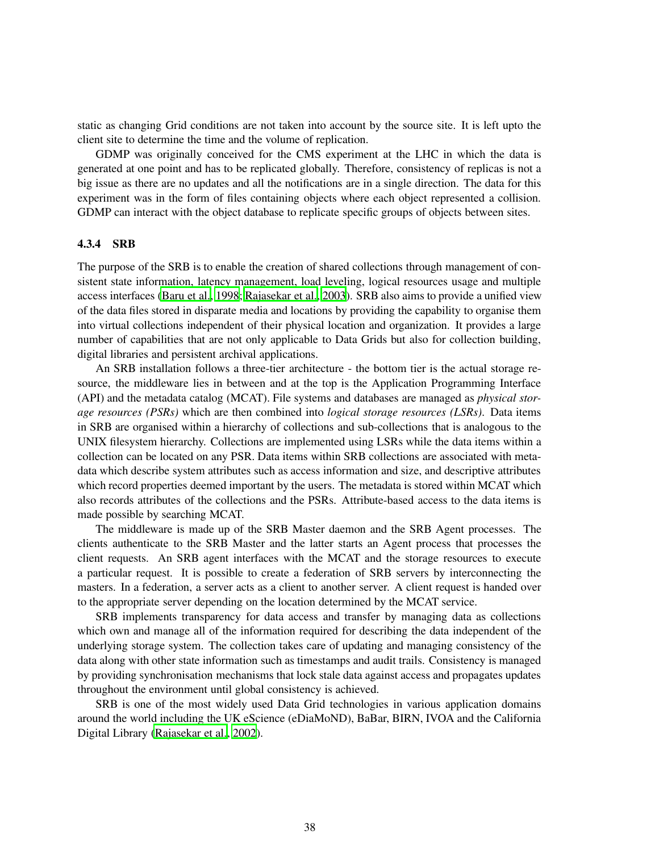static as changing Grid conditions are not taken into account by the source site. It is left upto the client site to determine the time and the volume of replication.

GDMP was originally conceived for the CMS experiment at the LHC in which the data is generated at one point and has to be replicated globally. Therefore, consistency of replicas is not a big issue as there are no updates and all the notifications are in a single direction. The data for this experiment was in the form of files containing objects where each object represented a collision. GDMP can interact with the object database to replicate specific groups of objects between sites.

#### **4.3.4 SRB**

The purpose of the SRB is to enable the creation of shared collections through management of consistent state information, latency management, load leveling, logical resources usage and multiple access interfaces [\(Baru](#page-49-7) et al., [1998](#page-49-7); [Rajasekar](#page-56-9) et al., [2003](#page-56-9)). SRB also aims to provide a unified view of the data files stored in disparate media and locations by providing the capability to organise them into virtual collections independent of their physical location and organization. It provides a large number of capabilities that are not only applicable to Data Grids but also for collection building, digital libraries and persistent archival applications.

An SRB installation follows a three-tier architecture - the bottom tier is the actual storage resource, the middleware lies in between and at the top is the Application Programming Interface (API) and the metadata catalog (MCAT). File systems and databases are managed as *physical storage resources (PSRs)* which are then combined into *logical storage resources (LSRs)*. Data items in SRB are organised within a hierarchy of collections and sub-collections that is analogous to the UNIX filesystem hierarchy. Collections are implemented using LSRs while the data items within a collection can be located on any PSR. Data items within SRB collections are associated with metadata which describe system attributes such as access information and size, and descriptive attributes which record properties deemed important by the users. The metadata is stored within MCAT which also records attributes of the collections and the PSRs. Attribute-based access to the data items is made possible by searching MCAT.

The middleware is made up of the SRB Master daemon and the SRB Agent processes. The clients authenticate to the SRB Master and the latter starts an Agent process that processes the client requests. An SRB agent interfaces with the MCAT and the storage resources to execute a particular request. It is possible to create a federation of SRB servers by interconnecting the masters. In a federation, a server acts as a client to another server. A client request is handed over to the appropriate server depending on the location determined by the MCAT service.

SRB implements transparency for data access and transfer by managing data as collections which own and manage all of the information required for describing the data independent of the underlying storage system. The collection takes care of updating and managing consistency of the data along with other state information such as timestamps and audit trails. Consistency is managed by providing synchronisation mechanisms that lock stale data against access and propagates updates throughout the environment until global consistency is achieved.

SRB is one of the most widely used Data Grid technologies in various application domains around the world including the UK eScience (eDiaMoND), BaBar, BIRN, IVOA and the California Digital Library [\(Rajasekar](#page-56-10) et al., [2002](#page-56-10)).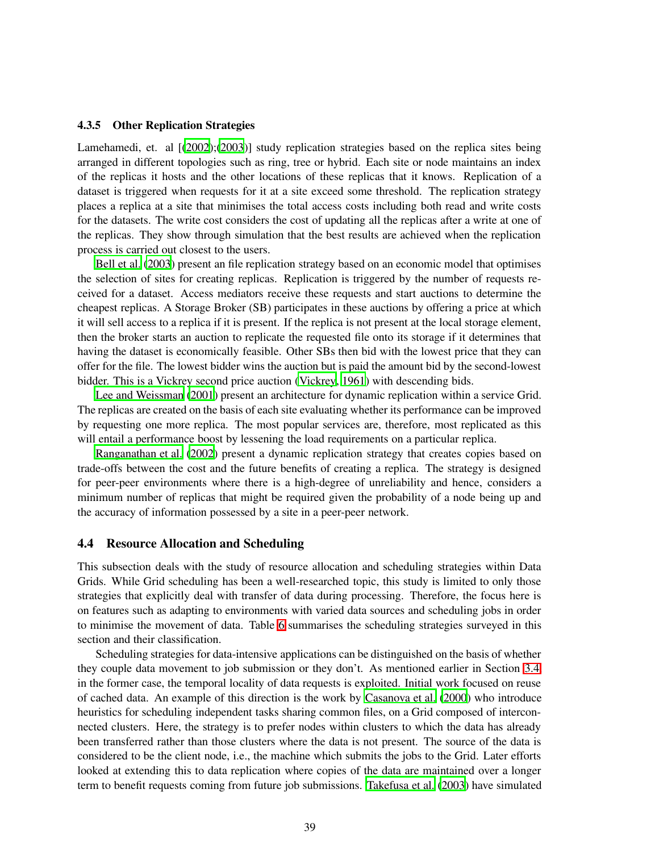## **4.3.5 Other Replication Strategies**

Lamehamedi, et. al [[\(2002\)](#page-54-7);[\(2003\)](#page-54-10)] study replication strategies based on the replica sites being arranged in different topologies such as ring, tree or hybrid. Each site or node maintains an index of the replicas it hosts and the other locations of these replicas that it knows. Replication of a dataset is triggered when requests for it at a site exceed some threshold. The replication strategy places a replica at a site that minimises the total access costs including both read and write costs for the datasets. The write cost considers the cost of updating all the replicas after a write at one of the replicas. They show through simulation that the best results are achieved when the replication process is carried out closest to the users.

[Bell](#page-49-14) et al. [\(2003\)](#page-49-14) present an file replication strategy based on an economic model that optimises the selection of sites for creating replicas. Replication is triggered by the number of requests received for a dataset. Access mediators receive these requests and start auctions to determine the cheapest replicas. A Storage Broker (SB) participates in these auctions by offering a price at which it will sell access to a replica if it is present. If the replica is not present at the local storage element, then the broker starts an auction to replicate the requested file onto its storage if it determines that having the dataset is economically feasible. Other SBs then bid with the lowest price that they can offer for the file. The lowest bidder wins the auction but is paid the amount bid by the second-lowest bidder. This is a Vickrey second price auction [\(Vickrey](#page-58-8), [1961](#page-58-8)) with descending bids.

Lee and [Weissman](#page-54-11) [\(2001\)](#page-54-11) present an architecture for dynamic replication within a service Grid. The replicas are created on the basis of each site evaluating whether its performance can be improved by requesting one more replica. The most popular services are, therefore, most replicated as this will entail a performance boost by lessening the load requirements on a particular replica.

[Ranganathan](#page-57-11) et al. [\(2002\)](#page-57-11) present a dynamic replication strategy that creates copies based on trade-offs between the cost and the future benefits of creating a replica. The strategy is designed for peer-peer environments where there is a high-degree of unreliability and hence, considers a minimum number of replicas that might be required given the probability of a node being up and the accuracy of information possessed by a site in a peer-peer network.

#### **4.4 Resource Allocation and Scheduling**

This subsection deals with the study of resource allocation and scheduling strategies within Data Grids. While Grid scheduling has been a well-researched topic, this study is limited to only those strategies that explicitly deal with transfer of data during processing. Therefore, the focus here is on features such as adapting to environments with varied data sources and scheduling jobs in order to minimise the movement of data. Table [6](#page-39-0) summarises the scheduling strategies surveyed in this section and their classification.

Scheduling strategies for data-intensive applications can be distinguished on the basis of whether they couple data movement to job submission or they don't. As mentioned earlier in Section [3.4,](#page-24-1) in the former case, the temporal locality of data requests is exploited. Initial work focused on reuse of cached data. An example of this direction is the work by [Casanova](#page-50-8) et al. [\(2000](#page-50-8)) who introduce heuristics for scheduling independent tasks sharing common files, on a Grid composed of interconnected clusters. Here, the strategy is to prefer nodes within clusters to which the data has already been transferred rather than those clusters where the data is not present. The source of the data is considered to be the client node, i.e., the machine which submits the jobs to the Grid. Later efforts looked at extending this to data replication where copies of the data are maintained over a longer term to benefit requests coming from future job submissions. [Takefusa](#page-58-9) et al. [\(2003](#page-58-9)) have simulated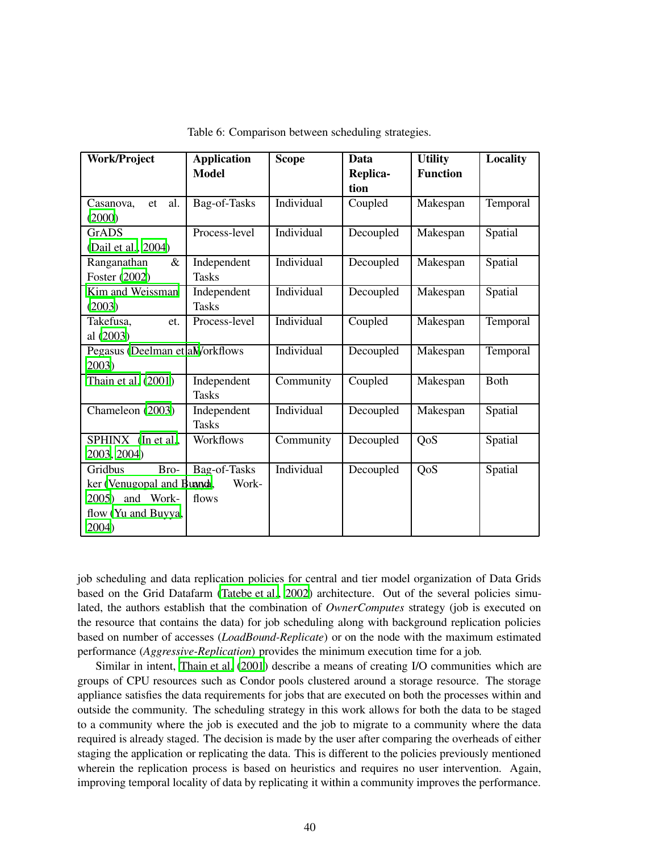| <b>Work/Project</b>             | <b>Application</b> | <b>Scope</b> | Data      | <b>Utility</b>  | <b>Locality</b> |
|---------------------------------|--------------------|--------------|-----------|-----------------|-----------------|
|                                 | <b>Model</b>       |              | Replica-  | <b>Function</b> |                 |
|                                 |                    |              | tion      |                 |                 |
| Casanova,<br>et<br>al.          | Bag-of-Tasks       | Individual   | Coupled   | Makespan        | Temporal        |
| (2000)                          |                    |              |           |                 |                 |
| GrADS                           | Process-level      | Individual   | Decoupled | Makespan        | Spatial         |
| (Dail et al., 2004)             |                    |              |           |                 |                 |
| $\&$<br>Ranganathan             | Independent        | Individual   | Decoupled | Makespan        | Spatial         |
| Foster (2002)                   | <b>Tasks</b>       |              |           |                 |                 |
| Kim and Weissman                | Independent        | Individual   | Decoupled | Makespan        | Spatial         |
| (2003)                          | <b>Tasks</b>       |              |           |                 |                 |
| Takefusa,<br>et.                | Process-level      | Individual   | Coupled   | Makespan        | Temporal        |
| al (2003)                       |                    |              |           |                 |                 |
| Pegasus (Deelman et a Morkflows |                    | Individual   | Decoupled | Makespan        | Temporal        |
| 2003)                           |                    |              |           |                 |                 |
| Thain et al. $(2001)$           | Independent        | Community    | Coupled   | Makespan        | Both            |
|                                 | <b>Tasks</b>       |              |           |                 |                 |
| Chameleon (2003)                | Independent        | Individual   | Decoupled | Makespan        | Spatial         |
|                                 | <b>Tasks</b>       |              |           |                 |                 |
| SPHINX (In et al.,              | Workflows          | Community    | Decoupled | QoS             | Spatial         |
| 2003, 2004)                     |                    |              |           |                 |                 |
| Gridbus<br>Bro-                 | Bag-of-Tasks       | Individual   | Decoupled | QoS             | Spatial         |
| ker (Venugopal and Buyyda,      | Work-              |              |           |                 |                 |
| 2005) and Work-                 | flows              |              |           |                 |                 |
| flow (Yu and Buyya,             |                    |              |           |                 |                 |
| 2004)                           |                    |              |           |                 |                 |

<span id="page-39-0"></span>Table 6: Comparison between scheduling strategies.

job scheduling and data replication policies for central and tier model organization of Data Grids based on the Grid Datafarm [\(Tatebe](#page-58-2) et al., [2002](#page-58-2)) architecture. Out of the several policies simulated, the authors establish that the combination of *OwnerComputes* strategy (job is executed on the resource that contains the data) for job scheduling along with background replication policies based on number of accesses (*LoadBound-Replicate*) or on the node with the maximum estimated performance (*Aggressive-Replication*) provides the minimum execution time for a job.

Similar in intent, [Thain](#page-58-10) et al. [\(2001](#page-58-10)) describe a means of creating I/O communities which are groups of CPU resources such as Condor pools clustered around a storage resource. The storage appliance satisfies the data requirements for jobs that are executed on both the processes within and outside the community. The scheduling strategy in this work allows for both the data to be staged to a community where the job is executed and the job to migrate to a community where the data required is already staged. The decision is made by the user after comparing the overheads of either staging the application or replicating the data. This is different to the policies previously mentioned wherein the replication process is based on heuristics and requires no user intervention. Again, improving temporal locality of data by replicating it within a community improves the performance.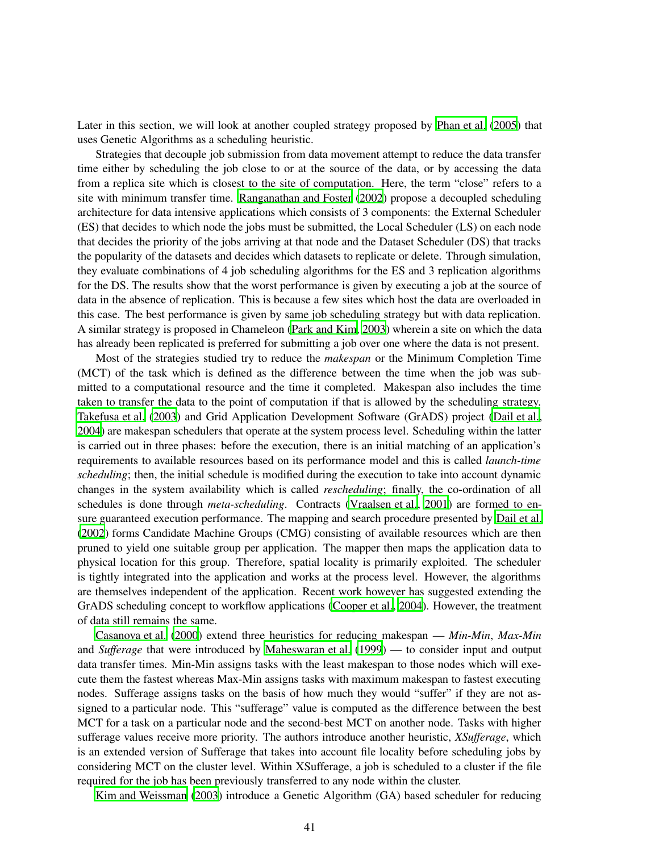Later in this section, we will look at another coupled strategy proposed by [Phan](#page-56-12) et al. [\(2005](#page-56-12)) that uses Genetic Algorithms as a scheduling heuristic.

Strategies that decouple job submission from data movement attempt to reduce the data transfer time either by scheduling the job close to or at the source of the data, or by accessing the data from a replica site which is closest to the site of computation. Here, the term "close" refers to a site with minimum transfer time. [Ranganathan](#page-56-5) and Foster [\(2002](#page-56-5)) propose a decoupled scheduling architecture for data intensive applications which consists of 3 components: the External Scheduler (ES) that decides to which node the jobs must be submitted, the Local Scheduler (LS) on each node that decides the priority of the jobs arriving at that node and the Dataset Scheduler (DS) that tracks the popularity of the datasets and decides which datasets to replicate or delete. Through simulation, they evaluate combinations of 4 job scheduling algorithms for the ES and 3 replication algorithms for the DS. The results show that the worst performance is given by executing a job at the source of data in the absence of replication. This is because a few sites which host the data are overloaded in this case. The best performance is given by same job scheduling strategy but with data replication. A similar strategy is proposed in Chameleon [\(Park](#page-56-11) and Kim, [2003](#page-56-11)) wherein a site on which the data has already been replicated is preferred for submitting a job over one where the data is not present.

Most of the strategies studied try to reduce the *makespan* or the Minimum Completion Time (MCT) of the task which is defined as the difference between the time when the job was submitted to a computational resource and the time it completed. Makespan also includes the time taken to transfer the data to the point of computation if that is allowed by the scheduling strategy. [Takefusa](#page-58-9) et al. [\(2003](#page-58-9)) and Grid Application Development Software (GrADS) project ([Dail](#page-51-9) et al., [2004\)](#page-51-9) are makespan schedulers that operate at the system process level. Scheduling within the latter is carried out in three phases: before the execution, there is an initial matching of an application's requirements to available resources based on its performance model and this is called *launch-time scheduling*; then, the initial schedule is modified during the execution to take into account dynamic changes in the system availability which is called *rescheduling*; finally, the co-ordination of all schedules is done through *meta-scheduling*. Contracts [\(Vraalsen](#page-59-7) et al., [2001](#page-59-7)) are formed to ensure guaranteed execution performance. The mapping and search procedure presented by [Dail](#page-50-9) et al. [\(2002](#page-50-9)) forms Candidate Machine Groups (CMG) consisting of available resources which are then pruned to yield one suitable group per application. The mapper then maps the application data to physical location for this group. Therefore, spatial locality is primarily exploited. The scheduler is tightly integrated into the application and works at the process level. However, the algorithms are themselves independent of the application. Recent work however has suggested extending the GrADS scheduling concept to workflow applications [\(Cooper](#page-50-10) et al., [2004](#page-50-10)). However, the treatment of data still remains the same.

[Casanova](#page-50-8) et al. [\(2000](#page-50-8)) extend three heuristics for reducing makespan — *Min-Min*, *Max-Min* and *Sufferage* that were introduced by [Maheswaran](#page-55-12) et al. [\(1999](#page-55-12)) — to consider input and output data transfer times. Min-Min assigns tasks with the least makespan to those nodes which will execute them the fastest whereas Max-Min assigns tasks with maximum makespan to fastest executing nodes. Sufferage assigns tasks on the basis of how much they would "suffer" if they are not assigned to a particular node. This "sufferage" value is computed as the difference between the best MCT for a task on a particular node and the second-best MCT on another node. Tasks with higher sufferage values receive more priority. The authors introduce another heuristic, *XSufferage*, which is an extended version of Sufferage that takes into account file locality before scheduling jobs by considering MCT on the cluster level. Within XSufferage, a job is scheduled to a cluster if the file required for the job has been previously transferred to any node within the cluster.

Kim and [Weissman](#page-53-10) [\(2003](#page-53-10)) introduce a Genetic Algorithm (GA) based scheduler for reducing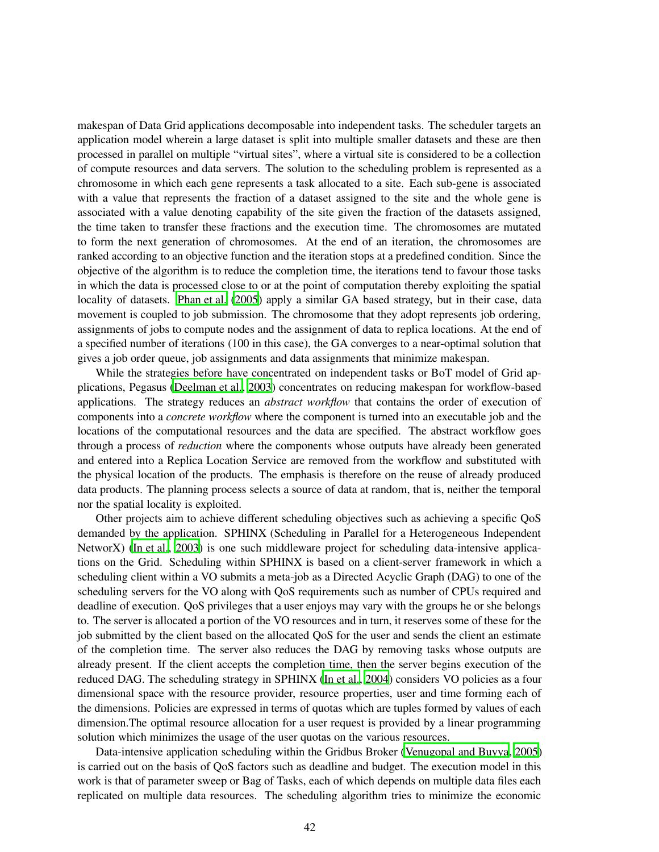makespan of Data Grid applications decomposable into independent tasks. The scheduler targets an application model wherein a large dataset is split into multiple smaller datasets and these are then processed in parallel on multiple "virtual sites", where a virtual site is considered to be a collection of compute resources and data servers. The solution to the scheduling problem is represented as a chromosome in which each gene represents a task allocated to a site. Each sub-gene is associated with a value that represents the fraction of a dataset assigned to the site and the whole gene is associated with a value denoting capability of the site given the fraction of the datasets assigned, the time taken to transfer these fractions and the execution time. The chromosomes are mutated to form the next generation of chromosomes. At the end of an iteration, the chromosomes are ranked according to an objective function and the iteration stops at a predefined condition. Since the objective of the algorithm is to reduce the completion time, the iterations tend to favour those tasks in which the data is processed close to or at the point of computation thereby exploiting the spatial locality of datasets. [Phan](#page-56-12) et al. [\(2005](#page-56-12)) apply a similar GA based strategy, but in their case, data movement is coupled to job submission. The chromosome that they adopt represents job ordering, assignments of jobs to compute nodes and the assignment of data to replica locations. At the end of a specified number of iterations (100 in this case), the GA converges to a near-optimal solution that gives a job order queue, job assignments and data assignments that minimize makespan.

While the strategies before have concentrated on independent tasks or BoT model of Grid applications, Pegasus [\(Deelman](#page-51-10) et al., [2003](#page-51-10)) concentrates on reducing makespan for workflow-based applications. The strategy reduces an *abstract workflow* that contains the order of execution of components into a *concrete workflow* where the component is turned into an executable job and the locations of the computational resources and the data are specified. The abstract workflow goes through a process of *reduction* where the components whose outputs have already been generated and entered into a Replica Location Service are removed from the workflow and substituted with the physical location of the products. The emphasis is therefore on the reuse of already produced data products. The planning process selects a source of data at random, that is, neither the temporal nor the spatial locality is exploited.

Other projects aim to achieve different scheduling objectives such as achieving a specific QoS demanded by the application. SPHINX (Scheduling in Parallel for a Heterogeneous Independent NetworX) (In et [al.,](#page-53-11) [2003](#page-53-11)) is one such middleware project for scheduling data-intensive applications on the Grid. Scheduling within SPHINX is based on a client-server framework in which a scheduling client within a VO submits a meta-job as a Directed Acyclic Graph (DAG) to one of the scheduling servers for the VO along with QoS requirements such as number of CPUs required and deadline of execution. QoS privileges that a user enjoys may vary with the groups he or she belongs to. The server is allocated a portion of the VO resources and in turn, it reserves some of these for the job submitted by the client based on the allocated QoS for the user and sends the client an estimate of the completion time. The server also reduces the DAG by removing tasks whose outputs are already present. If the client accepts the completion time, then the server begins execution of the reduced DAG. The scheduling strategy in SPHINX (In et [al.](#page-53-12), [2004](#page-53-12)) considers VO policies as a four dimensional space with the resource provider, resource properties, user and time forming each of the dimensions. Policies are expressed in terms of quotas which are tuples formed by values of each dimension.The optimal resource allocation for a user request is provided by a linear programming solution which minimizes the usage of the user quotas on the various resources.

Data-intensive application scheduling within the Gridbus Broker [\(Venugopal](#page-58-11) and Buyya, [2005](#page-58-11)) is carried out on the basis of QoS factors such as deadline and budget. The execution model in this work is that of parameter sweep or Bag of Tasks, each of which depends on multiple data files each replicated on multiple data resources. The scheduling algorithm tries to minimize the economic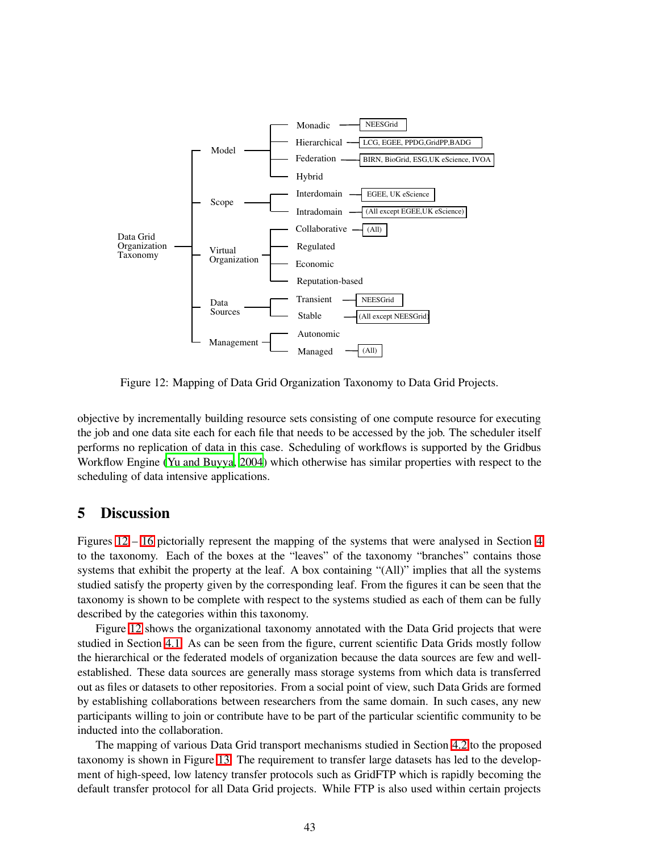

<span id="page-42-0"></span>Figure 12: Mapping of Data Grid Organization Taxonomy to Data Grid Projects.

objective by incrementally building resource sets consisting of one compute resource for executing the job and one data site each for each file that needs to be accessed by the job. The scheduler itself performs no replication of data in this case. Scheduling of workflows is supported by the Gridbus Workflow Engine (Yu and [Buyya](#page-59-6), [2004](#page-59-6)) which otherwise has similar properties with respect to the scheduling of data intensive applications.

# **5 Discussion**

Figures [12](#page-42-0) – [16](#page-45-0) pictorially represent the mapping of the systems that were analysed in Section [4](#page-26-0) to the taxonomy. Each of the boxes at the "leaves" of the taxonomy "branches" contains those systems that exhibit the property at the leaf. A box containing "(All)" implies that all the systems studied satisfy the property given by the corresponding leaf. From the figures it can be seen that the taxonomy is shown to be complete with respect to the systems studied as each of them can be fully described by the categories within this taxonomy.

Figure [12](#page-42-0) shows the organizational taxonomy annotated with the Data Grid projects that were studied in Section [4.1.](#page-26-2) As can be seen from the figure, current scientific Data Grids mostly follow the hierarchical or the federated models of organization because the data sources are few and wellestablished. These data sources are generally mass storage systems from which data is transferred out as files or datasets to other repositories. From a social point of view, such Data Grids are formed by establishing collaborations between researchers from the same domain. In such cases, any new participants willing to join or contribute have to be part of the particular scientific community to be inducted into the collaboration.

The mapping of various Data Grid transport mechanisms studied in Section [4.2](#page-28-0) to the proposed taxonomy is shown in Figure [13.](#page-43-0) The requirement to transfer large datasets has led to the development of high-speed, low latency transfer protocols such as GridFTP which is rapidly becoming the default transfer protocol for all Data Grid projects. While FTP is also used within certain projects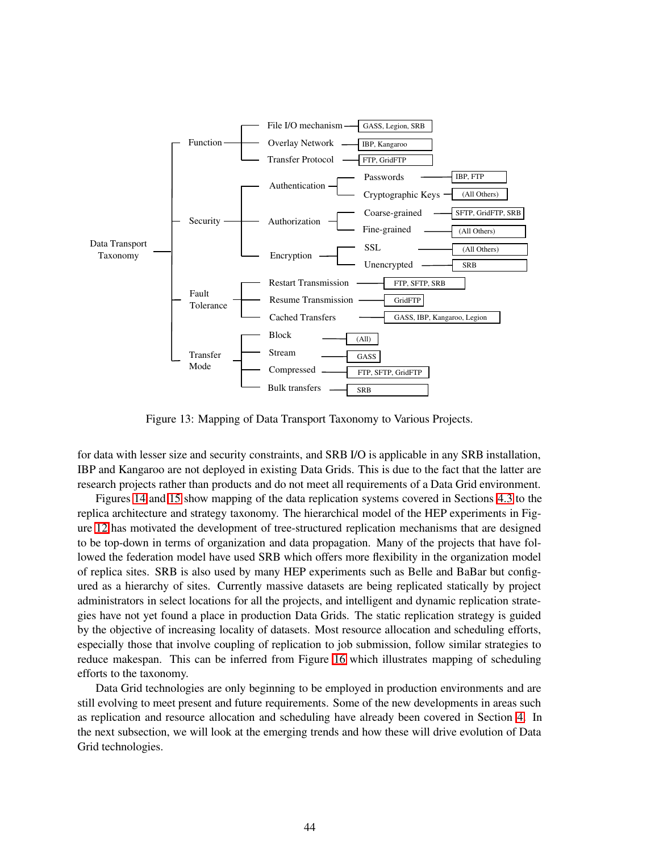

<span id="page-43-0"></span>Figure 13: Mapping of Data Transport Taxonomy to Various Projects.

for data with lesser size and security constraints, and SRB I/O is applicable in any SRB installation, IBP and Kangaroo are not deployed in existing Data Grids. This is due to the fact that the latter are research projects rather than products and do not meet all requirements of a Data Grid environment.

Figures [14](#page-44-0) and [15](#page-44-1) show mapping of the data replication systems covered in Sections [4.3](#page-34-1) to the replica architecture and strategy taxonomy. The hierarchical model of the HEP experiments in Figure [12](#page-42-0) has motivated the development of tree-structured replication mechanisms that are designed to be top-down in terms of organization and data propagation. Many of the projects that have followed the federation model have used SRB which offers more flexibility in the organization model of replica sites. SRB is also used by many HEP experiments such as Belle and BaBar but configured as a hierarchy of sites. Currently massive datasets are being replicated statically by project administrators in select locations for all the projects, and intelligent and dynamic replication strategies have not yet found a place in production Data Grids. The static replication strategy is guided by the objective of increasing locality of datasets. Most resource allocation and scheduling efforts, especially those that involve coupling of replication to job submission, follow similar strategies to reduce makespan. This can be inferred from Figure [16](#page-45-0) which illustrates mapping of scheduling efforts to the taxonomy.

Data Grid technologies are only beginning to be employed in production environments and are still evolving to meet present and future requirements. Some of the new developments in areas such as replication and resource allocation and scheduling have already been covered in Section [4.](#page-26-0) In the next subsection, we will look at the emerging trends and how these will drive evolution of Data Grid technologies.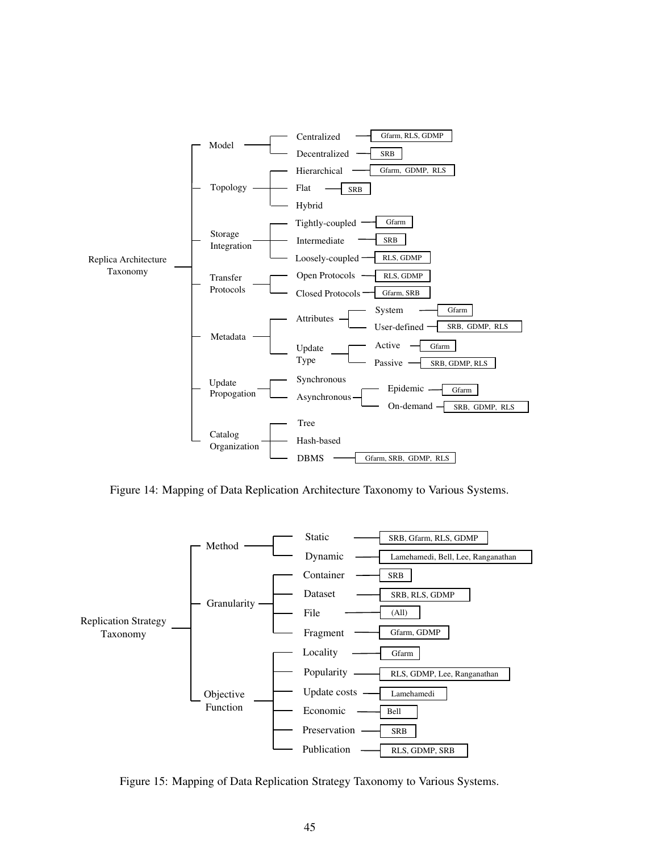

<span id="page-44-0"></span>Figure 14: Mapping of Data Replication Architecture Taxonomy to Various Systems.



<span id="page-44-1"></span>Figure 15: Mapping of Data Replication Strategy Taxonomy to Various Systems.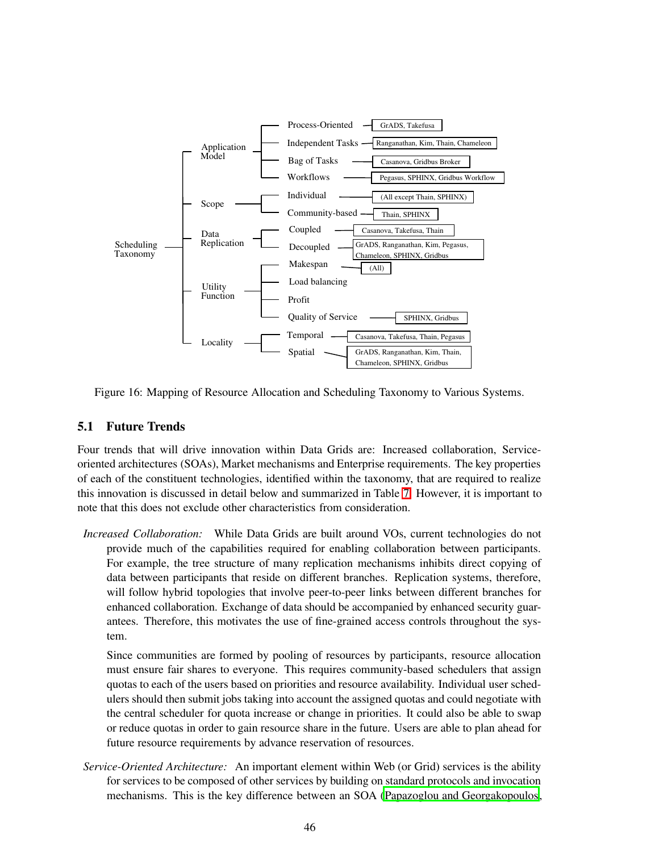

<span id="page-45-0"></span>Figure 16: Mapping of Resource Allocation and Scheduling Taxonomy to Various Systems.

# **5.1 Future Trends**

Four trends that will drive innovation within Data Grids are: Increased collaboration, Serviceoriented architectures (SOAs), Market mechanisms and Enterprise requirements. The key properties of each of the constituent technologies, identified within the taxonomy, that are required to realize this innovation is discussed in detail below and summarized in Table [7.](#page-46-0) However, it is important to note that this does not exclude other characteristics from consideration.

*Increased Collaboration:* While Data Grids are built around VOs, current technologies do not provide much of the capabilities required for enabling collaboration between participants. For example, the tree structure of many replication mechanisms inhibits direct copying of data between participants that reside on different branches. Replication systems, therefore, will follow hybrid topologies that involve peer-to-peer links between different branches for enhanced collaboration. Exchange of data should be accompanied by enhanced security guarantees. Therefore, this motivates the use of fine-grained access controls throughout the system.

Since communities are formed by pooling of resources by participants, resource allocation must ensure fair shares to everyone. This requires community-based schedulers that assign quotas to each of the users based on priorities and resource availability. Individual user schedulers should then submit jobs taking into account the assigned quotas and could negotiate with the central scheduler for quota increase or change in priorities. It could also be able to swap or reduce quotas in order to gain resource share in the future. Users are able to plan ahead for future resource requirements by advance reservation of resources.

*Service-Oriented Architecture:* An important element within Web (or Grid) services is the ability for services to be composed of other services by building on standard protocols and invocation mechanisms. This is the key difference between an SOA (Papazoglou and [Georgakopoulos](#page-55-13),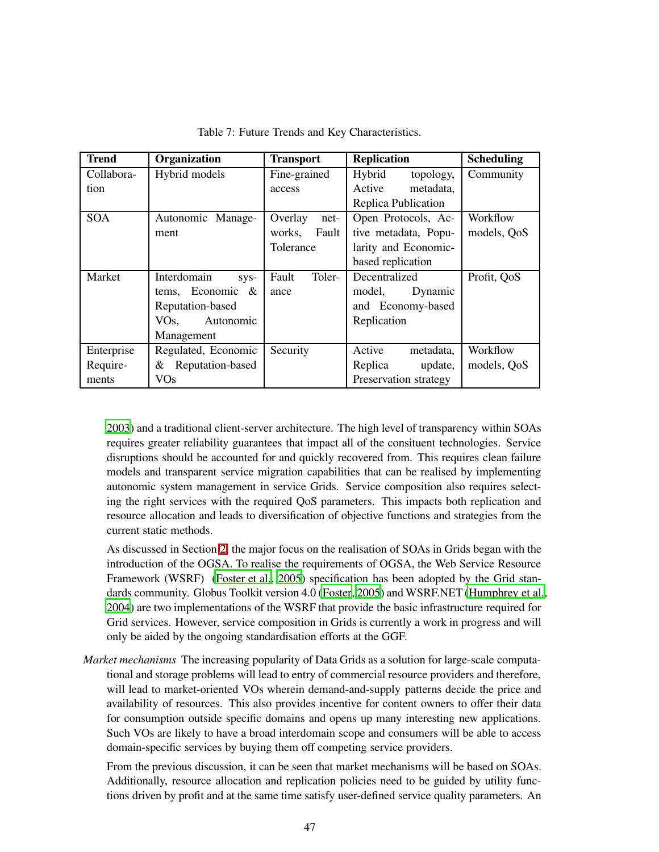| <b>Trend</b>  | Organization                     | <b>Transport</b> | <b>Replication</b>    | <b>Scheduling</b> |
|---------------|----------------------------------|------------------|-----------------------|-------------------|
| Collabora-    | Hybrid models                    | Fine-grained     | Hybrid<br>topology,   | Community         |
| tion          |                                  | access           | Active<br>metadata,   |                   |
|               |                                  |                  | Replica Publication   |                   |
| <b>SOA</b>    | Autonomic Manage-                | Overlay<br>net-  | Open Protocols, Ac-   | Workflow          |
|               | ment                             | Fault<br>works,  | tive metadata, Popu-  | models, QoS       |
|               |                                  | Tolerance        | larity and Economic-  |                   |
|               |                                  |                  | based replication     |                   |
| <b>Market</b> | Interdomain<br>Sy <sub>S</sub> - | Fault<br>Toler-  | Decentralized         | Profit, QoS       |
|               | tems, Economic $\&$              | ance             | model,<br>Dynamic     |                   |
|               | Reputation-based                 |                  | and Economy-based     |                   |
|               | Autonomic<br>VOs.                |                  | Replication           |                   |
|               | Management                       |                  |                       |                   |
| Enterprise    | Regulated, Economic              | Security         | Active<br>metadata,   | Workflow          |
| Require-      | Reputation-based<br>&            |                  | Replica<br>update,    | models, QoS       |
| ments         | <b>VOs</b>                       |                  | Preservation strategy |                   |

<span id="page-46-0"></span>Table 7: Future Trends and Key Characteristics.

[2003](#page-55-13)) and a traditional client-server architecture. The high level of transparency within SOAs requires greater reliability guarantees that impact all of the consituent technologies. Service disruptions should be accounted for and quickly recovered from. This requires clean failure models and transparent service migration capabilities that can be realised by implementing autonomic system management in service Grids. Service composition also requires selecting the right services with the required QoS parameters. This impacts both replication and resource allocation and leads to diversification of objective functions and strategies from the current static methods.

As discussed in Section [2,](#page-1-0) the major focus on the realisation of SOAs in Grids began with the introduction of the OGSA. To realise the requirements of OGSA, the Web Service Resource Framework (WSRF) [\(Foster](#page-51-11) et al., [2005](#page-51-11)) specification has been adopted by the Grid standards community. Globus Toolkit version 4.0 [\(Foster](#page-51-12), [2005](#page-51-12)) and WSRF.NET [\(Humphrey](#page-53-13) et al., [2004](#page-53-13)) are two implementations of the WSRF that provide the basic infrastructure required for Grid services. However, service composition in Grids is currently a work in progress and will only be aided by the ongoing standardisation efforts at the GGF.

*Market mechanisms* The increasing popularity of Data Grids as a solution for large-scale computational and storage problems will lead to entry of commercial resource providers and therefore, will lead to market-oriented VOs wherein demand-and-supply patterns decide the price and availability of resources. This also provides incentive for content owners to offer their data for consumption outside specific domains and opens up many interesting new applications. Such VOs are likely to have a broad interdomain scope and consumers will be able to access domain-specific services by buying them off competing service providers.

From the previous discussion, it can be seen that market mechanisms will be based on SOAs. Additionally, resource allocation and replication policies need to be guided by utility functions driven by profit and at the same time satisfy user-defined service quality parameters. An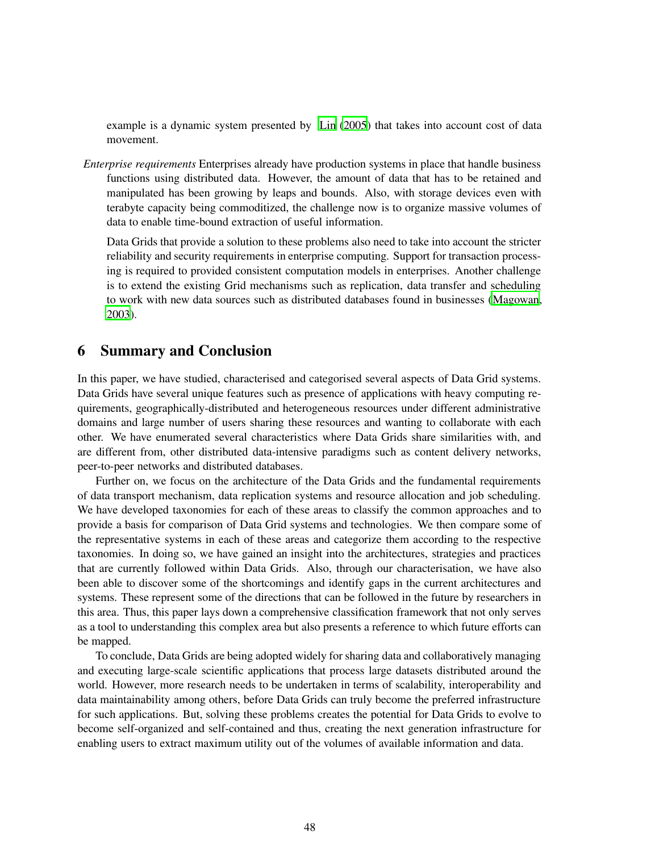example is a dynamic system presented by [Lin](#page-54-12) [\(2005](#page-54-12)) that takes into account cost of data movement.

*Enterprise requirements* Enterprises already have production systems in place that handle business functions using distributed data. However, the amount of data that has to be retained and manipulated has been growing by leaps and bounds. Also, with storage devices even with terabyte capacity being commoditized, the challenge now is to organize massive volumes of data to enable time-bound extraction of useful information.

Data Grids that provide a solution to these problems also need to take into account the stricter reliability and security requirements in enterprise computing. Support for transaction processing is required to provided consistent computation models in enterprises. Another challenge is to extend the existing Grid mechanisms such as replication, data transfer and scheduling to work with new data sources such as distributed databases found in businesses [\(Magowan](#page-55-14), [2003](#page-55-14)).

# **6 Summary and Conclusion**

In this paper, we have studied, characterised and categorised several aspects of Data Grid systems. Data Grids have several unique features such as presence of applications with heavy computing requirements, geographically-distributed and heterogeneous resources under different administrative domains and large number of users sharing these resources and wanting to collaborate with each other. We have enumerated several characteristics where Data Grids share similarities with, and are different from, other distributed data-intensive paradigms such as content delivery networks, peer-to-peer networks and distributed databases.

Further on, we focus on the architecture of the Data Grids and the fundamental requirements of data transport mechanism, data replication systems and resource allocation and job scheduling. We have developed taxonomies for each of these areas to classify the common approaches and to provide a basis for comparison of Data Grid systems and technologies. We then compare some of the representative systems in each of these areas and categorize them according to the respective taxonomies. In doing so, we have gained an insight into the architectures, strategies and practices that are currently followed within Data Grids. Also, through our characterisation, we have also been able to discover some of the shortcomings and identify gaps in the current architectures and systems. These represent some of the directions that can be followed in the future by researchers in this area. Thus, this paper lays down a comprehensive classification framework that not only serves as a tool to understanding this complex area but also presents a reference to which future efforts can be mapped.

To conclude, Data Grids are being adopted widely for sharing data and collaboratively managing and executing large-scale scientific applications that process large datasets distributed around the world. However, more research needs to be undertaken in terms of scalability, interoperability and data maintainability among others, before Data Grids can truly become the preferred infrastructure for such applications. But, solving these problems creates the potential for Data Grids to evolve to become self-organized and self-contained and thus, creating the next generation infrastructure for enabling users to extract maximum utility out of the volumes of available information and data.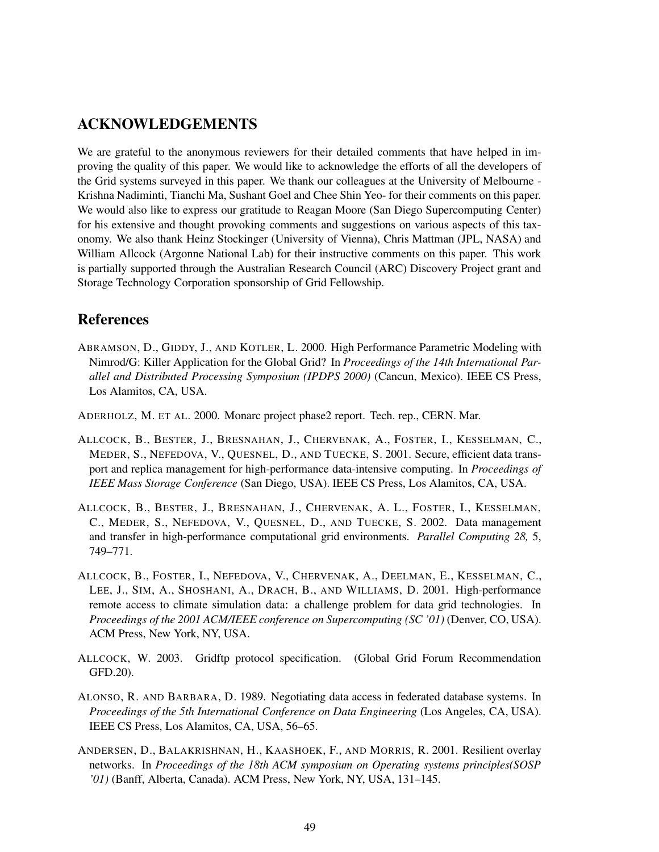# **ACKNOWLEDGEMENTS**

We are grateful to the anonymous reviewers for their detailed comments that have helped in improving the quality of this paper. We would like to acknowledge the efforts of all the developers of the Grid systems surveyed in this paper. We thank our colleagues at the University of Melbourne - Krishna Nadiminti, Tianchi Ma, Sushant Goel and Chee Shin Yeo- for their comments on this paper. We would also like to express our gratitude to Reagan Moore (San Diego Supercomputing Center) for his extensive and thought provoking comments and suggestions on various aspects of this taxonomy. We also thank Heinz Stockinger (University of Vienna), Chris Mattman (JPL, NASA) and William Allcock (Argonne National Lab) for their instructive comments on this paper. This work is partially supported through the Australian Research Council (ARC) Discovery Project grant and Storage Technology Corporation sponsorship of Grid Fellowship.

# **References**

- <span id="page-48-5"></span>ABRAMSON, D., GIDDY, J., AND KOTLER, L. 2000. High Performance Parametric Modeling with Nimrod/G: Killer Application for the Global Grid? In *Proceedings of the 14th International Parallel and Distributed Processing Symposium (IPDPS 2000)* (Cancun, Mexico). IEEE CS Press, Los Alamitos, CA, USA.
- <span id="page-48-1"></span>ADERHOLZ, M. ET AL. 2000. Monarc project phase2 report. Tech. rep., CERN. Mar.
- <span id="page-48-4"></span>ALLCOCK, B., BESTER, J., BRESNAHAN, J., CHERVENAK, A., FOSTER, I., KESSELMAN, C., MEDER, S., NEFEDOVA, V., QUESNEL, D., AND TUECKE, S. 2001. Secure, efficient data transport and replica management for high-performance data-intensive computing. In *Proceedings of IEEE Mass Storage Conference* (San Diego, USA). IEEE CS Press, Los Alamitos, CA, USA.
- <span id="page-48-7"></span>ALLCOCK, B., BESTER, J., BRESNAHAN, J., CHERVENAK, A. L., FOSTER, I., KESSELMAN, C., MEDER, S., NEFEDOVA, V., QUESNEL, D., AND TUECKE, S. 2002. Data management and transfer in high-performance computational grid environments. *Parallel Computing 28,* 5, 749–771.
- <span id="page-48-6"></span>ALLCOCK, B., FOSTER, I., NEFEDOVA, V., CHERVENAK, A., DEELMAN, E., KESSELMAN, C., LEE, J., SIM, A., SHOSHANI, A., DRACH, B., AND WILLIAMS, D. 2001. High-performance remote access to climate simulation data: a challenge problem for data grid technologies. In *Proceedings of the 2001 ACM/IEEE conference on Supercomputing (SC '01)* (Denver, CO, USA). ACM Press, New York, NY, USA.
- <span id="page-48-2"></span>ALLCOCK, W. 2003. Gridftp protocol specification. (Global Grid Forum Recommendation GFD.20).
- <span id="page-48-0"></span>ALONSO, R. AND BARBARA, D. 1989. Negotiating data access in federated database systems. In *Proceedings of the 5th International Conference on Data Engineering* (Los Angeles, CA, USA). IEEE CS Press, Los Alamitos, CA, USA, 56–65.
- <span id="page-48-3"></span>ANDERSEN, D., BALAKRISHNAN, H., KAASHOEK, F., AND MORRIS, R. 2001. Resilient overlay networks. In *Proceedings of the 18th ACM symposium on Operating systems principles(SOSP '01)* (Banff, Alberta, Canada). ACM Press, New York, NY, USA, 131–145.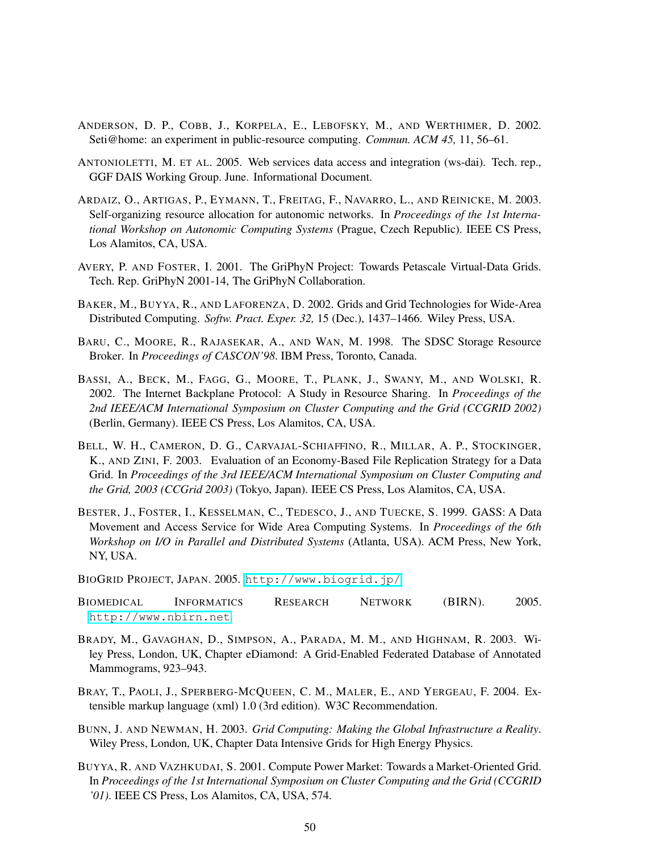- <span id="page-49-4"></span>ANDERSON, D. P., COBB, J., KORPELA, E., LEBOFSKY, M., AND WERTHIMER, D. 2002. Seti@home: an experiment in public-resource computing. *Commun. ACM 45,* 11, 56–61.
- <span id="page-49-3"></span>ANTONIOLETTI, M. ET AL. 2005. Web services data access and integration (ws-dai). Tech. rep., GGF DAIS Working Group. June. Informational Document.
- <span id="page-49-8"></span>ARDAIZ, O., ARTIGAS, P., EYMANN, T., FREITAG, F., NAVARRO, L., AND REINICKE, M. 2003. Self-organizing resource allocation for autonomic networks. In *Proceedings of the 1st International Workshop on Autonomic Computing Systems* (Prague, Czech Republic). IEEE CS Press, Los Alamitos, CA, USA.
- <span id="page-49-9"></span>AVERY, P. AND FOSTER, I. 2001. The GriPhyN Project: Towards Petascale Virtual-Data Grids. Tech. Rep. GriPhyN 2001-14, The GriPhyN Collaboration.
- <span id="page-49-1"></span>BAKER, M., BUYYA, R., AND LAFORENZA, D. 2002. Grids and Grid Technologies for Wide-Area Distributed Computing. *Softw. Pract. Exper. 32,* 15 (Dec.), 1437–1466. Wiley Press, USA.
- <span id="page-49-7"></span>BARU, C., MOORE, R., RAJASEKAR, A., AND WAN, M. 1998. The SDSC Storage Resource Broker. In *Proceedings of CASCON'98*. IBM Press, Toronto, Canada.
- <span id="page-49-13"></span>BASSI, A., BECK, M., FAGG, G., MOORE, T., PLANK, J., SWANY, M., AND WOLSKI, R. 2002. The Internet Backplane Protocol: A Study in Resource Sharing. In *Proceedings of the 2nd IEEE/ACM International Symposium on Cluster Computing and the Grid (CCGRID 2002)* (Berlin, Germany). IEEE CS Press, Los Alamitos, CA, USA.
- <span id="page-49-14"></span>BELL, W. H., CAMERON, D. G., CARVAJAL-SCHIAFFINO, R., MILLAR, A. P., STOCKINGER, K., AND ZINI, F. 2003. Evaluation of an Economy-Based File Replication Strategy for a Data Grid. In *Proceedings of the 3rd IEEE/ACM International Symposium on Cluster Computing and the Grid, 2003 (CCGrid 2003)* (Tokyo, Japan). IEEE CS Press, Los Alamitos, CA, USA.
- <span id="page-49-12"></span>BESTER, J., FOSTER, I., KESSELMAN, C., TEDESCO, J., AND TUECKE, S. 1999. GASS: A Data Movement and Access Service for Wide Area Computing Systems. In *Proceedings of the 6th Workshop on I/O in Parallel and Distributed Systems* (Atlanta, USA). ACM Press, New York, NY, USA.
- <span id="page-49-10"></span>BIOGRID PROJECT, JAPAN. 2005. <http://www.biogrid.jp/>.
- <span id="page-49-6"></span>BIOMEDICAL INFORMATICS RESEARCH NETWORK (BIRN). 2005. <http://www.nbirn.net>.
- <span id="page-49-11"></span>BRADY, M., GAVAGHAN, D., SIMPSON, A., PARADA, M. M., AND HIGHNAM, R. 2003. Wiley Press, London, UK, Chapter eDiamond: A Grid-Enabled Federated Database of Annotated Mammograms, 923–943.
- <span id="page-49-2"></span>BRAY, T., PAOLI, J., SPERBERG-MCQUEEN, C. M., MALER, E., AND YERGEAU, F. 2004. Extensible markup language (xml) 1.0 (3rd edition). W3C Recommendation.
- <span id="page-49-0"></span>BUNN, J. AND NEWMAN, H. 2003. *Grid Computing: Making the Global Infrastructure a Reality*. Wiley Press, London, UK, Chapter Data Intensive Grids for High Energy Physics.
- <span id="page-49-5"></span>BUYYA, R. AND VAZHKUDAI, S. 2001. Compute Power Market: Towards a Market-Oriented Grid. In *Proceedings of the 1st International Symposium on Cluster Computing and the Grid (CCGRID '01)*. IEEE CS Press, Los Alamitos, CA, USA, 574.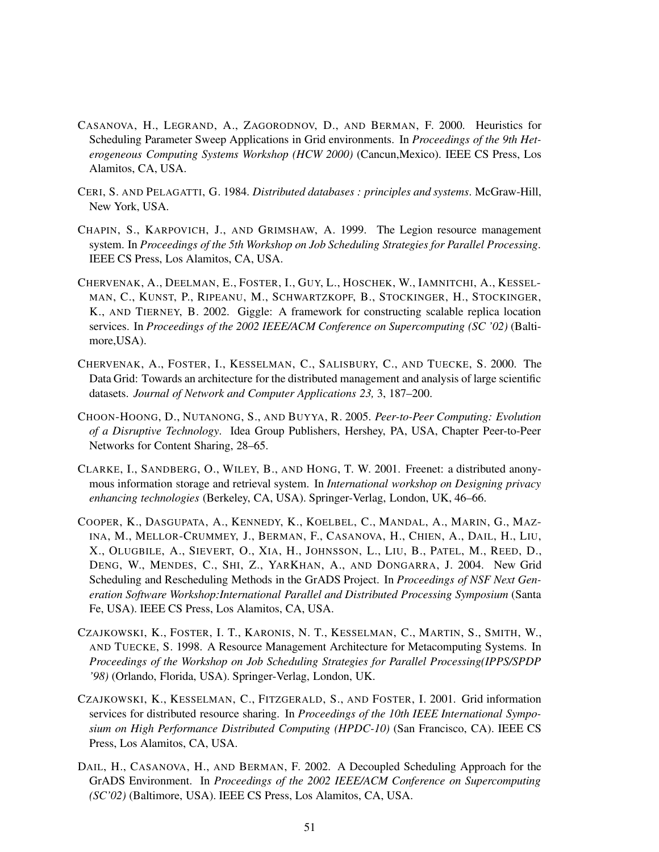- <span id="page-50-8"></span>CASANOVA, H., LEGRAND, A., ZAGORODNOV, D., AND BERMAN, F. 2000. Heuristics for Scheduling Parameter Sweep Applications in Grid environments. In *Proceedings of the 9th Heterogeneous Computing Systems Workshop (HCW 2000)* (Cancun,Mexico). IEEE CS Press, Los Alamitos, CA, USA.
- <span id="page-50-2"></span>CERI, S. AND PELAGATTI, G. 1984. *Distributed databases : principles and systems*. McGraw-Hill, New York, USA.
- <span id="page-50-6"></span>CHAPIN, S., KARPOVICH, J., AND GRIMSHAW, A. 1999. The Legion resource management system. In *Proceedings of the 5th Workshop on Job Scheduling Strategies for Parallel Processing*. IEEE CS Press, Los Alamitos, CA, USA.
- <span id="page-50-4"></span>CHERVENAK, A., DEELMAN, E., FOSTER, I., GUY, L., HOSCHEK, W., IAMNITCHI, A., KESSEL-MAN, C., KUNST, P., RIPEANU, M., SCHWARTZKOPF, B., STOCKINGER, H., STOCKINGER, K., AND TIERNEY, B. 2002. Giggle: A framework for constructing scalable replica location services. In *Proceedings of the 2002 IEEE/ACM Conference on Supercomputing (SC '02)* (Baltimore, USA).
- <span id="page-50-0"></span>CHERVENAK, A., FOSTER, I., KESSELMAN, C., SALISBURY, C., AND TUECKE, S. 2000. The Data Grid: Towards an architecture for the distributed management and analysis of large scientific datasets. *Journal of Network and Computer Applications 23,* 3, 187–200.
- <span id="page-50-1"></span>CHOON-HOONG, D., NUTANONG, S., AND BUYYA, R. 2005. *Peer-to-Peer Computing: Evolution of a Disruptive Technology*. Idea Group Publishers, Hershey, PA, USA, Chapter Peer-to-Peer Networks for Content Sharing, 28–65.
- <span id="page-50-3"></span>CLARKE, I., SANDBERG, O., WILEY, B., AND HONG, T. W. 2001. Freenet: a distributed anonymous information storage and retrieval system. In *International workshop on Designing privacy enhancing technologies* (Berkeley, CA, USA). Springer-Verlag, London, UK, 46–66.
- <span id="page-50-10"></span>COOPER, K., DASGUPATA, A., KENNEDY, K., KOELBEL, C., MANDAL, A., MARIN, G., MAZ-INA, M., MELLOR-CRUMMEY, J., BERMAN, F., CASANOVA, H., CHIEN, A., DAIL, H., LIU, X., OLUGBILE, A., SIEVERT, O., XIA, H., JOHNSSON, L., LIU, B., PATEL, M., REED, D., DENG, W., MENDES, C., SHI, Z., YARKHAN, A., AND DONGARRA, J. 2004. New Grid Scheduling and Rescheduling Methods in the GrADS Project. In *Proceedings of NSF Next Generation Software Workshop:International Parallel and Distributed Processing Symposium* (Santa Fe, USA). IEEE CS Press, Los Alamitos, CA, USA.
- <span id="page-50-5"></span>CZAJKOWSKI, K., FOSTER, I. T., KARONIS, N. T., KESSELMAN, C., MARTIN, S., SMITH, W., AND TUECKE, S. 1998. A Resource Management Architecture for Metacomputing Systems. In *Proceedings of the Workshop on Job Scheduling Strategies for Parallel Processing(IPPS/SPDP '98)* (Orlando, Florida, USA). Springer-Verlag, London, UK.
- <span id="page-50-7"></span>CZAJKOWSKI, K., KESSELMAN, C., FITZGERALD, S., AND FOSTER, I. 2001. Grid information services for distributed resource sharing. In *Proceedings of the 10th IEEE International Symposium on High Performance Distributed Computing (HPDC-10)* (San Francisco, CA). IEEE CS Press, Los Alamitos, CA, USA.
- <span id="page-50-9"></span>DAIL, H., CASANOVA, H., AND BERMAN, F. 2002. A Decoupled Scheduling Approach for the GrADS Environment. In *Proceedings of the 2002 IEEE/ACM Conference on Supercomputing (SC'02)* (Baltimore, USA). IEEE CS Press, Los Alamitos, CA, USA.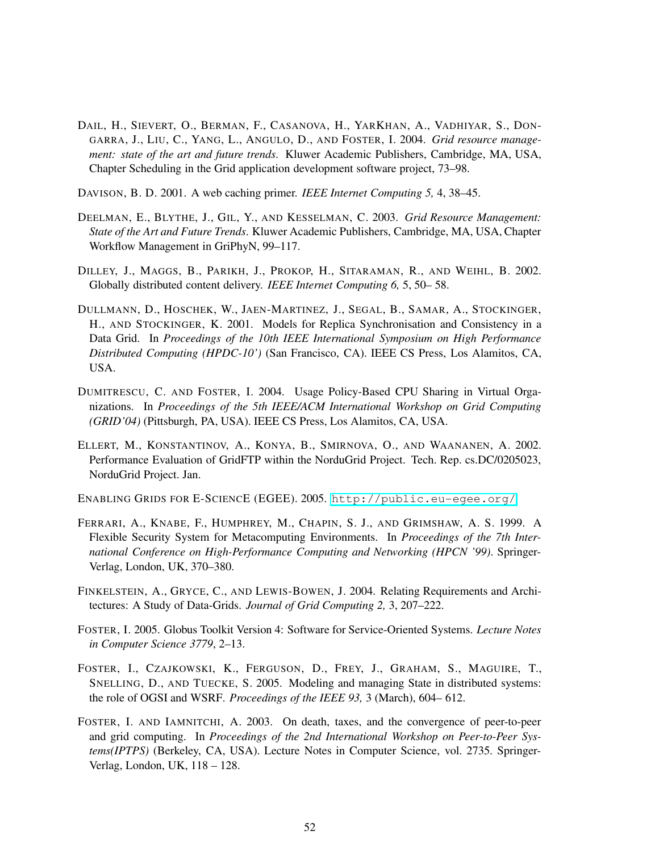- <span id="page-51-9"></span>DAIL, H., SIEVERT, O., BERMAN, F., CASANOVA, H., YARKHAN, A., VADHIYAR, S., DON-GARRA, J., LIU, C., YANG, L., ANGULO, D., AND FOSTER, I. 2004. *Grid resource management: state of the art and future trends*. Kluwer Academic Publishers, Cambridge, MA, USA, Chapter Scheduling in the Grid application development software project, 73–98.
- <span id="page-51-1"></span>DAVISON, B. D. 2001. A web caching primer. *IEEE Internet Computing 5,* 4, 38–45.
- <span id="page-51-10"></span>DEELMAN, E., BLYTHE, J., GIL, Y., AND KESSELMAN, C. 2003. *Grid Resource Management: State of the Art and Future Trends*. Kluwer Academic Publishers, Cambridge, MA, USA, Chapter Workflow Management in GriPhyN, 99–117.
- <span id="page-51-2"></span>DILLEY, J., MAGGS, B., PARIKH, J., PROKOP, H., SITARAMAN, R., AND WEIHL, B. 2002. Globally distributed content delivery. *IEEE Internet Computing 6,* 5, 50– 58.
- <span id="page-51-3"></span>DULLMANN, D., HOSCHEK, W., JAEN-MARTINEZ, J., SEGAL, B., SAMAR, A., STOCKINGER, H., AND STOCKINGER, K. 2001. Models for Replica Synchronisation and Consistency in a Data Grid. In *Proceedings of the 10th IEEE International Symposium on High Performance Distributed Computing (HPDC-10')* (San Francisco, CA). IEEE CS Press, Los Alamitos, CA, USA.
- <span id="page-51-5"></span>DUMITRESCU, C. AND FOSTER, I. 2004. Usage Policy-Based CPU Sharing in Virtual Organizations. In *Proceedings of the 5th IEEE/ACM International Workshop on Grid Computing (GRID'04)* (Pittsburgh, PA, USA). IEEE CS Press, Los Alamitos, CA, USA.
- <span id="page-51-7"></span>ELLERT, M., KONSTANTINOV, A., KONYA, B., SMIRNOVA, O., AND WAANANEN, A. 2002. Performance Evaluation of GridFTP within the NorduGrid Project. Tech. Rep. cs.DC/0205023, NorduGrid Project. Jan.
- <span id="page-51-6"></span>ENABLING GRIDS FOR E-SCIENCE (EGEE). 2005. <http://public.eu-egee.org/>.
- <span id="page-51-8"></span>FERRARI, A., KNABE, F., HUMPHREY, M., CHAPIN, S. J., AND GRIMSHAW, A. S. 1999. A Flexible Security System for Metacomputing Environments. In *Proceedings of the 7th International Conference on High-Performance Computing and Networking (HPCN '99)*. Springer-Verlag, London, UK, 370–380.
- <span id="page-51-0"></span>FINKELSTEIN, A., GRYCE, C., AND LEWIS-BOWEN, J. 2004. Relating Requirements and Architectures: A Study of Data-Grids. *Journal of Grid Computing 2,* 3, 207–222.
- <span id="page-51-12"></span>FOSTER, I. 2005. Globus Toolkit Version 4: Software for Service-Oriented Systems. *Lecture Notes in Computer Science 3779*, 2–13.
- <span id="page-51-11"></span>FOSTER, I., CZAJKOWSKI, K., FERGUSON, D., FREY, J., GRAHAM, S., MAGUIRE, T., SNELLING, D., AND TUECKE, S. 2005. Modeling and managing State in distributed systems: the role of OGSI and WSRF. *Proceedings of the IEEE 93,* 3 (March), 604– 612.
- <span id="page-51-4"></span>FOSTER, I. AND IAMNITCHI, A. 2003. On death, taxes, and the convergence of peer-to-peer and grid computing. In *Proceedings of the 2nd International Workshop on Peer-to-Peer Systems(IPTPS)* (Berkeley, CA, USA). Lecture Notes in Computer Science, vol. 2735. Springer-Verlag, London, UK, 118 – 128.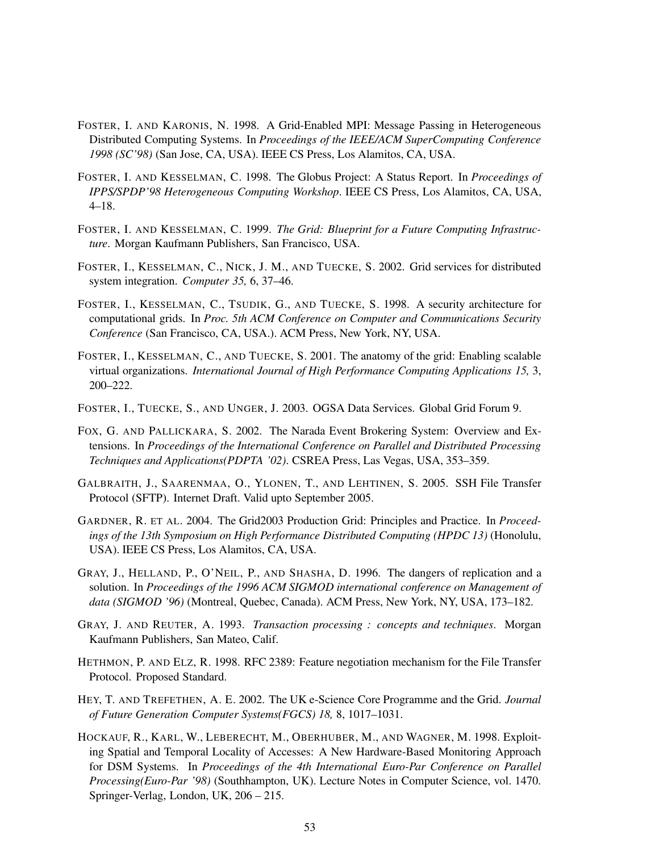- <span id="page-52-9"></span>FOSTER, I. AND KARONIS, N. 1998. A Grid-Enabled MPI: Message Passing in Heterogeneous Distributed Computing Systems. In *Proceedings of the IEEE/ACM SuperComputing Conference 1998 (SC'98)* (San Jose, CA, USA). IEEE CS Press, Los Alamitos, CA, USA.
- <span id="page-52-14"></span>FOSTER, I. AND KESSELMAN, C. 1998. The Globus Project: A Status Report. In *Proceedings of IPPS/SPDP'98 Heterogeneous Computing Workshop*. IEEE CS Press, Los Alamitos, CA, USA, 4–18.
- <span id="page-52-1"></span>FOSTER, I. AND KESSELMAN, C. 1999. *The Grid: Blueprint for a Future Computing Infrastructure*. Morgan Kaufmann Publishers, San Francisco, USA.
- <span id="page-52-4"></span>FOSTER, I., KESSELMAN, C., NICK, J. M., AND TUECKE, S. 2002. Grid services for distributed system integration. *Computer 35,* 6, 37–46.
- <span id="page-52-3"></span>FOSTER, I., KESSELMAN, C., TSUDIK, G., AND TUECKE, S. 1998. A security architecture for computational grids. In *Proc. 5th ACM Conference on Computer and Communications Security Conference* (San Francisco, CA, USA.). ACM Press, New York, NY, USA.
- <span id="page-52-2"></span>FOSTER, I., KESSELMAN, C., AND TUECKE, S. 2001. The anatomy of the grid: Enabling scalable virtual organizations. *International Journal of High Performance Computing Applications 15,* 3, 200–222.
- <span id="page-52-5"></span>FOSTER, I., TUECKE, S., AND UNGER, J. 2003. OGSA Data Services. Global Grid Forum 9.
- <span id="page-52-8"></span>FOX, G. AND PALLICKARA, S. 2002. The Narada Event Brokering System: Overview and Extensions. In *Proceedings of the International Conference on Parallel and Distributed Processing Techniques and Applications(PDPTA '02)*. CSREA Press, Las Vegas, USA, 353–359.
- <span id="page-52-13"></span>GALBRAITH, J., SAARENMAA, O., YLONEN, T., AND LEHTINEN, S. 2005. SSH File Transfer Protocol (SFTP). Internet Draft. Valid upto September 2005.
- <span id="page-52-11"></span>GARDNER, R. ET AL. 2004. The Grid2003 Production Grid: Principles and Practice. In *Proceedings of the 13th Symposium on High Performance Distributed Computing (HPDC 13)* (Honolulu, USA). IEEE CS Press, Los Alamitos, CA, USA.
- <span id="page-52-7"></span>GRAY, J., HELLAND, P., O'NEIL, P., AND SHASHA, D. 1996. The dangers of replication and a solution. In *Proceedings of the 1996 ACM SIGMOD international conference on Management of data (SIGMOD '96)* (Montreal, Quebec, Canada). ACM Press, New York, NY, USA, 173–182.
- <span id="page-52-6"></span>GRAY, J. AND REUTER, A. 1993. *Transaction processing : concepts and techniques*. Morgan Kaufmann Publishers, San Mateo, Calif.
- <span id="page-52-12"></span>HETHMON, P. AND ELZ, R. 1998. RFC 2389: Feature negotiation mechanism for the File Transfer Protocol. Proposed Standard.
- <span id="page-52-0"></span>HEY, T. AND TREFETHEN, A. E. 2002. The UK e-Science Core Programme and the Grid. *Journal of Future Generation Computer Systems(FGCS) 18,* 8, 1017–1031.
- <span id="page-52-10"></span>HOCKAUF, R., KARL, W., LEBERECHT, M., OBERHUBER, M., AND WAGNER, M. 1998. Exploiting Spatial and Temporal Locality of Accesses: A New Hardware-Based Monitoring Approach for DSM Systems. In *Proceedings of the 4th International Euro-Par Conference on Parallel Processing(Euro-Par '98)* (Southhampton, UK). Lecture Notes in Computer Science, vol. 1470. Springer-Verlag, London, UK, 206 – 215.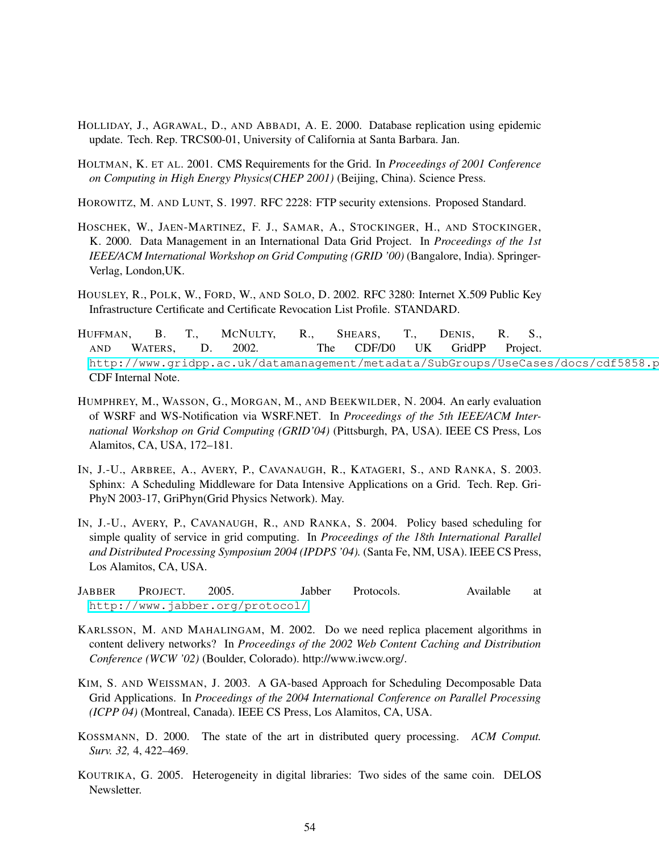- <span id="page-53-7"></span>HOLLIDAY, J., AGRAWAL, D., AND ABBADI, A. E. 2000. Database replication using epidemic update. Tech. Rep. TRCS00-01, University of California at Santa Barbara. Jan.
- <span id="page-53-1"></span>HOLTMAN, K. ET AL. 2001. CMS Requirements for the Grid. In *Proceedings of 2001 Conference on Computing in High Energy Physics(CHEP 2001)* (Beijing, China). Science Press.

<span id="page-53-9"></span>HOROWITZ, M. AND LUNT, S. 1997. RFC 2228: FTP security extensions. Proposed Standard.

- <span id="page-53-0"></span>HOSCHEK, W., JAEN-MARTINEZ, F. J., SAMAR, A., STOCKINGER, H., AND STOCKINGER, K. 2000. Data Management in an International Data Grid Project. In *Proceedings of the 1st IEEE/ACM International Workshop on Grid Computing (GRID '00)* (Bangalore, India). Springer-Verlag, London,UK.
- <span id="page-53-6"></span>HOUSLEY, R., POLK, W., FORD, W., AND SOLO, D. 2002. RFC 3280: Internet X.509 Public Key Infrastructure Certificate and Certificate Revocation List Profile. STANDARD.
- <span id="page-53-8"></span>HUFFMAN, B. T., MCNULTY, R., SHEARS, T., DENIS, R. S., AND WATERS, D. 2002. The CDF/D0 UK GridPP Project. http://www.gridpp.ac.uk/datamanagement/metadata/SubGroups/UseCases/docs/cdf5858.p CDF Internal Note.
- <span id="page-53-13"></span>HUMPHREY, M., WASSON, G., MORGAN, M., AND BEEKWILDER, N. 2004. An early evaluation of WSRF and WS-Notification via WSRF.NET. In *Proceedings of the 5th IEEE/ACM International Workshop on Grid Computing (GRID'04)* (Pittsburgh, PA, USA). IEEE CS Press, Los Alamitos, CA, USA, 172–181.
- <span id="page-53-11"></span>IN, J.-U., ARBREE, A., AVERY, P., CAVANAUGH, R., KATAGERI, S., AND RANKA, S. 2003. Sphinx: A Scheduling Middleware for Data Intensive Applications on a Grid. Tech. Rep. Gri-PhyN 2003-17, GriPhyn(Grid Physics Network). May.
- <span id="page-53-12"></span>IN, J.-U., AVERY, P., CAVANAUGH, R., AND RANKA, S. 2004. Policy based scheduling for simple quality of service in grid computing. In *Proceedings of the 18th International Parallel and Distributed Processing Symposium 2004 (IPDPS '04).* (Santa Fe, NM, USA). IEEE CS Press, Los Alamitos, CA, USA.
- <span id="page-53-2"></span>JABBER PROJECT. 2005. Jabber Protocols. Available at <http://www.jabber.org/protocol/>.
- <span id="page-53-3"></span>KARLSSON, M. AND MAHALINGAM, M. 2002. Do we need replica placement algorithms in content delivery networks? In *Proceedings of the 2002 Web Content Caching and Distribution Conference (WCW '02)* (Boulder, Colorado). http://www.iwcw.org/.
- <span id="page-53-10"></span>KIM, S. AND WEISSMAN, J. 2003. A GA-based Approach for Scheduling Decomposable Data Grid Applications. In *Proceedings of the 2004 International Conference on Parallel Processing (ICPP 04)* (Montreal, Canada). IEEE CS Press, Los Alamitos, CA, USA.
- <span id="page-53-4"></span>KOSSMANN, D. 2000. The state of the art in distributed query processing. *ACM Comput. Surv. 32,* 4, 422–469.
- <span id="page-53-5"></span>KOUTRIKA, G. 2005. Heterogeneity in digital libraries: Two sides of the same coin. DELOS Newsletter.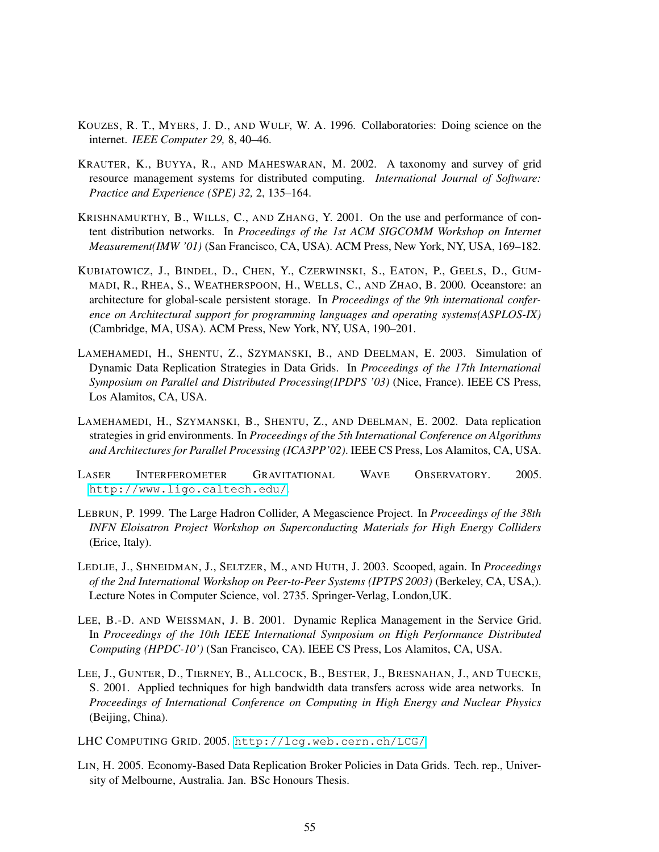- <span id="page-54-2"></span>KOUZES, R. T., MYERS, J. D., AND WULF, W. A. 1996. Collaboratories: Doing science on the internet. *IEEE Computer 29,* 8, 40–46.
- <span id="page-54-0"></span>KRAUTER, K., BUYYA, R., AND MAHESWARAN, M. 2002. A taxonomy and survey of grid resource management systems for distributed computing. *International Journal of Software: Practice and Experience (SPE) 32,* 2, 135–164.
- <span id="page-54-3"></span>KRISHNAMURTHY, B., WILLS, C., AND ZHANG, Y. 2001. On the use and performance of content distribution networks. In *Proceedings of the 1st ACM SIGCOMM Workshop on Internet Measurement(IMW '01)* (San Francisco, CA, USA). ACM Press, New York, NY, USA, 169–182.
- <span id="page-54-4"></span>KUBIATOWICZ, J., BINDEL, D., CHEN, Y., CZERWINSKI, S., EATON, P., GEELS, D., GUM-MADI, R., RHEA, S., WEATHERSPOON, H., WELLS, C., AND ZHAO, B. 2000. Oceanstore: an architecture for global-scale persistent storage. In *Proceedings of the 9th international conference on Architectural support for programming languages and operating systems(ASPLOS-IX)* (Cambridge, MA, USA). ACM Press, New York, NY, USA, 190–201.
- <span id="page-54-10"></span>LAMEHAMEDI, H., SHENTU, Z., SZYMANSKI, B., AND DEELMAN, E. 2003. Simulation of Dynamic Data Replication Strategies in Data Grids. In *Proceedings of the 17th International Symposium on Parallel and Distributed Processing(IPDPS '03)* (Nice, France). IEEE CS Press, Los Alamitos, CA, USA.
- <span id="page-54-7"></span>LAMEHAMEDI, H., SZYMANSKI, B., SHENTU, Z., AND DEELMAN, E. 2002. Data replication strategies in grid environments. In *Proceedings of the 5th International Conference on Algorithms and Architectures for Parallel Processing (ICA3PP'02)*. IEEE CS Press, Los Alamitos, CA, USA.
- <span id="page-54-9"></span>LASER INTERFEROMETER GRAVITATIONAL WAVE OBSERVATORY. 2005. <http://www.ligo.caltech.edu/>.
- <span id="page-54-1"></span>LEBRUN, P. 1999. The Large Hadron Collider, A Megascience Project. In *Proceedings of the 38th INFN Eloisatron Project Workshop on Superconducting Materials for High Energy Colliders* (Erice, Italy).
- <span id="page-54-5"></span>LEDLIE, J., SHNEIDMAN, J., SELTZER, M., AND HUTH, J. 2003. Scooped, again. In *Proceedings of the 2nd International Workshop on Peer-to-Peer Systems (IPTPS 2003)* (Berkeley, CA, USA,). Lecture Notes in Computer Science, vol. 2735. Springer-Verlag, London,UK.
- <span id="page-54-11"></span>LEE, B.-D. AND WEISSMAN, J. B. 2001. Dynamic Replica Management in the Service Grid. In *Proceedings of the 10th IEEE International Symposium on High Performance Distributed Computing (HPDC-10')* (San Francisco, CA). IEEE CS Press, Los Alamitos, CA, USA.
- <span id="page-54-6"></span>LEE, J., GUNTER, D., TIERNEY, B., ALLCOCK, B., BESTER, J., BRESNAHAN, J., AND TUECKE, S. 2001. Applied techniques for high bandwidth data transfers across wide area networks. In *Proceedings of International Conference on Computing in High Energy and Nuclear Physics* (Beijing, China).
- <span id="page-54-8"></span>LHC COMPUTING GRID. 2005. <http://lcg.web.cern.ch/LCG/>.
- <span id="page-54-12"></span>LIN, H. 2005. Economy-Based Data Replication Broker Policies in Data Grids. Tech. rep., University of Melbourne, Australia. Jan. BSc Honours Thesis.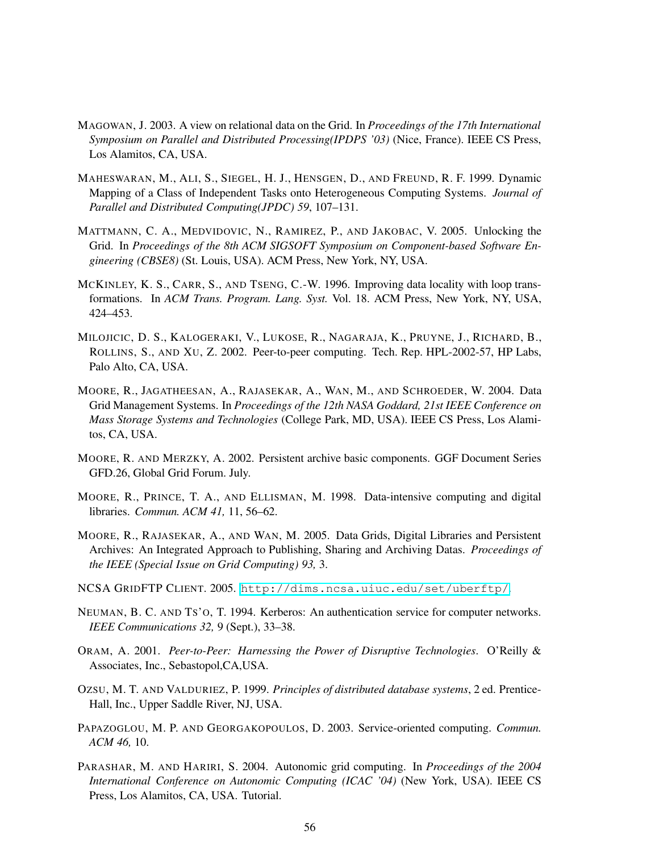- <span id="page-55-14"></span>MAGOWAN, J. 2003. A view on relational data on the Grid. In *Proceedings of the 17th International Symposium on Parallel and Distributed Processing(IPDPS '03)* (Nice, France). IEEE CS Press, Los Alamitos, CA, USA.
- <span id="page-55-12"></span>MAHESWARAN, M., ALI, S., SIEGEL, H. J., HENSGEN, D., AND FREUND, R. F. 1999. Dynamic Mapping of a Class of Independent Tasks onto Heterogeneous Computing Systems. *Journal of Parallel and Distributed Computing(JPDC) 59*, 107–131.
- <span id="page-55-1"></span>MATTMANN, C. A., MEDVIDOVIC, N., RAMIREZ, P., AND JAKOBAC, V. 2005. Unlocking the Grid. In *Proceedings of the 8th ACM SIGSOFT Symposium on Component-based Software Engineering (CBSE8)* (St. Louis, USA). ACM Press, New York, NY, USA.
- <span id="page-55-10"></span>MCKINLEY, K. S., CARR, S., AND TSENG, C.-W. 1996. Improving data locality with loop transformations. In *ACM Trans. Program. Lang. Syst.* Vol. 18. ACM Press, New York, NY, USA, 424–453.
- <span id="page-55-5"></span>MILOJICIC, D. S., KALOGERAKI, V., LUKOSE, R., NAGARAJA, K., PRUYNE, J., RICHARD, B., ROLLINS, S., AND XU, Z. 2002. Peer-to-peer computing. Tech. Rep. HPL-2002-57, HP Labs, Palo Alto, CA, USA.
- <span id="page-55-7"></span>MOORE, R., JAGATHEESAN, A., RAJASEKAR, A., WAN, M., AND SCHROEDER, W. 2004. Data Grid Management Systems. In *Proceedings of the 12th NASA Goddard, 21st IEEE Conference on Mass Storage Systems and Technologies* (College Park, MD, USA). IEEE CS Press, Los Alamitos, CA, USA.
- <span id="page-55-0"></span>MOORE, R. AND MERZKY, A. 2002. Persistent archive basic components. GGF Document Series GFD.26, Global Grid Forum. July.
- <span id="page-55-2"></span>MOORE, R., PRINCE, T. A., AND ELLISMAN, M. 1998. Data-intensive computing and digital libraries. *Commun. ACM 41,* 11, 56–62.
- <span id="page-55-3"></span>MOORE, R., RAJASEKAR, A., AND WAN, M. 2005. Data Grids, Digital Libraries and Persistent Archives: An Integrated Approach to Publishing, Sharing and Archiving Datas. *Proceedings of the IEEE (Special Issue on Grid Computing) 93,* 3.
- <span id="page-55-11"></span>NCSA GRIDFTP CLIENT. 2005. <http://dims.ncsa.uiuc.edu/set/uberftp/>.
- <span id="page-55-9"></span>NEUMAN, B. C. AND TS'O, T. 1994. Kerberos: An authentication service for computer networks. *IEEE Communications 32,* 9 (Sept.), 33–38.
- <span id="page-55-4"></span>ORAM, A. 2001. *Peer-to-Peer: Harnessing the Power of Disruptive Technologies*. O'Reilly & Associates, Inc., Sebastopol,CA,USA.
- <span id="page-55-6"></span>OZSU, M. T. AND VALDURIEZ, P. 1999. *Principles of distributed database systems*, 2 ed. Prentice-Hall, Inc., Upper Saddle River, NJ, USA.
- <span id="page-55-13"></span>PAPAZOGLOU, M. P. AND GEORGAKOPOULOS, D. 2003. Service-oriented computing. *Commun. ACM 46,* 10.
- <span id="page-55-8"></span>PARASHAR, M. AND HARIRI, S. 2004. Autonomic grid computing. In *Proceedings of the 2004 International Conference on Autonomic Computing (ICAC '04)* (New York, USA). IEEE CS Press, Los Alamitos, CA, USA. Tutorial.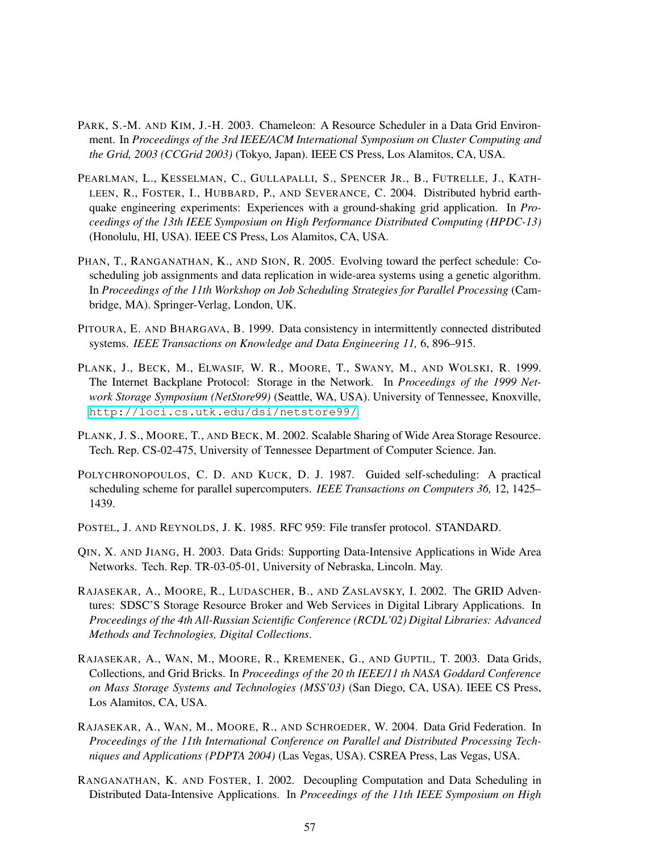- <span id="page-56-11"></span>PARK, S.-M. AND KIM, J.-H. 2003. Chameleon: A Resource Scheduler in a Data Grid Environment. In *Proceedings of the 3rd IEEE/ACM International Symposium on Cluster Computing and the Grid, 2003 (CCGrid 2003)* (Tokyo, Japan). IEEE CS Press, Los Alamitos, CA, USA.
- <span id="page-56-2"></span>PEARLMAN, L., KESSELMAN, C., GULLAPALLI, S., SPENCER JR., B., FUTRELLE, J., KATH-LEEN, R., FOSTER, I., HUBBARD, P., AND SEVERANCE, C. 2004. Distributed hybrid earthquake engineering experiments: Experiences with a ground-shaking grid application. In *Proceedings of the 13th IEEE Symposium on High Performance Distributed Computing (HPDC-13)* (Honolulu, HI, USA). IEEE CS Press, Los Alamitos, CA, USA.
- <span id="page-56-12"></span>PHAN, T., RANGANATHAN, K., AND SION, R. 2005. Evolving toward the perfect schedule: Coscheduling job assignments and data replication in wide-area systems using a genetic algorithm. In *Proceedings of the 11th Workshop on Job Scheduling Strategies for Parallel Processing* (Cambridge, MA). Springer-Verlag, London, UK.
- <span id="page-56-1"></span>PITOURA, E. AND BHARGAVA, B. 1999. Data consistency in intermittently connected distributed systems. *IEEE Transactions on Knowledge and Data Engineering 11,* 6, 896–915.
- <span id="page-56-7"></span>PLANK, J., BECK, M., ELWASIF, W. R., MOORE, T., SWANY, M., AND WOLSKI, R. 1999. The Internet Backplane Protocol: Storage in the Network. In *Proceedings of the 1999 Network Storage Symposium (NetStore99)* (Seattle, WA, USA). University of Tennessee, Knoxville, <http://loci.cs.utk.edu/dsi/netstore99/>.
- <span id="page-56-8"></span>PLANK, J. S., MOORE, T., AND BECK, M. 2002. Scalable Sharing of Wide Area Storage Resource. Tech. Rep. CS-02-475, University of Tennessee Department of Computer Science. Jan.
- <span id="page-56-6"></span>POLYCHRONOPOULOS, C. D. AND KUCK, D. J. 1987. Guided self-scheduling: A practical scheduling scheme for parallel supercomputers. *IEEE Transactions on Computers 36,* 12, 1425– 1439.
- <span id="page-56-4"></span>POSTEL, J. AND REYNOLDS, J. K. 1985. RFC 959: File transfer protocol. STANDARD.
- <span id="page-56-0"></span>QIN, X. AND JIANG, H. 2003. Data Grids: Supporting Data-Intensive Applications in Wide Area Networks. Tech. Rep. TR-03-05-01, University of Nebraska, Lincoln. May.
- <span id="page-56-10"></span>RAJASEKAR, A., MOORE, R., LUDASCHER, B., AND ZASLAVSKY, I. 2002. The GRID Adventures: SDSC'S Storage Resource Broker and Web Services in Digital Library Applications. In *Proceedings of the 4th All-Russian Scientific Conference (RCDL'02) Digital Libraries: Advanced Methods and Technologies, Digital Collections*.
- <span id="page-56-9"></span>RAJASEKAR, A., WAN, M., MOORE, R., KREMENEK, G., AND GUPTIL, T. 2003. Data Grids, Collections, and Grid Bricks. In *Proceedings of the 20 th IEEE/11 th NASA Goddard Conference on Mass Storage Systems and Technologies (MSS'03)* (San Diego, CA, USA). IEEE CS Press, Los Alamitos, CA, USA.
- <span id="page-56-3"></span>RAJASEKAR, A., WAN, M., MOORE, R., AND SCHROEDER, W. 2004. Data Grid Federation. In *Proceedings of the 11th International Conference on Parallel and Distributed Processing Techniques and Applications (PDPTA 2004)* (Las Vegas, USA). CSREA Press, Las Vegas, USA.
- <span id="page-56-5"></span>RANGANATHAN, K. AND FOSTER, I. 2002. Decoupling Computation and Data Scheduling in Distributed Data-Intensive Applications. In *Proceedings of the 11th IEEE Symposium on High*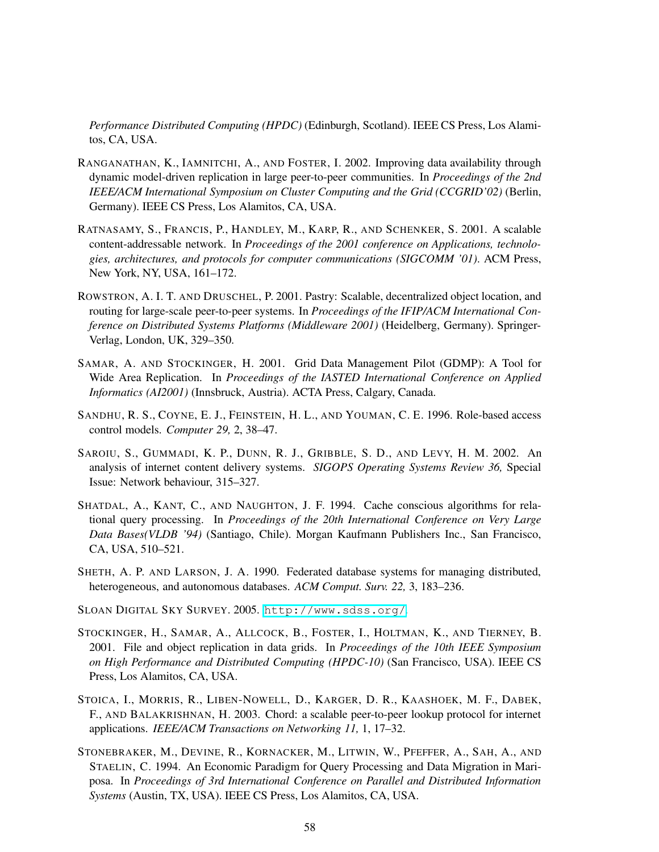*Performance Distributed Computing (HPDC)* (Edinburgh, Scotland). IEEE CS Press, Los Alamitos, CA, USA.

- <span id="page-57-11"></span>RANGANATHAN, K., IAMNITCHI, A., AND FOSTER, I. 2002. Improving data availability through dynamic model-driven replication in large peer-to-peer communities. In *Proceedings of the 2nd IEEE/ACM International Symposium on Cluster Computing and the Grid (CCGRID'02)* (Berlin, Germany). IEEE CS Press, Los Alamitos, CA, USA.
- <span id="page-57-2"></span>RATNASAMY, S., FRANCIS, P., HANDLEY, M., KARP, R., AND SCHENKER, S. 2001. A scalable content-addressable network. In *Proceedings of the 2001 conference on Applications, technologies, architectures, and protocols for computer communications (SIGCOMM '01)*. ACM Press, New York, NY, USA, 161–172.
- <span id="page-57-3"></span>ROWSTRON, A. I. T. AND DRUSCHEL, P. 2001. Pastry: Scalable, decentralized object location, and routing for large-scale peer-to-peer systems. In *Proceedings of the IFIP/ACM International Conference on Distributed Systems Platforms (Middleware 2001)* (Heidelberg, Germany). Springer-Verlag, London, UK, 329–350.
- <span id="page-57-6"></span>SAMAR, A. AND STOCKINGER, H. 2001. Grid Data Management Pilot (GDMP): A Tool for Wide Area Replication. In *Proceedings of the IASTED International Conference on Applied Informatics (AI2001)* (Innsbruck, Austria). ACTA Press, Calgary, Canada.
- <span id="page-57-5"></span>SANDHU, R. S., COYNE, E. J., FEINSTEIN, H. L., AND YOUMAN, C. E. 1996. Role-based access control models. *Computer 29,* 2, 38–47.
- <span id="page-57-4"></span>SAROIU, S., GUMMADI, K. P., DUNN, R. J., GRIBBLE, S. D., AND LEVY, H. M. 2002. An analysis of internet content delivery systems. *SIGOPS Operating Systems Review 36,* Special Issue: Network behaviour, 315–327.
- <span id="page-57-8"></span>SHATDAL, A., KANT, C., AND NAUGHTON, J. F. 1994. Cache conscious algorithms for relational query processing. In *Proceedings of the 20th International Conference on Very Large Data Bases(VLDB '94)* (Santiago, Chile). Morgan Kaufmann Publishers Inc., San Francisco, CA, USA, 510–521.
- <span id="page-57-0"></span>SHETH, A. P. AND LARSON, J. A. 1990. Federated database systems for managing distributed, heterogeneous, and autonomous databases. *ACM Comput. Surv. 22,* 3, 183–236.
- <span id="page-57-10"></span>SLOAN DIGITAL SKY SURVEY. 2005. <http://www.sdss.org/>.
- <span id="page-57-7"></span>STOCKINGER, H., SAMAR, A., ALLCOCK, B., FOSTER, I., HOLTMAN, K., AND TIERNEY, B. 2001. File and object replication in data grids. In *Proceedings of the 10th IEEE Symposium on High Performance and Distributed Computing (HPDC-10)* (San Francisco, USA). IEEE CS Press, Los Alamitos, CA, USA.
- <span id="page-57-1"></span>STOICA, I., MORRIS, R., LIBEN-NOWELL, D., KARGER, D. R., KAASHOEK, M. F., DABEK, F., AND BALAKRISHNAN, H. 2003. Chord: a scalable peer-to-peer lookup protocol for internet applications. *IEEE/ACM Transactions on Networking 11,* 1, 17–32.
- <span id="page-57-9"></span>STONEBRAKER, M., DEVINE, R., KORNACKER, M., LITWIN, W., PFEFFER, A., SAH, A., AND STAELIN, C. 1994. An Economic Paradigm for Query Processing and Data Migration in Mariposa. In *Proceedings of 3rd International Conference on Parallel and Distributed Information Systems* (Austin, TX, USA). IEEE CS Press, Los Alamitos, CA, USA.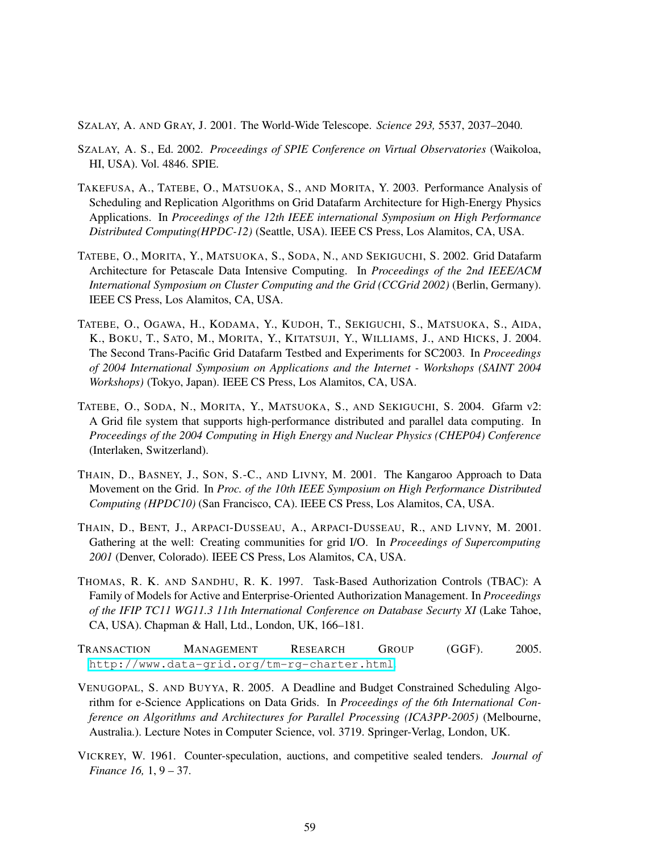<span id="page-58-3"></span>SZALAY, A. AND GRAY, J. 2001. The World-Wide Telescope. *Science 293,* 5537, 2037–2040.

- <span id="page-58-4"></span>SZALAY, A. S., Ed. 2002. *Proceedings of SPIE Conference on Virtual Observatories* (Waikoloa, HI, USA). Vol. 4846. SPIE.
- <span id="page-58-9"></span>TAKEFUSA, A., TATEBE, O., MATSUOKA, S., AND MORITA, Y. 2003. Performance Analysis of Scheduling and Replication Algorithms on Grid Datafarm Architecture for High-Energy Physics Applications. In *Proceedings of the 12th IEEE international Symposium on High Performance Distributed Computing(HPDC-12)* (Seattle, USA). IEEE CS Press, Los Alamitos, CA, USA.
- <span id="page-58-2"></span>TATEBE, O., MORITA, Y., MATSUOKA, S., SODA, N., AND SEKIGUCHI, S. 2002. Grid Datafarm Architecture for Petascale Data Intensive Computing. In *Proceedings of the 2nd IEEE/ACM International Symposium on Cluster Computing and the Grid (CCGrid 2002)* (Berlin, Germany). IEEE CS Press, Los Alamitos, CA, USA.
- <span id="page-58-6"></span>TATEBE, O., OGAWA, H., KODAMA, Y., KUDOH, T., SEKIGUCHI, S., MATSUOKA, S., AIDA, K., BOKU, T., SATO, M., MORITA, Y., KITATSUJI, Y., WILLIAMS, J., AND HICKS, J. 2004. The Second Trans-Pacific Grid Datafarm Testbed and Experiments for SC2003. In *Proceedings of 2004 International Symposium on Applications and the Internet - Workshops (SAINT 2004 Workshops)* (Tokyo, Japan). IEEE CS Press, Los Alamitos, CA, USA.
- <span id="page-58-7"></span>TATEBE, O., SODA, N., MORITA, Y., MATSUOKA, S., AND SEKIGUCHI, S. 2004. Gfarm v2: A Grid file system that supports high-performance distributed and parallel data computing. In *Proceedings of the 2004 Computing in High Energy and Nuclear Physics (CHEP04) Conference* (Interlaken, Switzerland).
- <span id="page-58-5"></span>THAIN, D., BASNEY, J., SON, S.-C., AND LIVNY, M. 2001. The Kangaroo Approach to Data Movement on the Grid. In *Proc. of the 10th IEEE Symposium on High Performance Distributed Computing (HPDC10)* (San Francisco, CA). IEEE CS Press, Los Alamitos, CA, USA.
- <span id="page-58-10"></span>THAIN, D., BENT, J., ARPACI-DUSSEAU, A., ARPACI-DUSSEAU, R., AND LIVNY, M. 2001. Gathering at the well: Creating communities for grid I/O. In *Proceedings of Supercomputing 2001* (Denver, Colorado). IEEE CS Press, Los Alamitos, CA, USA.
- <span id="page-58-1"></span>THOMAS, R. K. AND SANDHU, R. K. 1997. Task-Based Authorization Controls (TBAC): A Family of Models for Active and Enterprise-Oriented Authorization Management. In *Proceedings of the IFIP TC11 WG11.3 11th International Conference on Database Securty XI* (Lake Tahoe, CA, USA). Chapman & Hall, Ltd., London, UK, 166–181.
- <span id="page-58-0"></span>TRANSACTION MANAGEMENT RESEARCH GROUP (GGF). 2005. <http://www.data-grid.org/tm-rg-charter.html>.
- <span id="page-58-11"></span>VENUGOPAL, S. AND BUYYA, R. 2005. A Deadline and Budget Constrained Scheduling Algorithm for e-Science Applications on Data Grids. In *Proceedings of the 6th International Conference on Algorithms and Architectures for Parallel Processing (ICA3PP-2005)* (Melbourne, Australia.). Lecture Notes in Computer Science, vol. 3719. Springer-Verlag, London, UK.
- <span id="page-58-8"></span>VICKREY, W. 1961. Counter-speculation, auctions, and competitive sealed tenders. *Journal of Finance 16,* 1, 9 – 37.